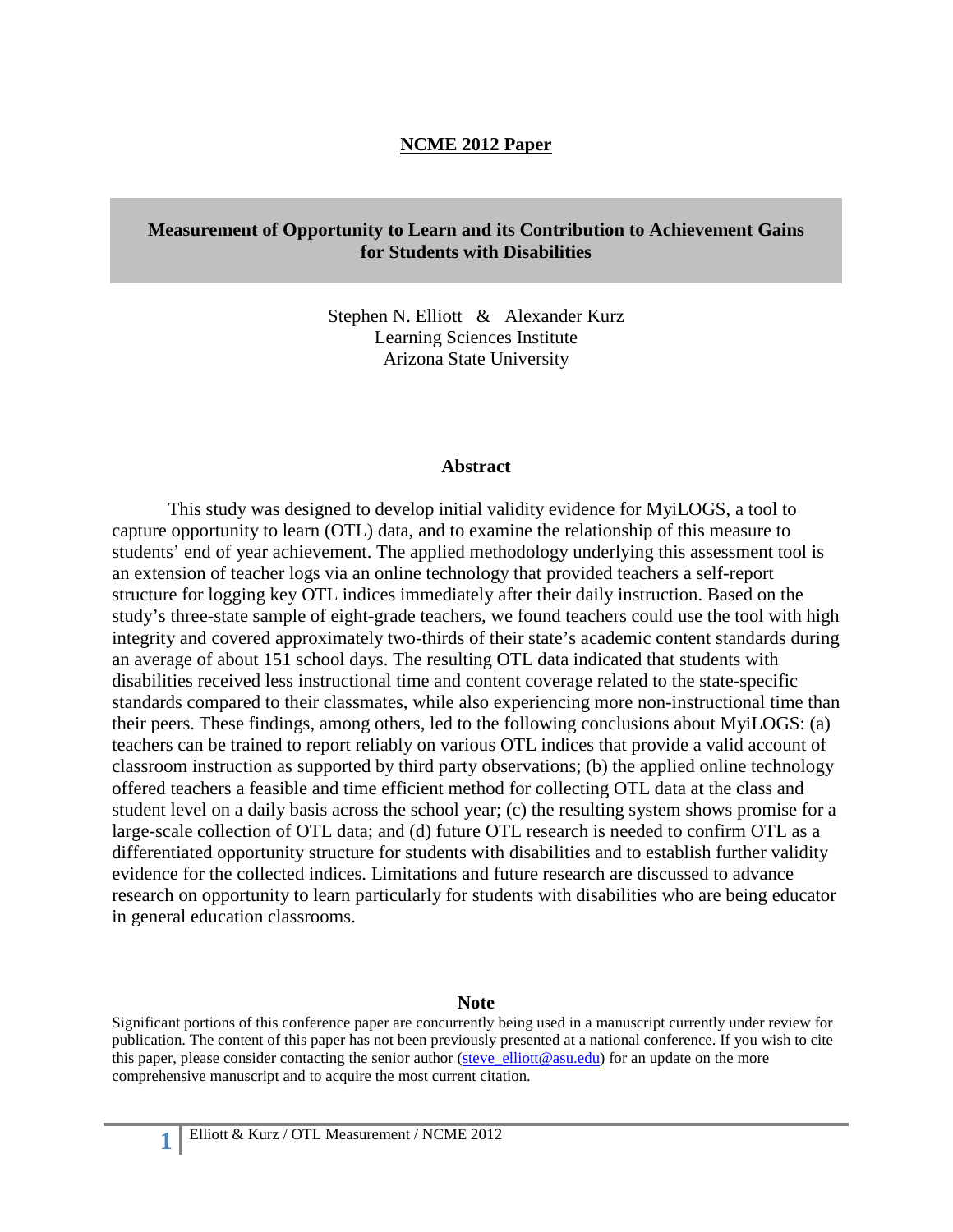### **NCME 2012 Paper**

### **Measurement of Opportunity to Learn and its Contribution to Achievement Gains for Students with Disabilities**

Stephen N. Elliott & Alexander Kurz Learning Sciences Institute Arizona State University

#### **Abstract**

This study was designed to develop initial validity evidence for MyiLOGS, a tool to capture opportunity to learn (OTL) data, and to examine the relationship of this measure to students' end of year achievement. The applied methodology underlying this assessment tool is an extension of teacher logs via an online technology that provided teachers a self-report structure for logging key OTL indices immediately after their daily instruction. Based on the study's three-state sample of eight-grade teachers, we found teachers could use the tool with high integrity and covered approximately two-thirds of their state's academic content standards during an average of about 151 school days. The resulting OTL data indicated that students with disabilities received less instructional time and content coverage related to the state-specific standards compared to their classmates, while also experiencing more non-instructional time than their peers. These findings, among others, led to the following conclusions about MyiLOGS: (a) teachers can be trained to report reliably on various OTL indices that provide a valid account of classroom instruction as supported by third party observations; (b) the applied online technology offered teachers a feasible and time efficient method for collecting OTL data at the class and student level on a daily basis across the school year; (c) the resulting system shows promise for a large-scale collection of OTL data; and (d) future OTL research is needed to confirm OTL as a differentiated opportunity structure for students with disabilities and to establish further validity evidence for the collected indices. Limitations and future research are discussed to advance research on opportunity to learn particularly for students with disabilities who are being educator in general education classrooms.

#### **Note**

Significant portions of this conference paper are concurrently being used in a manuscript currently under review for publication. The content of this paper has not been previously presented at a national conference. If you wish to cite this paper, please consider contacting the senior author ( $\frac{\text{steve}-\text{elliot}(\mathcal{Q}_\text{asu.edu})}{\text{det}(\mathcal{Q}_\text{asu.edu})}$  for an update on the more comprehensive manuscript and to acquire the most current citation.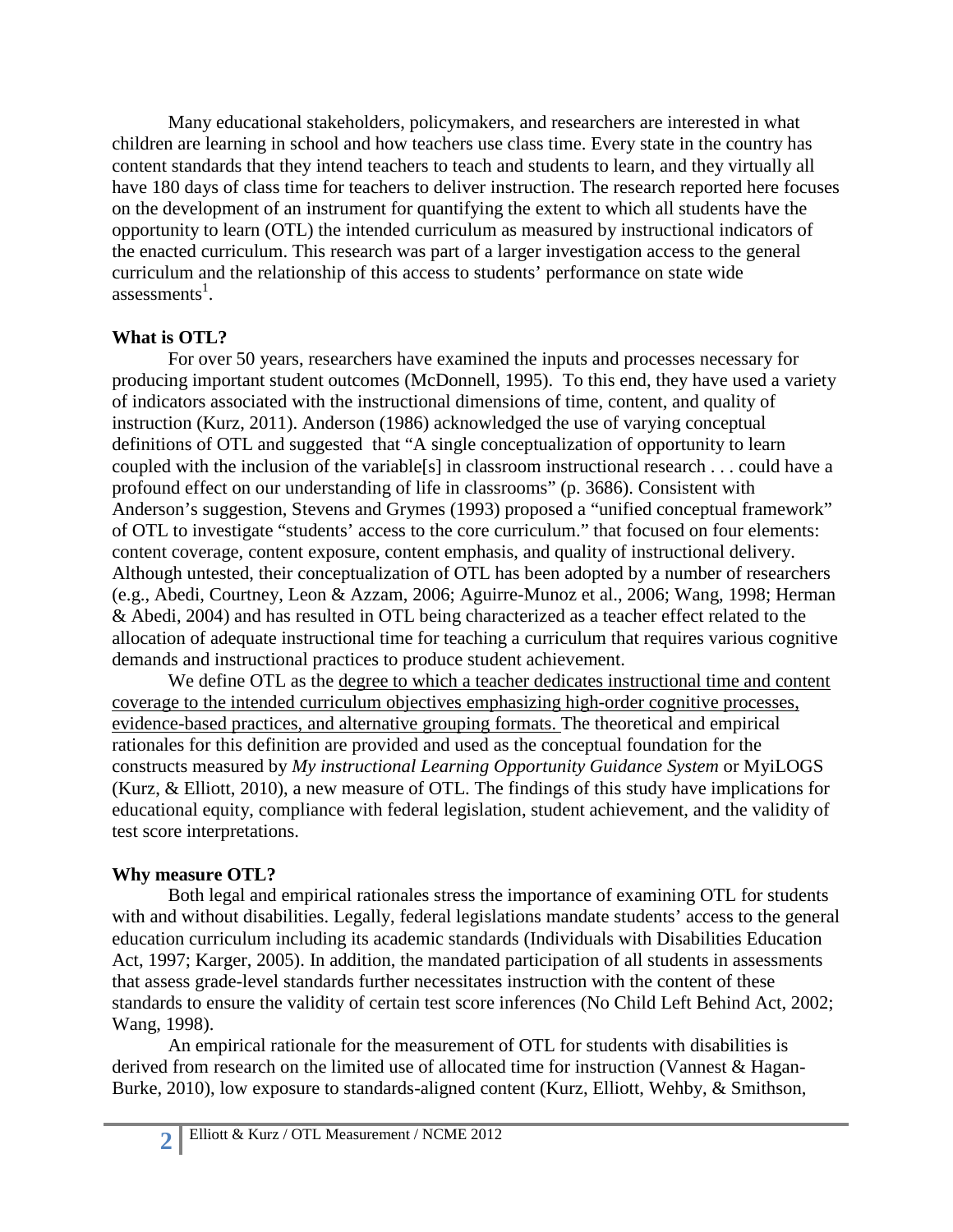Many educational stakeholders, policymakers, and researchers are interested in what children are learning in school and how teachers use class time. Every state in the country has content standards that they intend teachers to teach and students to learn, and they virtually all have 180 days of class time for teachers to deliver instruction. The research reported here focuses on the development of an instrument for quantifying the extent to which all students have the opportunity to learn (OTL) the intended curriculum as measured by instructional indicators of the enacted curriculum. This research was part of a larger investigation access to the general curriculum and the relationship of this access to students' performance on state wide assessments<sup>1</sup>.

## **What is OTL?**

For over 50 years, researchers have examined the inputs and processes necessary for producing important student outcomes (McDonnell, 1995). To this end, they have used a variety of indicators associated with the instructional dimensions of time, content, and quality of instruction (Kurz, 2011). Anderson (1986) acknowledged the use of varying conceptual definitions of OTL and suggested that "A single conceptualization of opportunity to learn coupled with the inclusion of the variable[s] in classroom instructional research . . . could have a profound effect on our understanding of life in classrooms" (p. 3686). Consistent with Anderson's suggestion, Stevens and Grymes (1993) proposed a "unified conceptual framework" of OTL to investigate "students' access to the core curriculum." that focused on four elements: content coverage, content exposure, content emphasis, and quality of instructional delivery. Although untested, their conceptualization of OTL has been adopted by a number of researchers (e.g., Abedi, Courtney, Leon & Azzam, 2006; Aguirre-Munoz et al., 2006; Wang, 1998; Herman & Abedi, 2004) and has resulted in OTL being characterized as a teacher effect related to the allocation of adequate instructional time for teaching a curriculum that requires various cognitive demands and instructional practices to produce student achievement.

We define OTL as the degree to which a teacher dedicates instructional time and content coverage to the intended curriculum objectives emphasizing high-order cognitive processes, evidence-based practices, and alternative grouping formats. The theoretical and empirical rationales for this definition are provided and used as the conceptual foundation for the constructs measured by *My instructional Learning Opportunity Guidance System* or MyiLOGS (Kurz, & Elliott, 2010), a new measure of OTL. The findings of this study have implications for educational equity, compliance with federal legislation, student achievement, and the validity of test score interpretations.

# **Why measure OTL?**

Both legal and empirical rationales stress the importance of examining OTL for students with and without disabilities. Legally, federal legislations mandate students' access to the general education curriculum including its academic standards (Individuals with Disabilities Education Act, 1997; Karger, 2005). In addition, the mandated participation of all students in assessments that assess grade-level standards further necessitates instruction with the content of these standards to ensure the validity of certain test score inferences (No Child Left Behind Act, 2002; Wang, 1998).

An empirical rationale for the measurement of OTL for students with disabilities is derived from research on the limited use of allocated time for instruction (Vannest & Hagan-Burke, 2010), low exposure to standards-aligned content (Kurz, Elliott, Wehby, & Smithson,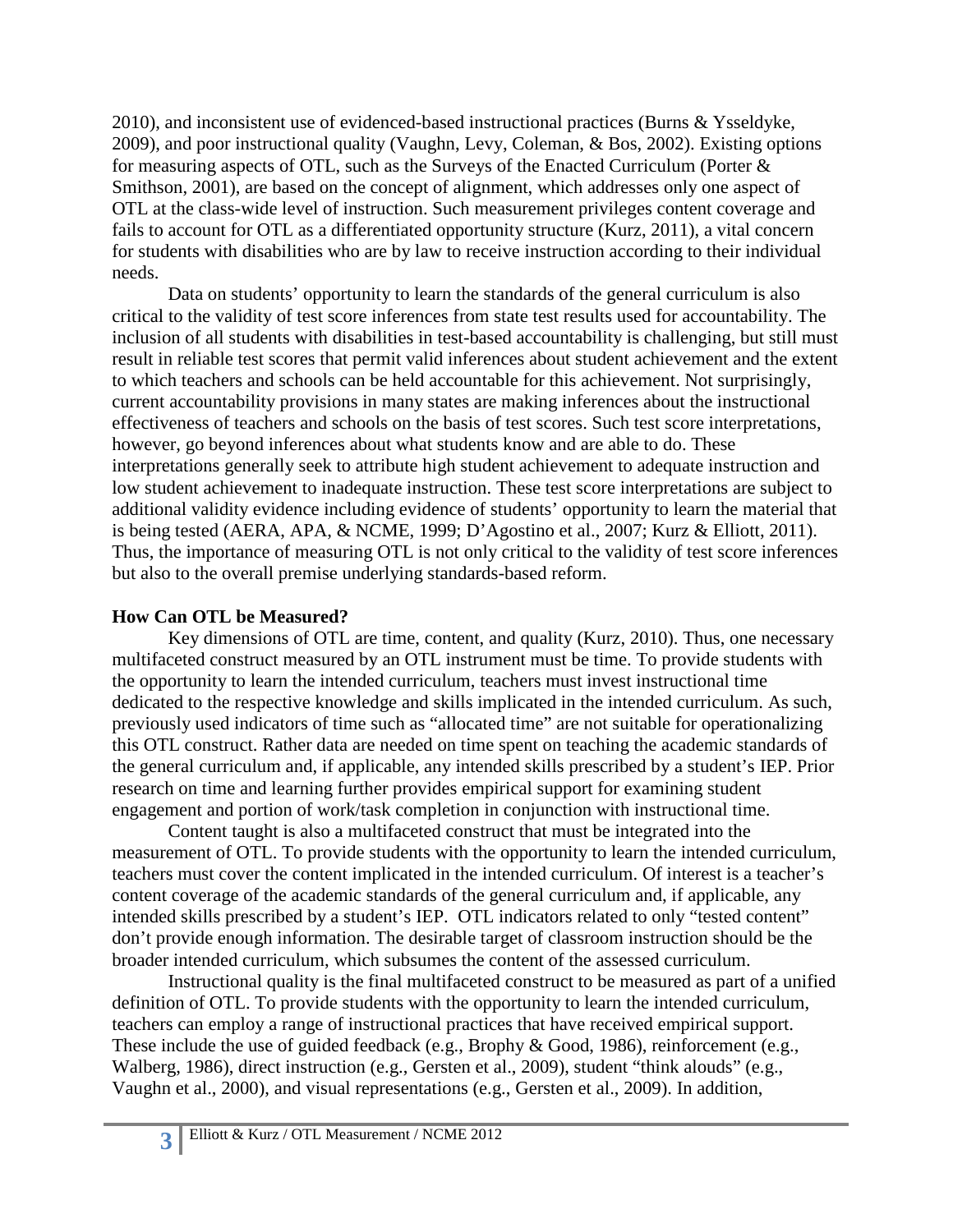2010), and inconsistent use of evidenced-based instructional practices (Burns & Ysseldyke, 2009), and poor instructional quality (Vaughn, Levy, Coleman, & Bos, 2002). Existing options for measuring aspects of OTL, such as the Surveys of the Enacted Curriculum (Porter & Smithson, 2001), are based on the concept of alignment, which addresses only one aspect of OTL at the class-wide level of instruction. Such measurement privileges content coverage and fails to account for OTL as a differentiated opportunity structure (Kurz, 2011), a vital concern for students with disabilities who are by law to receive instruction according to their individual needs.

Data on students' opportunity to learn the standards of the general curriculum is also critical to the validity of test score inferences from state test results used for accountability. The inclusion of all students with disabilities in test-based accountability is challenging, but still must result in reliable test scores that permit valid inferences about student achievement and the extent to which teachers and schools can be held accountable for this achievement. Not surprisingly, current accountability provisions in many states are making inferences about the instructional effectiveness of teachers and schools on the basis of test scores. Such test score interpretations, however, go beyond inferences about what students know and are able to do. These interpretations generally seek to attribute high student achievement to adequate instruction and low student achievement to inadequate instruction. These test score interpretations are subject to additional validity evidence including evidence of students' opportunity to learn the material that is being tested (AERA, APA, & NCME, 1999; D'Agostino et al., 2007; Kurz & Elliott, 2011). Thus, the importance of measuring OTL is not only critical to the validity of test score inferences but also to the overall premise underlying standards-based reform.

# **How Can OTL be Measured?**

Key dimensions of OTL are time, content, and quality (Kurz, 2010). Thus, one necessary multifaceted construct measured by an OTL instrument must be time. To provide students with the opportunity to learn the intended curriculum, teachers must invest instructional time dedicated to the respective knowledge and skills implicated in the intended curriculum. As such, previously used indicators of time such as "allocated time" are not suitable for operationalizing this OTL construct. Rather data are needed on time spent on teaching the academic standards of the general curriculum and, if applicable, any intended skills prescribed by a student's IEP. Prior research on time and learning further provides empirical support for examining student engagement and portion of work/task completion in conjunction with instructional time.

Content taught is also a multifaceted construct that must be integrated into the measurement of OTL. To provide students with the opportunity to learn the intended curriculum, teachers must cover the content implicated in the intended curriculum. Of interest is a teacher's content coverage of the academic standards of the general curriculum and, if applicable, any intended skills prescribed by a student's IEP. OTL indicators related to only "tested content" don't provide enough information. The desirable target of classroom instruction should be the broader intended curriculum, which subsumes the content of the assessed curriculum.

Instructional quality is the final multifaceted construct to be measured as part of a unified definition of OTL. To provide students with the opportunity to learn the intended curriculum, teachers can employ a range of instructional practices that have received empirical support. These include the use of guided feedback (e.g., Brophy & Good, 1986), reinforcement (e.g., Walberg, 1986), direct instruction (e.g., Gersten et al., 2009), student "think alouds" (e.g., Vaughn et al., 2000), and visual representations (e.g., Gersten et al., 2009). In addition,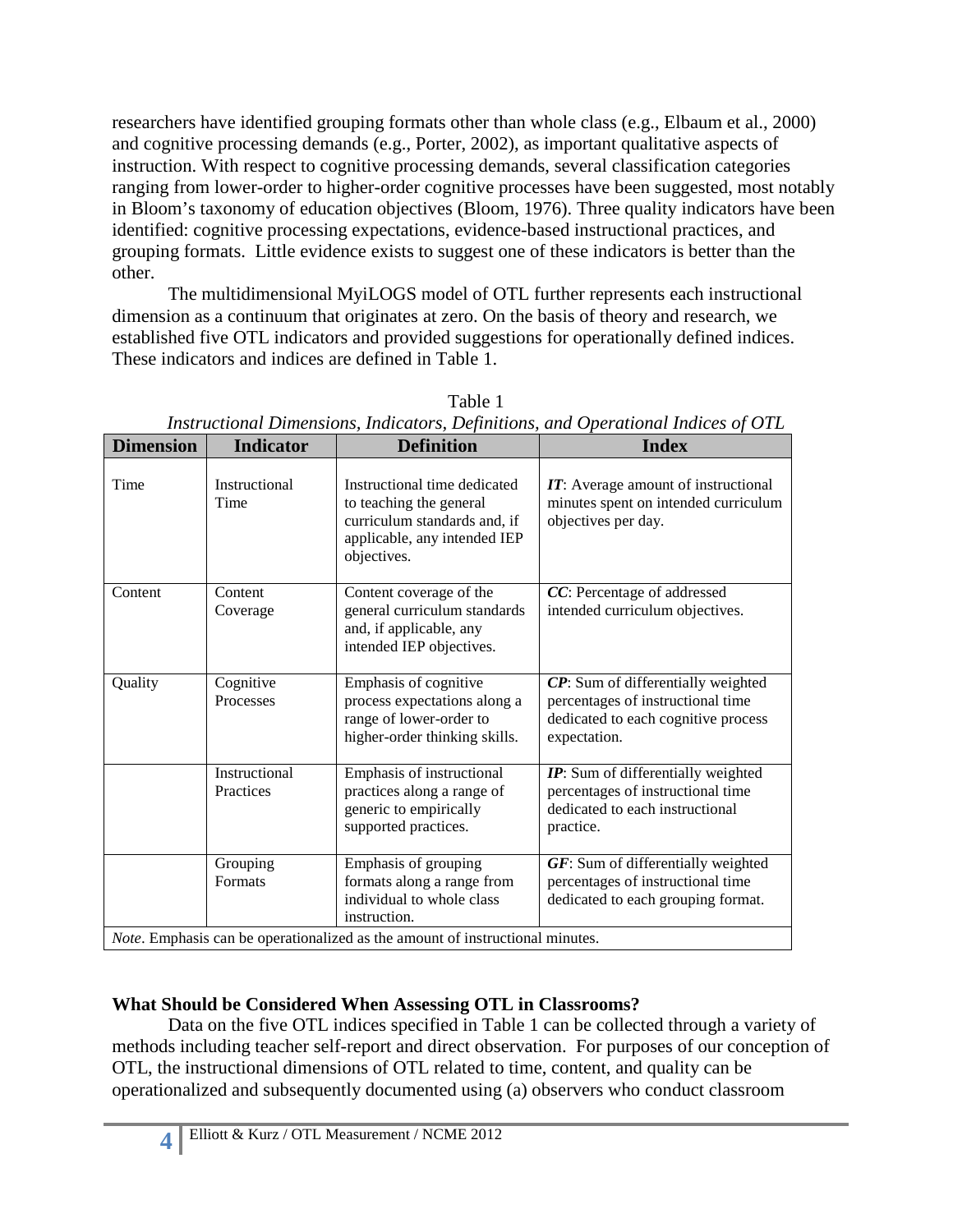researchers have identified grouping formats other than whole class (e.g., Elbaum et al., 2000) and cognitive processing demands (e.g., Porter, 2002), as important qualitative aspects of instruction. With respect to cognitive processing demands, several classification categories ranging from lower-order to higher-order cognitive processes have been suggested, most notably in Bloom's taxonomy of education objectives (Bloom, 1976). Three quality indicators have been identified: cognitive processing expectations, evidence-based instructional practices, and grouping formats. Little evidence exists to suggest one of these indicators is better than the other.

The multidimensional MyiLOGS model of OTL further represents each instructional dimension as a continuum that originates at zero. On the basis of theory and research, we established five OTL indicators and provided suggestions for operationally defined indices. These indicators and indices are defined in Table 1.

| <b>Dimension</b> | <b>Indicator</b>           | <b>Definition</b>                                                                                                                      | <b>Index</b>                                                                                                                   |
|------------------|----------------------------|----------------------------------------------------------------------------------------------------------------------------------------|--------------------------------------------------------------------------------------------------------------------------------|
| Time             | Instructional<br>Time      | Instructional time dedicated<br>to teaching the general<br>curriculum standards and, if<br>applicable, any intended IEP<br>objectives. | <b>IT:</b> Average amount of instructional<br>minutes spent on intended curriculum<br>objectives per day.                      |
| Content          | Content<br>Coverage        | Content coverage of the<br>general curriculum standards<br>and, if applicable, any<br>intended IEP objectives.                         | CC: Percentage of addressed<br>intended curriculum objectives.                                                                 |
| Quality          | Cognitive<br>Processes     | Emphasis of cognitive<br>process expectations along a<br>range of lower-order to<br>higher-order thinking skills.                      | CP: Sum of differentially weighted<br>percentages of instructional time<br>dedicated to each cognitive process<br>expectation. |
|                  | Instructional<br>Practices | Emphasis of instructional<br>practices along a range of<br>generic to empirically<br>supported practices.                              | IP: Sum of differentially weighted<br>percentages of instructional time<br>dedicated to each instructional<br>practice.        |
|                  | Grouping<br><b>Formats</b> | Emphasis of grouping<br>formats along a range from<br>individual to whole class<br>instruction.                                        | $GF:$ Sum of differentially weighted<br>percentages of instructional time<br>dedicated to each grouping format.                |
|                  |                            | Note. Emphasis can be operationalized as the amount of instructional minutes.                                                          |                                                                                                                                |

Table 1 *Instructional Dimensions, Indicators, Definitions, and Operational Indices of OTL*

# **What Should be Considered When Assessing OTL in Classrooms?**

Data on the five OTL indices specified in Table 1 can be collected through a variety of methods including teacher self-report and direct observation. For purposes of our conception of OTL, the instructional dimensions of OTL related to time, content, and quality can be operationalized and subsequently documented using (a) observers who conduct classroom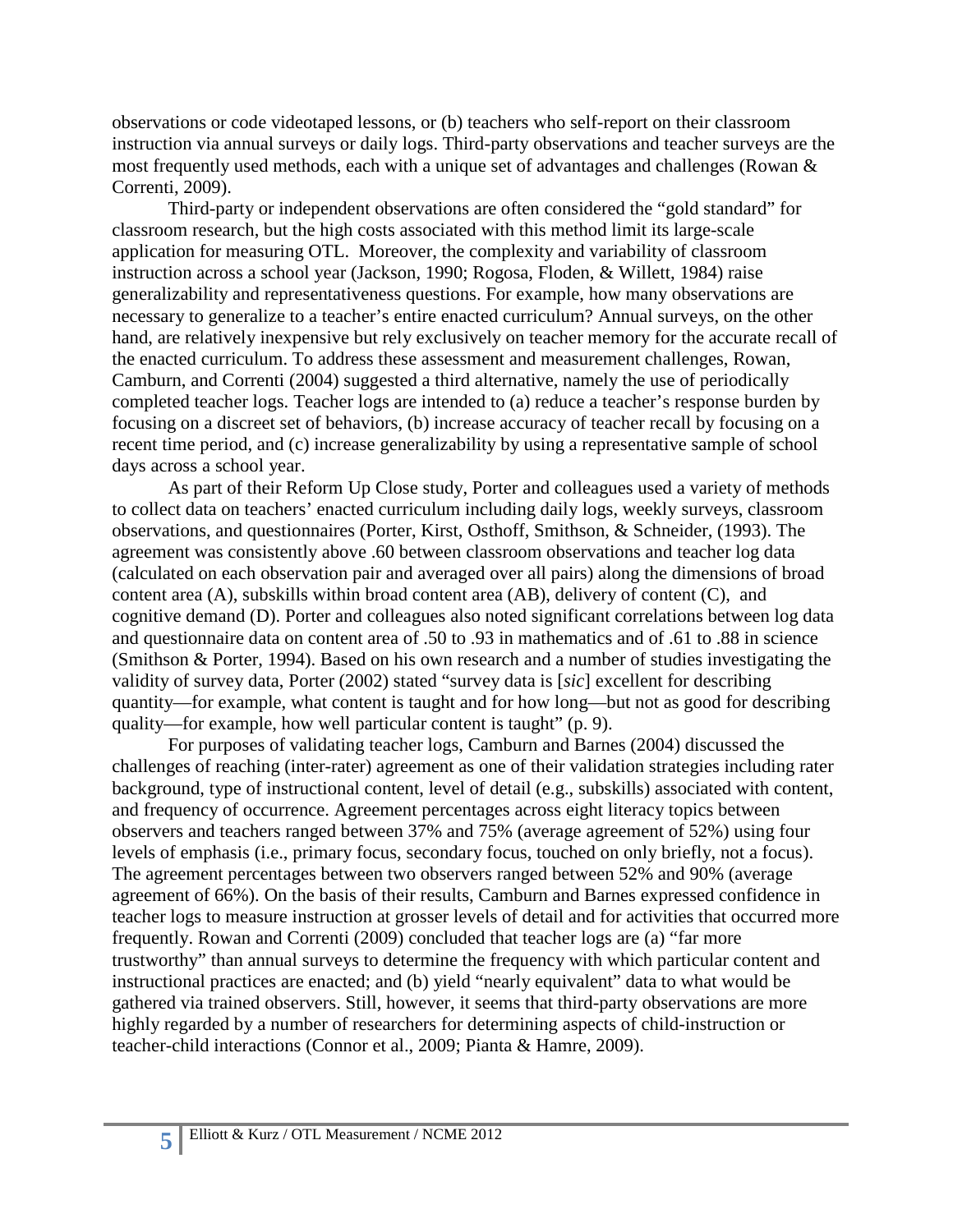observations or code videotaped lessons, or (b) teachers who self-report on their classroom instruction via annual surveys or daily logs. Third-party observations and teacher surveys are the most frequently used methods, each with a unique set of advantages and challenges (Rowan & Correnti, 2009).

Third-party or independent observations are often considered the "gold standard" for classroom research, but the high costs associated with this method limit its large-scale application for measuring OTL. Moreover, the complexity and variability of classroom instruction across a school year (Jackson, 1990; Rogosa, Floden, & Willett, 1984) raise generalizability and representativeness questions. For example, how many observations are necessary to generalize to a teacher's entire enacted curriculum? Annual surveys, on the other hand, are relatively inexpensive but rely exclusively on teacher memory for the accurate recall of the enacted curriculum. To address these assessment and measurement challenges, Rowan, Camburn, and Correnti (2004) suggested a third alternative, namely the use of periodically completed teacher logs. Teacher logs are intended to (a) reduce a teacher's response burden by focusing on a discreet set of behaviors, (b) increase accuracy of teacher recall by focusing on a recent time period, and (c) increase generalizability by using a representative sample of school days across a school year.

As part of their Reform Up Close study, Porter and colleagues used a variety of methods to collect data on teachers' enacted curriculum including daily logs, weekly surveys, classroom observations, and questionnaires (Porter, Kirst, Osthoff, Smithson, & Schneider, (1993). The agreement was consistently above .60 between classroom observations and teacher log data (calculated on each observation pair and averaged over all pairs) along the dimensions of broad content area (A), subskills within broad content area (AB), delivery of content (C), and cognitive demand (D). Porter and colleagues also noted significant correlations between log data and questionnaire data on content area of .50 to .93 in mathematics and of .61 to .88 in science (Smithson & Porter, 1994). Based on his own research and a number of studies investigating the validity of survey data, Porter (2002) stated "survey data is [*sic*] excellent for describing quantity—for example, what content is taught and for how long—but not as good for describing quality—for example, how well particular content is taught" (p. 9).

For purposes of validating teacher logs, Camburn and Barnes (2004) discussed the challenges of reaching (inter-rater) agreement as one of their validation strategies including rater background, type of instructional content, level of detail (e.g., subskills) associated with content, and frequency of occurrence. Agreement percentages across eight literacy topics between observers and teachers ranged between 37% and 75% (average agreement of 52%) using four levels of emphasis (i.e., primary focus, secondary focus, touched on only briefly, not a focus). The agreement percentages between two observers ranged between 52% and 90% (average agreement of 66%). On the basis of their results, Camburn and Barnes expressed confidence in teacher logs to measure instruction at grosser levels of detail and for activities that occurred more frequently. Rowan and Correnti (2009) concluded that teacher logs are (a) "far more trustworthy" than annual surveys to determine the frequency with which particular content and instructional practices are enacted; and (b) yield "nearly equivalent" data to what would be gathered via trained observers. Still, however, it seems that third-party observations are more highly regarded by a number of researchers for determining aspects of child-instruction or teacher-child interactions (Connor et al., 2009; Pianta & Hamre, 2009).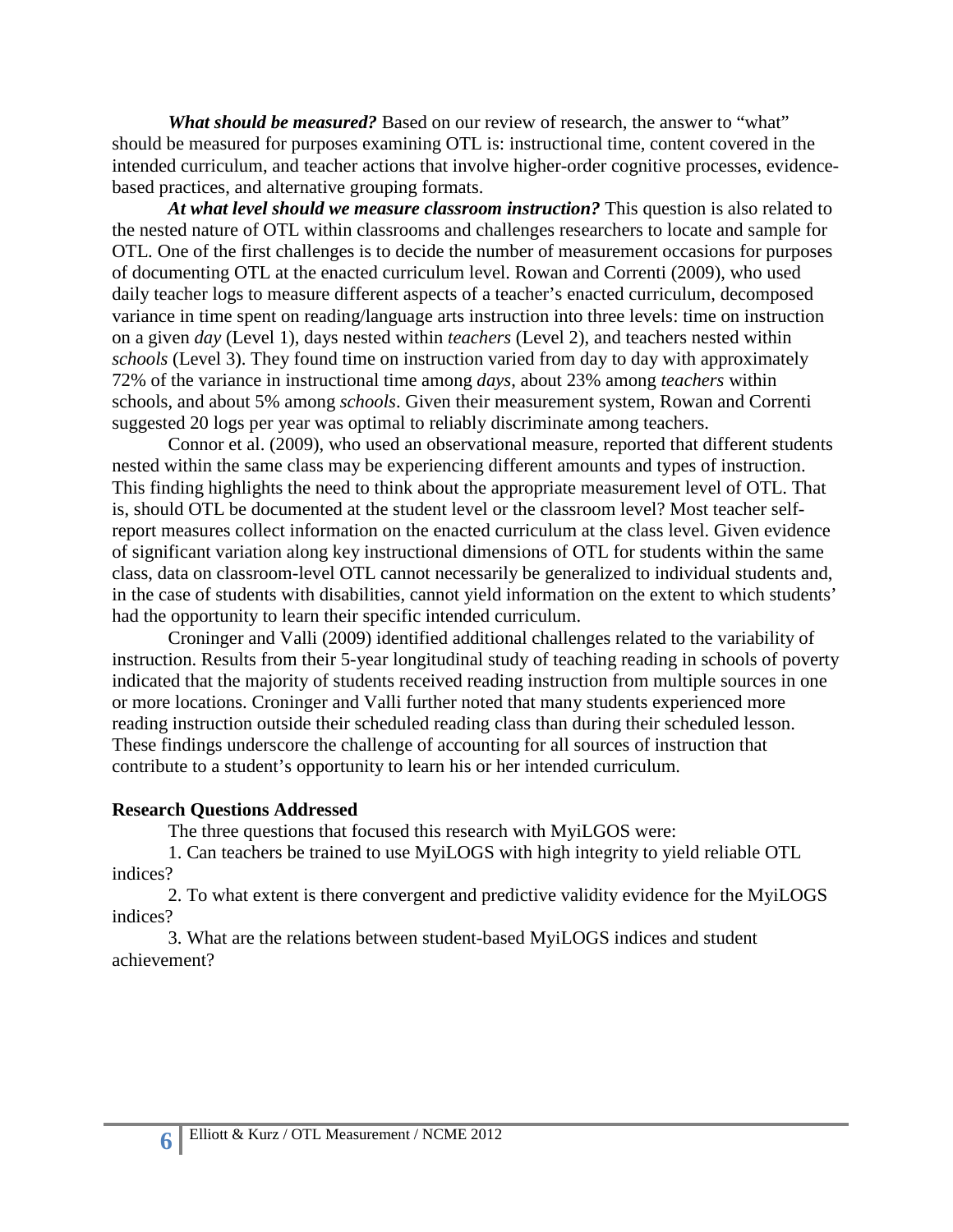*What should be measured?* Based on our review of research, the answer to "what" should be measured for purposes examining OTL is: instructional time, content covered in the intended curriculum, and teacher actions that involve higher-order cognitive processes, evidencebased practices, and alternative grouping formats.

*At what level should we measure classroom instruction?* This question is also related to the nested nature of OTL within classrooms and challenges researchers to locate and sample for OTL. One of the first challenges is to decide the number of measurement occasions for purposes of documenting OTL at the enacted curriculum level. Rowan and Correnti (2009), who used daily teacher logs to measure different aspects of a teacher's enacted curriculum, decomposed variance in time spent on reading/language arts instruction into three levels: time on instruction on a given *day* (Level 1), days nested within *teachers* (Level 2), and teachers nested within *schools* (Level 3). They found time on instruction varied from day to day with approximately 72% of the variance in instructional time among *days*, about 23% among *teachers* within schools, and about 5% among *schools*. Given their measurement system, Rowan and Correnti suggested 20 logs per year was optimal to reliably discriminate among teachers.

Connor et al. (2009), who used an observational measure, reported that different students nested within the same class may be experiencing different amounts and types of instruction. This finding highlights the need to think about the appropriate measurement level of OTL. That is, should OTL be documented at the student level or the classroom level? Most teacher selfreport measures collect information on the enacted curriculum at the class level. Given evidence of significant variation along key instructional dimensions of OTL for students within the same class, data on classroom-level OTL cannot necessarily be generalized to individual students and, in the case of students with disabilities, cannot yield information on the extent to which students' had the opportunity to learn their specific intended curriculum.

Croninger and Valli (2009) identified additional challenges related to the variability of instruction. Results from their 5-year longitudinal study of teaching reading in schools of poverty indicated that the majority of students received reading instruction from multiple sources in one or more locations. Croninger and Valli further noted that many students experienced more reading instruction outside their scheduled reading class than during their scheduled lesson. These findings underscore the challenge of accounting for all sources of instruction that contribute to a student's opportunity to learn his or her intended curriculum.

### **Research Questions Addressed**

The three questions that focused this research with MyiLGOS were:

1. Can teachers be trained to use MyiLOGS with high integrity to yield reliable OTL indices?

2. To what extent is there convergent and predictive validity evidence for the MyiLOGS indices?

3. What are the relations between student-based MyiLOGS indices and student achievement?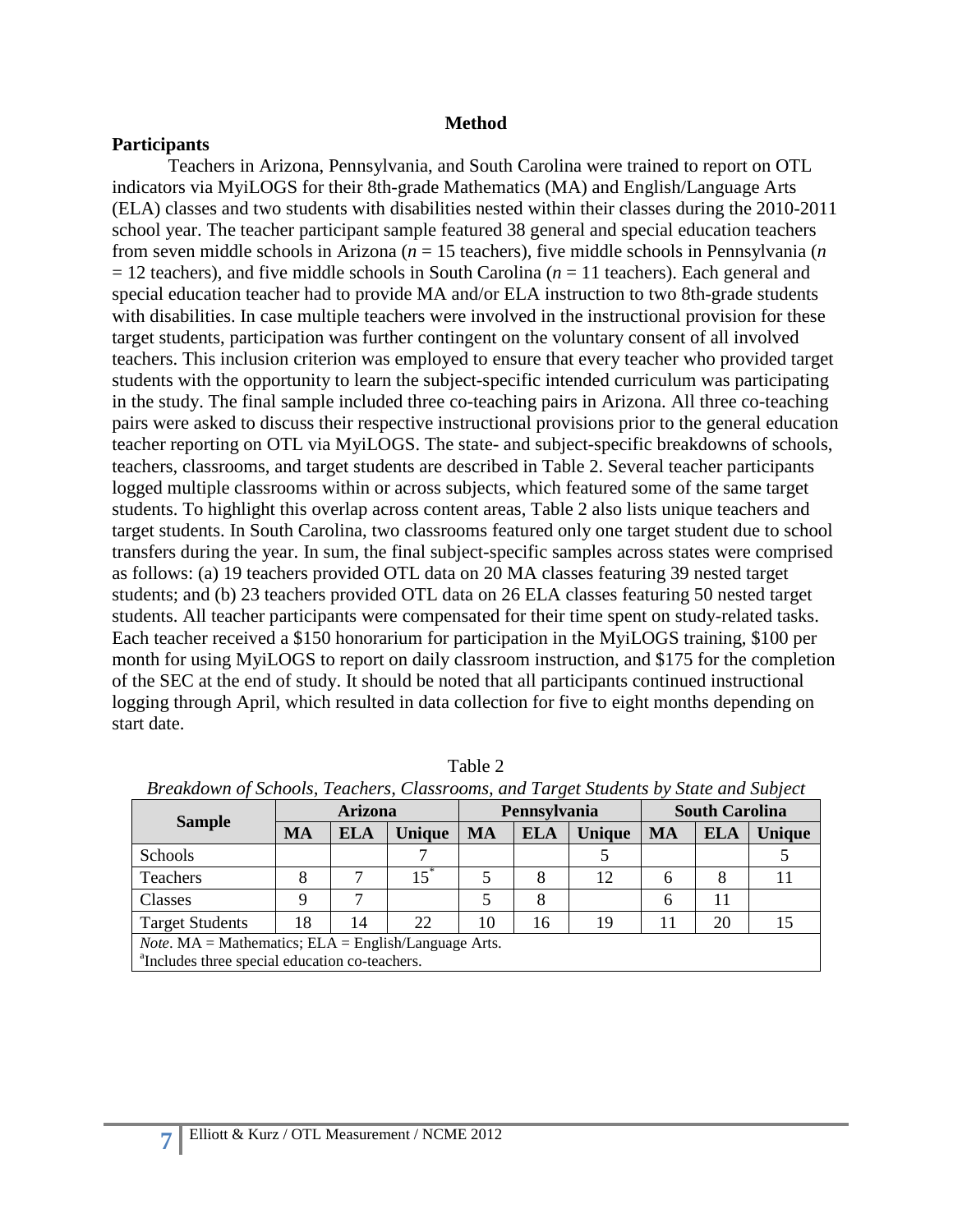### **Method**

### **Participants**

Teachers in Arizona, Pennsylvania, and South Carolina were trained to report on OTL indicators via MyiLOGS for their 8th-grade Mathematics (MA) and English/Language Arts (ELA) classes and two students with disabilities nested within their classes during the 2010-2011 school year. The teacher participant sample featured 38 general and special education teachers from seven middle schools in Arizona (*n* = 15 teachers), five middle schools in Pennsylvania (*n*  $= 12$  teachers), and five middle schools in South Carolina ( $n = 11$  teachers). Each general and special education teacher had to provide MA and/or ELA instruction to two 8th-grade students with disabilities. In case multiple teachers were involved in the instructional provision for these target students, participation was further contingent on the voluntary consent of all involved teachers. This inclusion criterion was employed to ensure that every teacher who provided target students with the opportunity to learn the subject-specific intended curriculum was participating in the study. The final sample included three co-teaching pairs in Arizona. All three co-teaching pairs were asked to discuss their respective instructional provisions prior to the general education teacher reporting on OTL via MyiLOGS. The state- and subject-specific breakdowns of schools, teachers, classrooms, and target students are described in Table 2. Several teacher participants logged multiple classrooms within or across subjects, which featured some of the same target students. To highlight this overlap across content areas, Table 2 also lists unique teachers and target students. In South Carolina, two classrooms featured only one target student due to school transfers during the year. In sum, the final subject-specific samples across states were comprised as follows: (a) 19 teachers provided OTL data on 20 MA classes featuring 39 nested target students; and (b) 23 teachers provided OTL data on 26 ELA classes featuring 50 nested target students. All teacher participants were compensated for their time spent on study-related tasks. Each teacher received a \$150 honorarium for participation in the MyiLOGS training, \$100 per month for using MyiLOGS to report on daily classroom instruction, and \$175 for the completion of the SEC at the end of study. It should be noted that all participants continued instructional logging through April, which resulted in data collection for five to eight months depending on start date.

|                                                                    | <b>Arizona</b> |            | Pennsylvania      |    |            | <b>South Carolina</b> |           |            |        |
|--------------------------------------------------------------------|----------------|------------|-------------------|----|------------|-----------------------|-----------|------------|--------|
| <b>Sample</b>                                                      | MA             | <b>ELA</b> | Unique            | MA | <b>ELA</b> | <b>Unique</b>         | <b>MA</b> | <b>ELA</b> | Unique |
| Schools                                                            |                |            |                   |    |            |                       |           |            |        |
| Teachers                                                           | 8              | ⇁          | $15$ <sup>*</sup> |    | 8          | 12                    | 6         | 8          |        |
| Classes                                                            | Q              | ⇁          |                   |    | 8          |                       | 6         | 11         |        |
| <b>Target Students</b>                                             | 18             | 14         | 22                | 10 | 16         | 19                    | 11        | 20         |        |
| <i>Note</i> . $MA = Mathematics$ ; $ELA = English/Language Arts$ . |                |            |                   |    |            |                       |           |            |        |
| <sup>a</sup> Includes three special education co-teachers.         |                |            |                   |    |            |                       |           |            |        |

Table 2 *Breakdown of Schools, Teachers, Classrooms, and Target Students by State and Subject*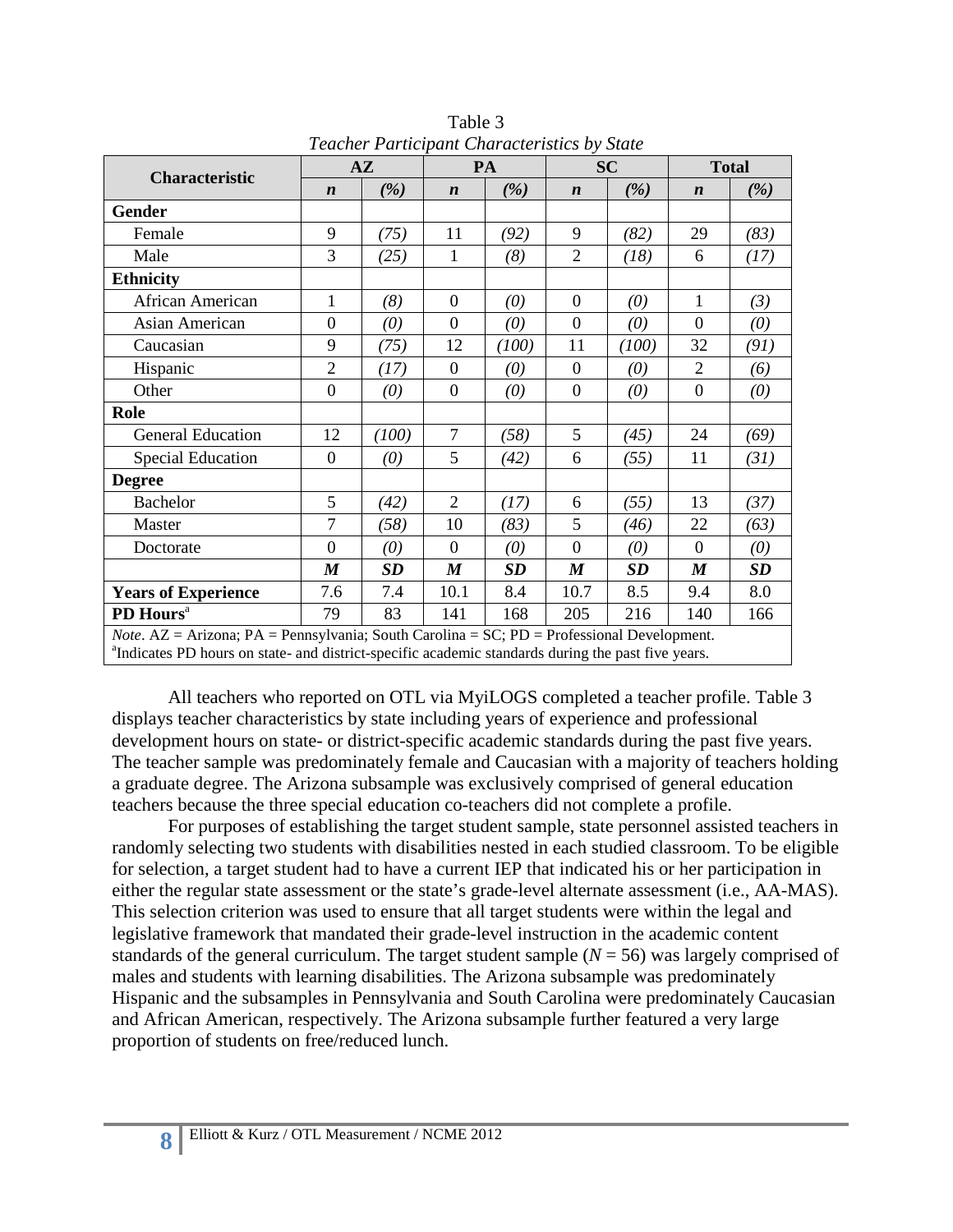|                            | $A\mathbf{Z}$                                                                                                                                                                                                                |           | PA               |       | <b>SC</b>        |           | <b>Total</b>     |      |  |
|----------------------------|------------------------------------------------------------------------------------------------------------------------------------------------------------------------------------------------------------------------------|-----------|------------------|-------|------------------|-----------|------------------|------|--|
| Characteristic             | $\boldsymbol{n}$                                                                                                                                                                                                             | (%)       | $\boldsymbol{n}$ | (%)   | $\boldsymbol{n}$ | (%)       | $\boldsymbol{n}$ | (%)  |  |
| <b>Gender</b>              |                                                                                                                                                                                                                              |           |                  |       |                  |           |                  |      |  |
| Female                     | 9                                                                                                                                                                                                                            | (75)      | 11               | (92)  | 9                | (82)      | 29               | (83) |  |
| Male                       | 3                                                                                                                                                                                                                            | (25)      | 1                | (8)   | $\overline{2}$   | (18)      | 6                | (17) |  |
| <b>Ethnicity</b>           |                                                                                                                                                                                                                              |           |                  |       |                  |           |                  |      |  |
| African American           | $\mathbf{1}$                                                                                                                                                                                                                 | (8)       | $\mathbf{0}$     | (0)   | $\boldsymbol{0}$ | (0)       | $\mathbf{1}$     | (3)  |  |
| Asian American             | $\boldsymbol{0}$                                                                                                                                                                                                             | (0)       | $\mathbf{0}$     | (0)   | $\boldsymbol{0}$ | (0)       | $\overline{0}$   | (0)  |  |
| Caucasian                  | 9                                                                                                                                                                                                                            | (75)      | 12               | (100) | 11               | (100)     | 32               | (91) |  |
| Hispanic                   | $\overline{2}$                                                                                                                                                                                                               | (17)      | $\overline{0}$   | (0)   | $\overline{0}$   | (0)       | $\overline{2}$   | (6)  |  |
| Other                      | $\overline{0}$                                                                                                                                                                                                               | (0)       | $\overline{0}$   | (0)   | $\theta$         | (0)       | $\overline{0}$   | (0)  |  |
| Role                       |                                                                                                                                                                                                                              |           |                  |       |                  |           |                  |      |  |
| <b>General Education</b>   | 12                                                                                                                                                                                                                           | (100)     | $\overline{7}$   | (58)  | 5                | (45)      | 24               | (69) |  |
| <b>Special Education</b>   | $\overline{0}$                                                                                                                                                                                                               | (0)       | 5                | (42)  | 6                | (55)      | 11               | (31) |  |
| <b>Degree</b>              |                                                                                                                                                                                                                              |           |                  |       |                  |           |                  |      |  |
| <b>Bachelor</b>            | 5                                                                                                                                                                                                                            | (42)      | 2                | (17)  | 6                | (55)      | 13               | (37) |  |
| Master                     | $\overline{7}$                                                                                                                                                                                                               | (58)      | 10               | (83)  | 5                | (46)      | 22               | (63) |  |
| Doctorate                  | $\boldsymbol{0}$                                                                                                                                                                                                             | (0)       | $\overline{0}$   | (0)   | $\theta$         | (0)       | $\Omega$         | (0)  |  |
|                            | $\boldsymbol{M}$                                                                                                                                                                                                             | <b>SD</b> | $\boldsymbol{M}$ | SD    | $\boldsymbol{M}$ | <b>SD</b> | $\boldsymbol{M}$ | SD   |  |
| <b>Years of Experience</b> | 7.6                                                                                                                                                                                                                          | 7.4       | 10.1             | 8.4   | 10.7             | 8.5       | 9.4              | 8.0  |  |
| PD Hours <sup>a</sup>      | 79                                                                                                                                                                                                                           | 83        | 141              | 168   | 205              | 216       | 140              | 166  |  |
|                            | <i>Note.</i> $AZ = Arizona$ ; $PA = Pennsylvania$ ; South Carolina = SC; $PD = Professional Development$ .<br><sup>a</sup> Indicates PD hours on state- and district-specific academic standards during the past five years. |           |                  |       |                  |           |                  |      |  |

Table 3 *Teacher Participant Characteristics by State*

All teachers who reported on OTL via MyiLOGS completed a teacher profile. Table 3 displays teacher characteristics by state including years of experience and professional development hours on state- or district-specific academic standards during the past five years. The teacher sample was predominately female and Caucasian with a majority of teachers holding a graduate degree. The Arizona subsample was exclusively comprised of general education teachers because the three special education co-teachers did not complete a profile.

For purposes of establishing the target student sample, state personnel assisted teachers in randomly selecting two students with disabilities nested in each studied classroom. To be eligible for selection, a target student had to have a current IEP that indicated his or her participation in either the regular state assessment or the state's grade-level alternate assessment (i.e., AA-MAS). This selection criterion was used to ensure that all target students were within the legal and legislative framework that mandated their grade-level instruction in the academic content standards of the general curriculum. The target student sample  $(N = 56)$  was largely comprised of males and students with learning disabilities. The Arizona subsample was predominately Hispanic and the subsamples in Pennsylvania and South Carolina were predominately Caucasian and African American, respectively. The Arizona subsample further featured a very large proportion of students on free/reduced lunch.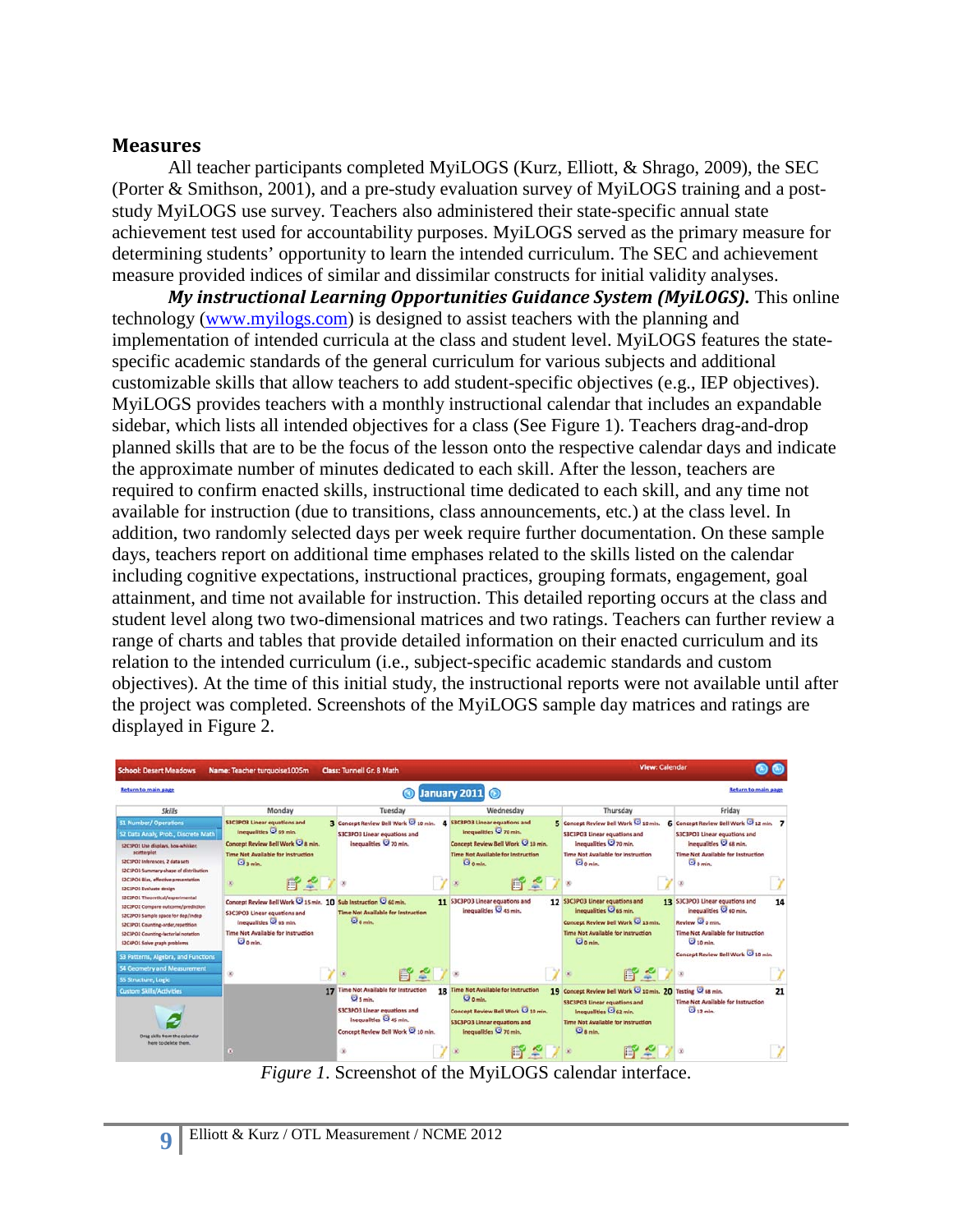## **Measures**

All teacher participants completed MyiLOGS (Kurz, Elliott, & Shrago, 2009), the SEC (Porter & Smithson, 2001), and a pre-study evaluation survey of MyiLOGS training and a poststudy MyiLOGS use survey. Teachers also administered their state-specific annual state achievement test used for accountability purposes. MyiLOGS served as the primary measure for determining students' opportunity to learn the intended curriculum. The SEC and achievement measure provided indices of similar and dissimilar constructs for initial validity analyses.

*My instructional Learning Opportunities Guidance System (MyiLOGS).* This online technology [\(www.myilogs.com\)](http://www.myilogs.com/) is designed to assist teachers with the planning and implementation of intended curricula at the class and student level. MyiLOGS features the statespecific academic standards of the general curriculum for various subjects and additional customizable skills that allow teachers to add student-specific objectives (e.g., IEP objectives). MyiLOGS provides teachers with a monthly instructional calendar that includes an expandable sidebar, which lists all intended objectives for a class (See Figure 1). Teachers drag-and-drop planned skills that are to be the focus of the lesson onto the respective calendar days and indicate the approximate number of minutes dedicated to each skill. After the lesson, teachers are required to confirm enacted skills, instructional time dedicated to each skill, and any time not available for instruction (due to transitions, class announcements, etc.) at the class level. In addition, two randomly selected days per week require further documentation. On these sample days, teachers report on additional time emphases related to the skills listed on the calendar including cognitive expectations, instructional practices, grouping formats, engagement, goal attainment, and time not available for instruction. This detailed reporting occurs at the class and student level along two two-dimensional matrices and two ratings. Teachers can further review a range of charts and tables that provide detailed information on their enacted curriculum and its relation to the intended curriculum (i.e., subject-specific academic standards and custom objectives). At the time of this initial study, the instructional reports were not available until after the project was completed. Screenshots of the MyiLOGS sample day matrices and ratings are displayed in Figure 2.

| <b>School: Desert Meadows</b>                                                                                                                                                                                                                                                   | Name: Teacher turquoise1005m                                                                                                                                                 | <b>Class: Tunnell Gr. 8 Math</b>                                                                                                                           | <b>View: Calendar</b>                                                                                                                                              |                                                                                                                                                                                             |                                                                                                                                                                                 |
|---------------------------------------------------------------------------------------------------------------------------------------------------------------------------------------------------------------------------------------------------------------------------------|------------------------------------------------------------------------------------------------------------------------------------------------------------------------------|------------------------------------------------------------------------------------------------------------------------------------------------------------|--------------------------------------------------------------------------------------------------------------------------------------------------------------------|---------------------------------------------------------------------------------------------------------------------------------------------------------------------------------------------|---------------------------------------------------------------------------------------------------------------------------------------------------------------------------------|
| <b>Return to main page</b>                                                                                                                                                                                                                                                      |                                                                                                                                                                              |                                                                                                                                                            | January 2011                                                                                                                                                       |                                                                                                                                                                                             | <b>Return to main page</b>                                                                                                                                                      |
| <b>Skills</b>                                                                                                                                                                                                                                                                   | Monday                                                                                                                                                                       | Tuesday                                                                                                                                                    | Wednesday                                                                                                                                                          | Thursday                                                                                                                                                                                    | Friday                                                                                                                                                                          |
| 51 Number/ Operations<br>52 Data Analy, Prob., Discrete Math<br>S2C1PO1 Use displays, how-whisker,<br>scatterplot<br>S2C1PO2 Inferences, 2 data sets<br>\$2C1PO3 Summary-shape of distribution<br><b>S2CIPO4 Blas, effective presentation</b><br><b>SZCIPOS Evaluate design</b> | <b>S3C3PO3 Linear equations and</b><br>Inequalities C 69 min.<br>Concept Review Bell Work C & min.<br><b>Time Not Available for Instruction</b><br>$Q_{A,min}$<br>呼ぎ /<br>×  | 3 Concept Review Bell Work C 10 min.<br>S3C3PO3 Linear equations and<br>Inequalities 70 min.                                                               | <b>4</b> S3C3PO3 Linear equations and<br>Inequalities 270 min.<br>Concept Review Bell Work @ 10 min.<br><b>Time Not Available for Instruction</b><br><b>O</b> nmin | 5 Concept Review Bell Work @ 10 min.<br><b>S3C3PO3 Linear equations and</b><br>Inequalities C 70 min.<br>Time Not Available for Instruction<br>$\overline{\mathbf{O}}$ o min.               | 6 Concept Review Bell Work C 12 min. 7<br>S3C3PO3 Linear equations and<br>Inequalities C 68 min.<br><b>Time Not Available for Instruction</b><br>$\overline{\mathbf{O}}$ o min. |
| S2C2PO1 Theoretical/experimental<br>SICIPOI Compare outcome/prediction<br>S2C2PO3 Sample space for dep/indep<br>SZCIPO1 Countine-order.regetition<br>\$2C3PO2 Counting-factorial notation<br>\$3C4PO1 Solve graph problems                                                      | Concept Review Bell Work 2 15 min. 10 Sub Instruction 2 60 min.<br>\$3C3PO3 Linear equations and<br>inequalities C 65 min.<br>Time Not Available for Instruction<br>O o min. | Time Not Available for Instruction<br>Comin.                                                                                                               | 11 S3C3PO3 Linear equations and<br>inequalities Q 45 min.                                                                                                          | 12 S3C3PO3 Linear equations and<br>inequalities C 65 min.<br>Concept Review Bell Work <a> 15 min.<br/>Time Not Available for Instruction<br/>0<sub>a min</sub></a>                          | 13 S3C3PO3 Linear equations and<br>14<br>inequalities C 60 min.<br>Review Comin.<br>Time Not Available for Instruction<br>O <sub>10 min</sub>                                   |
| 53 Patterns, Algebra, and Functions<br>54 Geometry and Measurement<br>55 Structure, Logic                                                                                                                                                                                       | s                                                                                                                                                                            | 昏ぐ                                                                                                                                                         |                                                                                                                                                                    |                                                                                                                                                                                             | Concept Review Bell Work @ 10 min.                                                                                                                                              |
| <b>Custom Skills/Activities</b><br>Orag skills from the calendar<br>here to delete them.                                                                                                                                                                                        |                                                                                                                                                                              | 17 Time Not Available for Instruction<br>U <sub>smin</sub><br>S3C3PO3 Linear equations and<br>Inequalities C 45 min.<br>Concept Review Bell Work Q 10 min. | 18 Time Not Available for Instruction<br><b>U</b> a min.<br>Concept Review Bell Work 10 min.<br><b>S3C3PO3 Linear equations and</b><br>inequalities Q 70 min.      | 19 Concept Review Bell Work @ 10 min. 20 Testing @ 68 min.<br><b>S3C3PO3 Linear equations and</b><br>Inequalities C 62 min.<br><b>Time Not Available for Instruction</b><br><b>Q</b> s min. | 21<br>Time Not Available for Instruction<br>$212$ min.                                                                                                                          |

*Figure 1*. Screenshot of the MyiLOGS calendar interface.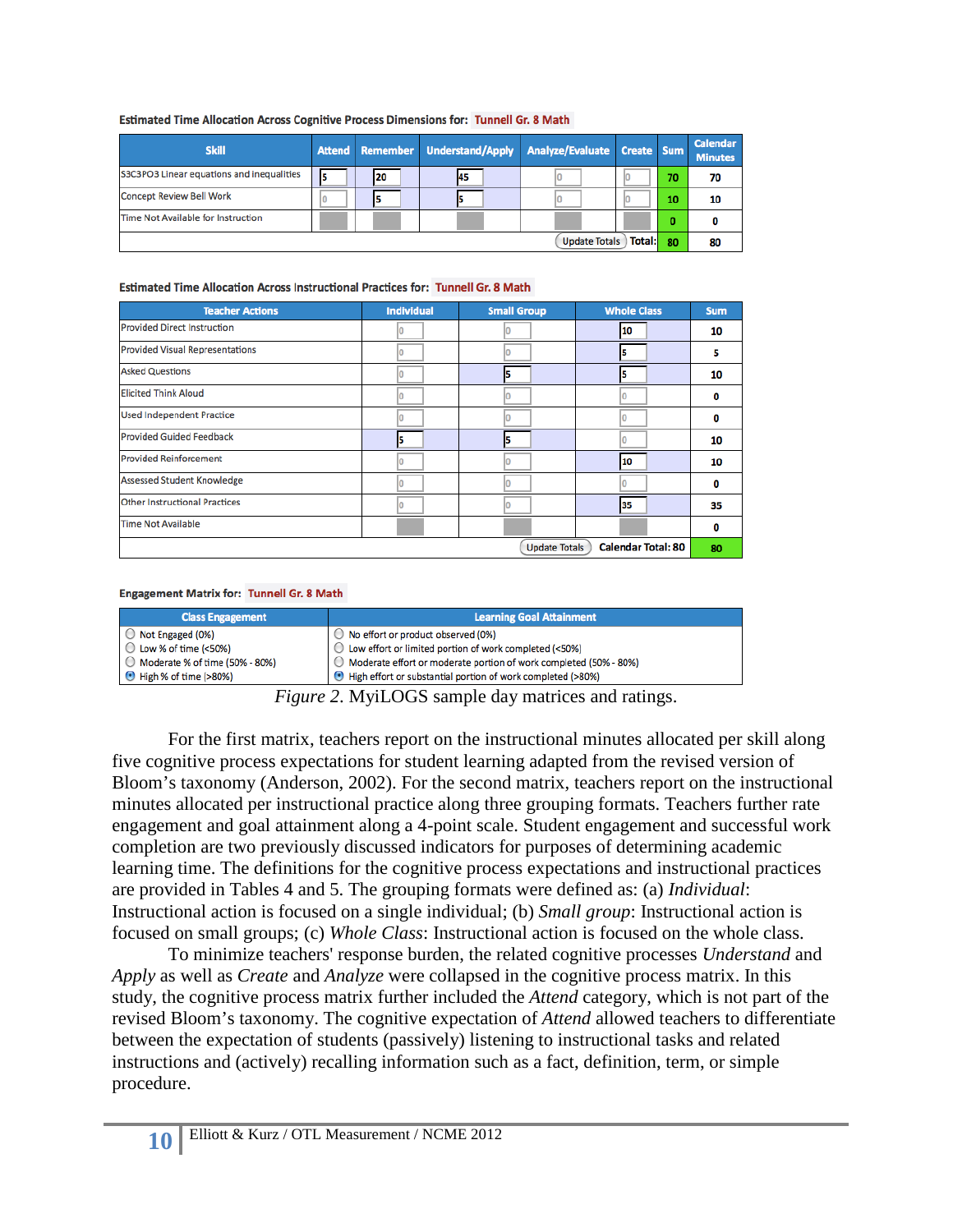| <b>Skill</b>                              |  |     | Attend Remember Understand/Apply Analyze/Evaluate Create Sum |  |  |    | <b>Calendar</b><br><b>Minutes</b> |
|-------------------------------------------|--|-----|--------------------------------------------------------------|--|--|----|-----------------------------------|
| S3C3PO3 Linear equations and inequalities |  | 120 | 45                                                           |  |  | 70 | 70                                |
| <b>Concept Review Bell Work</b>           |  |     |                                                              |  |  | 10 | 10                                |
| Time Not Available for Instruction        |  |     |                                                              |  |  |    |                                   |
| <b>Total:</b><br><b>Update Totals</b>     |  |     |                                                              |  |  | 80 | 80                                |

#### Estimated Time Allocation Across Cognitive Process Dimensions for: Tunnell Gr. 8 Math

#### Estimated Time Allocation Across Instructional Practices for: Tunnell Gr. 8 Math

| <b>Teacher Actions</b>                            | <b>Individual</b> | <b>Small Group</b> | <b>Whole Class</b> | <b>Sum</b> |  |
|---------------------------------------------------|-------------------|--------------------|--------------------|------------|--|
| <b>Provided Direct Instruction</b>                |                   |                    | 10                 | 10         |  |
| <b>Provided Visual Representations</b>            |                   |                    |                    | 5          |  |
| <b>Asked Questions</b>                            |                   |                    |                    | 10         |  |
| <b>Elicited Think Aloud</b>                       |                   |                    |                    | 0          |  |
| <b>Used Independent Practice</b>                  |                   |                    |                    | 0          |  |
| <b>Provided Guided Feedback</b>                   | 5                 | 5                  |                    | 10         |  |
| <b>Provided Reinforcement</b>                     |                   |                    | 10                 | 10         |  |
| <b>Assessed Student Knowledge</b>                 |                   |                    |                    | 0          |  |
| <b>Other Instructional Practices</b>              |                   |                    | 35                 | 35         |  |
| <b>Time Not Available</b>                         |                   |                    |                    | 0          |  |
| <b>Calendar Total: 80</b><br><b>Update Totals</b> |                   |                    |                    |            |  |

#### **Engagement Matrix for: Tunnell Gr. 8 Math**

| <b>Class Engagement</b>          | <b>Learning Goal Attainment</b>                                     |
|----------------------------------|---------------------------------------------------------------------|
| Not Engaged (0%)                 | $\bigcirc$ No effort or product observed (0%)                       |
| ◯ Low % of time (<50%)           | $\bigcirc$ Low effort or limited portion of work completed (<50%)   |
| ◯ Moderate % of time (50% - 80%) | ○ Moderate effort or moderate portion of work completed (50% - 80%) |
| High % of time (>80%)            | High effort or substantial portion of work completed (>80%)         |

*Figure 2*. MyiLOGS sample day matrices and ratings.

For the first matrix, teachers report on the instructional minutes allocated per skill along five cognitive process expectations for student learning adapted from the revised version of Bloom's taxonomy (Anderson, 2002). For the second matrix, teachers report on the instructional minutes allocated per instructional practice along three grouping formats. Teachers further rate engagement and goal attainment along a 4-point scale. Student engagement and successful work completion are two previously discussed indicators for purposes of determining academic learning time. The definitions for the cognitive process expectations and instructional practices are provided in Tables 4 and 5. The grouping formats were defined as: (a) *Individual*: Instructional action is focused on a single individual; (b) *Small group*: Instructional action is focused on small groups; (c) *Whole Class*: Instructional action is focused on the whole class.

To minimize teachers' response burden, the related cognitive processes *Understand* and *Apply* as well as *Create* and *Analyze* were collapsed in the cognitive process matrix. In this study, the cognitive process matrix further included the *Attend* category, which is not part of the revised Bloom's taxonomy. The cognitive expectation of *Attend* allowed teachers to differentiate between the expectation of students (passively) listening to instructional tasks and related instructions and (actively) recalling information such as a fact, definition, term, or simple procedure.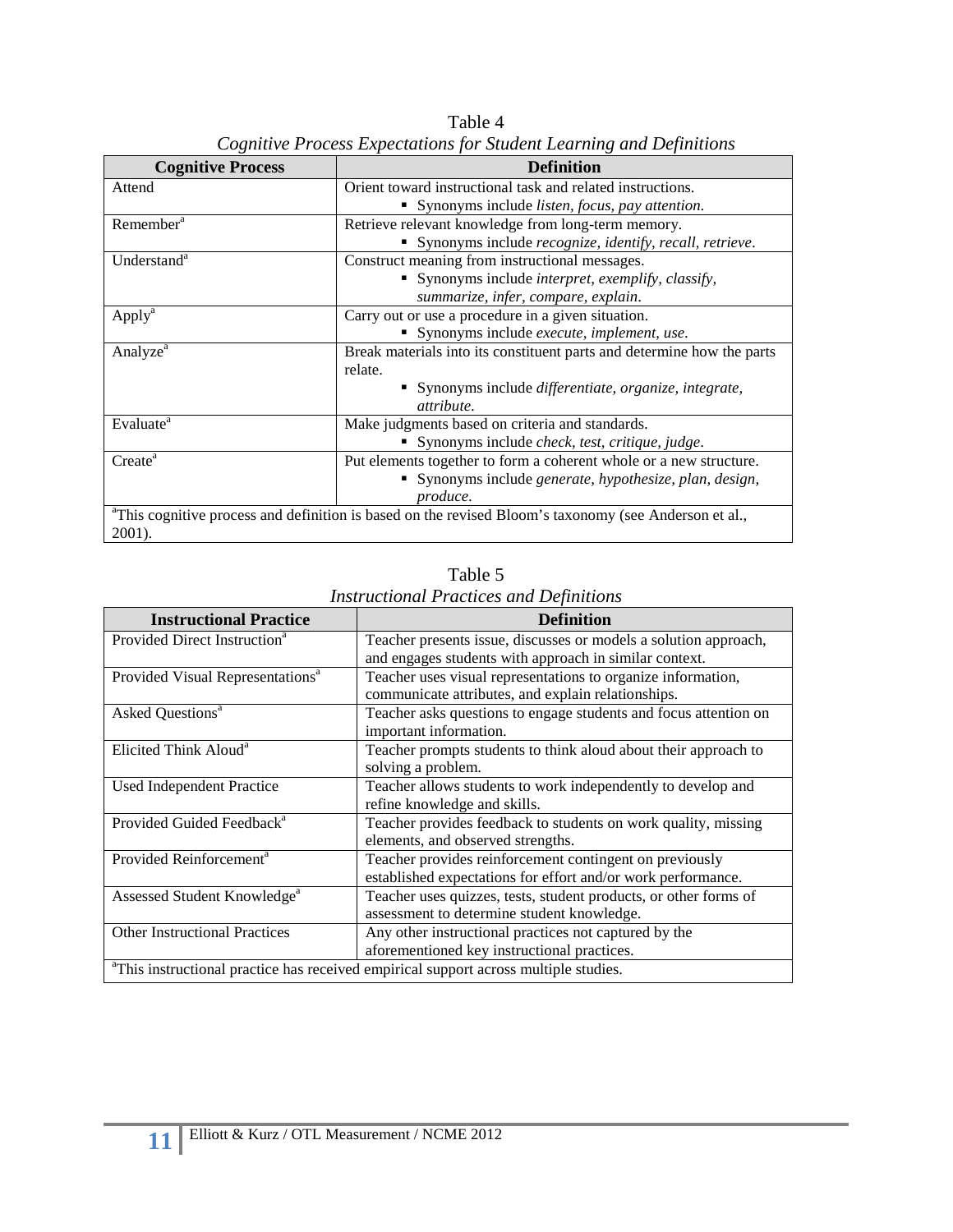| <b>Cognitive Process</b> | <b>Definition</b>                                                                                     |
|--------------------------|-------------------------------------------------------------------------------------------------------|
| Attend                   | Orient toward instructional task and related instructions.                                            |
|                          | • Synonyms include <i>listen</i> , <i>focus</i> , <i>pay attention</i> .                              |
| Remember <sup>a</sup>    | Retrieve relevant knowledge from long-term memory.                                                    |
|                          | Synonyms include recognize, identify, recall, retrieve.                                               |
| Understand <sup>a</sup>  | Construct meaning from instructional messages.                                                        |
|                          | Synonyms include <i>interpret</i> , <i>exemplify</i> , <i>classify</i> ,<br>٠                         |
|                          | summarize, infer, compare, explain.                                                                   |
| Apply <sup>a</sup>       | Carry out or use a procedure in a given situation.                                                    |
|                          | Synonyms include execute, implement, use.                                                             |
| Analyze <sup>a</sup>     | Break materials into its constituent parts and determine how the parts                                |
|                          | relate.                                                                                               |
|                          | • Synonyms include <i>differentiate</i> , <i>organize</i> , <i>integrate</i> ,                        |
|                          | attribute.                                                                                            |
| Evaluate <sup>a</sup>    | Make judgments based on criteria and standards.                                                       |
|                          | Synonyms include check, test, critique, judge.                                                        |
| Create <sup>a</sup>      | Put elements together to form a coherent whole or a new structure.                                    |
|                          | Synonyms include generate, hypothesize, plan, design,                                                 |
|                          | produce.                                                                                              |
|                          | aThis cognitive process and definition is based on the revised Bloom's taxonomy (see Anderson et al., |
| 2001).                   |                                                                                                       |

Table 4 *Cognitive Process Expectations for Student Learning and Definitions*

| <b>Instructional Practice</b>                | <b>Definition</b>                                                                                                          |
|----------------------------------------------|----------------------------------------------------------------------------------------------------------------------------|
| Provided Direct Instruction <sup>a</sup>     | Teacher presents issue, discusses or models a solution approach,<br>and engages students with approach in similar context. |
| Provided Visual Representations <sup>a</sup> | Teacher uses visual representations to organize information,<br>communicate attributes, and explain relationships.         |
| Asked Questions <sup>a</sup>                 | Teacher asks questions to engage students and focus attention on<br>important information.                                 |
| Elicited Think Aloud <sup>a</sup>            | Teacher prompts students to think aloud about their approach to<br>solving a problem.                                      |
| Used Independent Practice                    | Teacher allows students to work independently to develop and<br>refine knowledge and skills.                               |
| Provided Guided Feedback <sup>a</sup>        | Teacher provides feedback to students on work quality, missing<br>elements, and observed strengths.                        |
| Provided Reinforcement <sup>a</sup>          | Teacher provides reinforcement contingent on previously<br>established expectations for effort and/or work performance.    |
| Assessed Student Knowledge <sup>a</sup>      | Teacher uses quizzes, tests, student products, or other forms of<br>assessment to determine student knowledge.             |
| <b>Other Instructional Practices</b>         | Any other instructional practices not captured by the<br>aforementioned key instructional practices.                       |
|                                              | <sup>a</sup> This instructional practice has received empirical support across multiple studies.                           |

Table 5 *Instructional Practices and Definitions*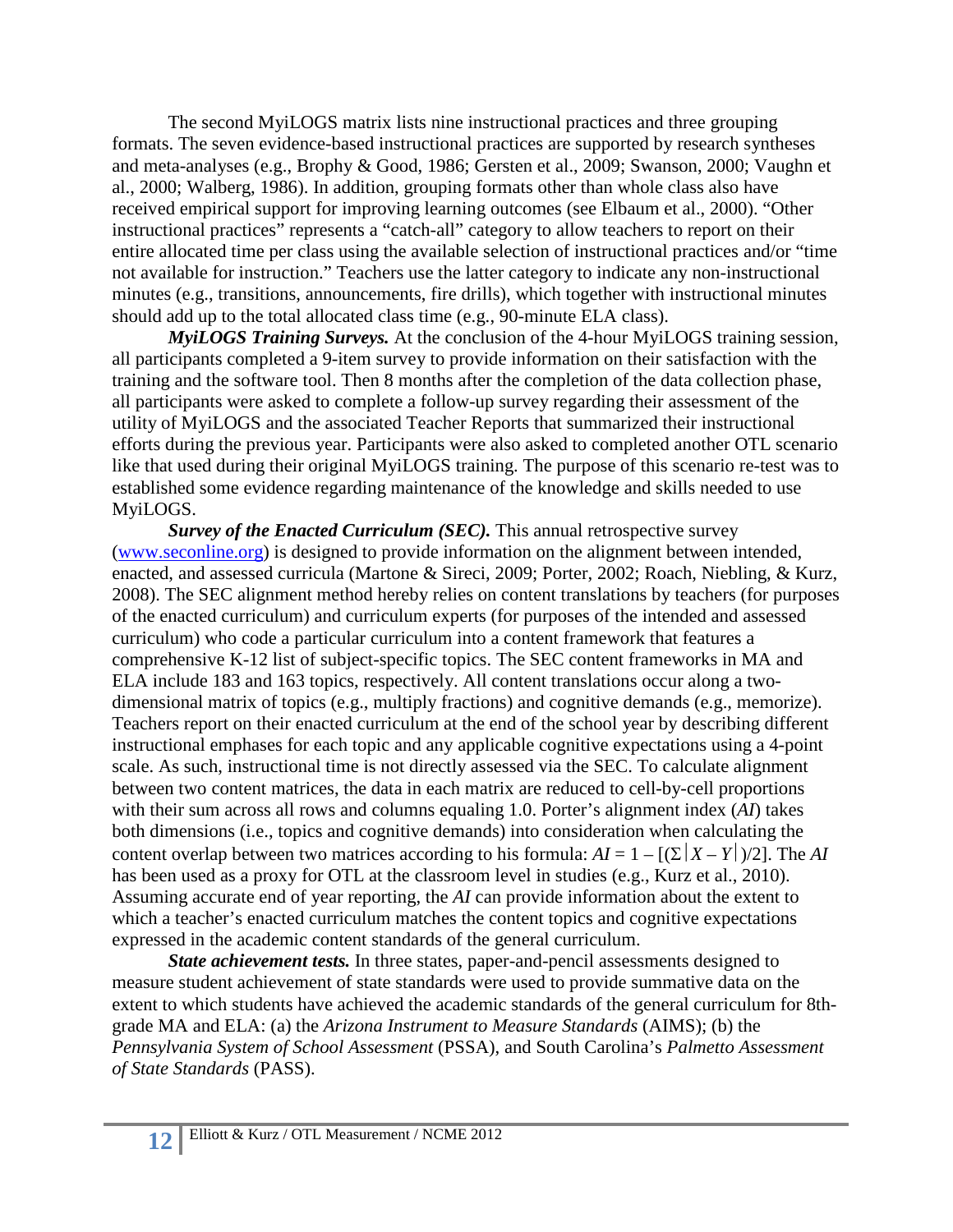The second MyiLOGS matrix lists nine instructional practices and three grouping formats. The seven evidence-based instructional practices are supported by research syntheses and meta-analyses (e.g., Brophy & Good, 1986; Gersten et al., 2009; Swanson, 2000; Vaughn et al., 2000; Walberg, 1986). In addition, grouping formats other than whole class also have received empirical support for improving learning outcomes (see Elbaum et al., 2000). "Other instructional practices" represents a "catch-all" category to allow teachers to report on their entire allocated time per class using the available selection of instructional practices and/or "time not available for instruction." Teachers use the latter category to indicate any non-instructional minutes (e.g., transitions, announcements, fire drills), which together with instructional minutes should add up to the total allocated class time (e.g., 90-minute ELA class).

*MyiLOGS Training Surveys.* At the conclusion of the 4-hour MyiLOGS training session, all participants completed a 9-item survey to provide information on their satisfaction with the training and the software tool. Then 8 months after the completion of the data collection phase, all participants were asked to complete a follow-up survey regarding their assessment of the utility of MyiLOGS and the associated Teacher Reports that summarized their instructional efforts during the previous year. Participants were also asked to completed another OTL scenario like that used during their original MyiLOGS training. The purpose of this scenario re-test was to established some evidence regarding maintenance of the knowledge and skills needed to use MyiLOGS.

*Survey of the Enacted Curriculum (SEC)*. This annual retrospective survey [\(www.seconline.org\)](http://www.seconline.org/) is designed to provide information on the alignment between intended, enacted, and assessed curricula (Martone & Sireci, 2009; Porter, 2002; Roach, Niebling, & Kurz, 2008). The SEC alignment method hereby relies on content translations by teachers (for purposes of the enacted curriculum) and curriculum experts (for purposes of the intended and assessed curriculum) who code a particular curriculum into a content framework that features a comprehensive K-12 list of subject-specific topics. The SEC content frameworks in MA and ELA include 183 and 163 topics, respectively. All content translations occur along a twodimensional matrix of topics (e.g., multiply fractions) and cognitive demands (e.g., memorize). Teachers report on their enacted curriculum at the end of the school year by describing different instructional emphases for each topic and any applicable cognitive expectations using a 4-point scale. As such, instructional time is not directly assessed via the SEC. To calculate alignment between two content matrices, the data in each matrix are reduced to cell-by-cell proportions with their sum across all rows and columns equaling 1.0. Porter's alignment index (*AI*) takes both dimensions (i.e., topics and cognitive demands) into consideration when calculating the content overlap between two matrices according to his formula:  $AI = 1 - \frac{(\sum |X - Y|)}{2}$ . The *AI* has been used as a proxy for OTL at the classroom level in studies (e.g., Kurz et al., 2010). Assuming accurate end of year reporting, the *AI* can provide information about the extent to which a teacher's enacted curriculum matches the content topics and cognitive expectations expressed in the academic content standards of the general curriculum.

*State achievement tests.* In three states, paper-and-pencil assessments designed to measure student achievement of state standards were used to provide summative data on the extent to which students have achieved the academic standards of the general curriculum for 8thgrade MA and ELA: (a) the *Arizona Instrument to Measure Standards* (AIMS); (b) the *Pennsylvania System of School Assessment* (PSSA), and South Carolina's *Palmetto Assessment of State Standards* (PASS).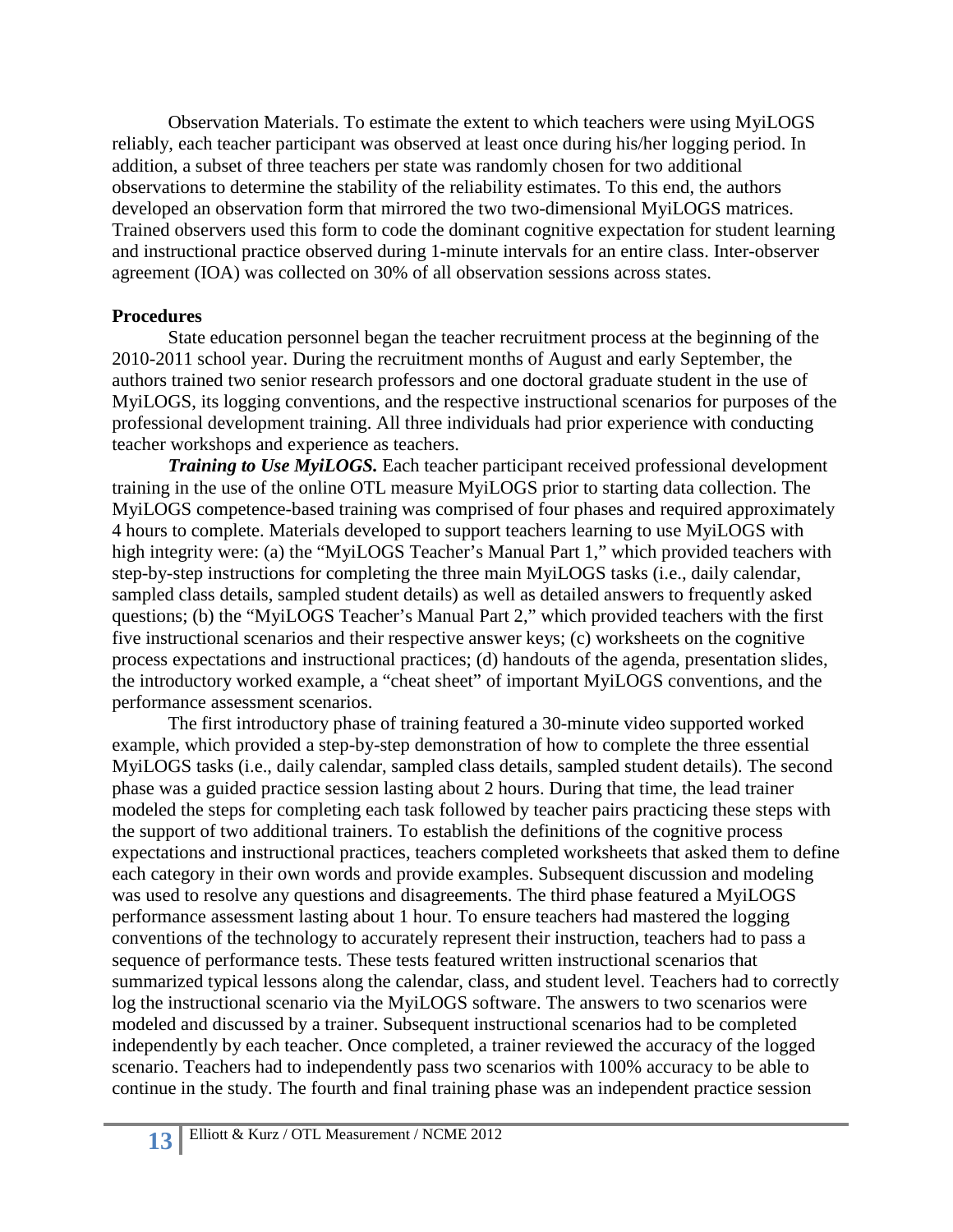Observation Materials. To estimate the extent to which teachers were using MyiLOGS reliably, each teacher participant was observed at least once during his/her logging period. In addition, a subset of three teachers per state was randomly chosen for two additional observations to determine the stability of the reliability estimates. To this end, the authors developed an observation form that mirrored the two two-dimensional MyiLOGS matrices. Trained observers used this form to code the dominant cognitive expectation for student learning and instructional practice observed during 1-minute intervals for an entire class. Inter-observer agreement (IOA) was collected on 30% of all observation sessions across states.

## **Procedures**

State education personnel began the teacher recruitment process at the beginning of the 2010-2011 school year. During the recruitment months of August and early September, the authors trained two senior research professors and one doctoral graduate student in the use of MyiLOGS, its logging conventions, and the respective instructional scenarios for purposes of the professional development training. All three individuals had prior experience with conducting teacher workshops and experience as teachers.

*Training to Use MyiLOGS.* Each teacher participant received professional development training in the use of the online OTL measure MyiLOGS prior to starting data collection. The MyiLOGS competence-based training was comprised of four phases and required approximately 4 hours to complete. Materials developed to support teachers learning to use MyiLOGS with high integrity were: (a) the "MyiLOGS Teacher's Manual Part 1," which provided teachers with step-by-step instructions for completing the three main MyiLOGS tasks (i.e., daily calendar, sampled class details, sampled student details) as well as detailed answers to frequently asked questions; (b) the "MyiLOGS Teacher's Manual Part 2," which provided teachers with the first five instructional scenarios and their respective answer keys; (c) worksheets on the cognitive process expectations and instructional practices; (d) handouts of the agenda, presentation slides, the introductory worked example, a "cheat sheet" of important MyiLOGS conventions, and the performance assessment scenarios.

The first introductory phase of training featured a 30-minute video supported worked example, which provided a step-by-step demonstration of how to complete the three essential MyiLOGS tasks (i.e., daily calendar, sampled class details, sampled student details). The second phase was a guided practice session lasting about 2 hours. During that time, the lead trainer modeled the steps for completing each task followed by teacher pairs practicing these steps with the support of two additional trainers. To establish the definitions of the cognitive process expectations and instructional practices, teachers completed worksheets that asked them to define each category in their own words and provide examples. Subsequent discussion and modeling was used to resolve any questions and disagreements. The third phase featured a MyiLOGS performance assessment lasting about 1 hour. To ensure teachers had mastered the logging conventions of the technology to accurately represent their instruction, teachers had to pass a sequence of performance tests. These tests featured written instructional scenarios that summarized typical lessons along the calendar, class, and student level. Teachers had to correctly log the instructional scenario via the MyiLOGS software. The answers to two scenarios were modeled and discussed by a trainer. Subsequent instructional scenarios had to be completed independently by each teacher. Once completed, a trainer reviewed the accuracy of the logged scenario. Teachers had to independently pass two scenarios with 100% accuracy to be able to continue in the study. The fourth and final training phase was an independent practice session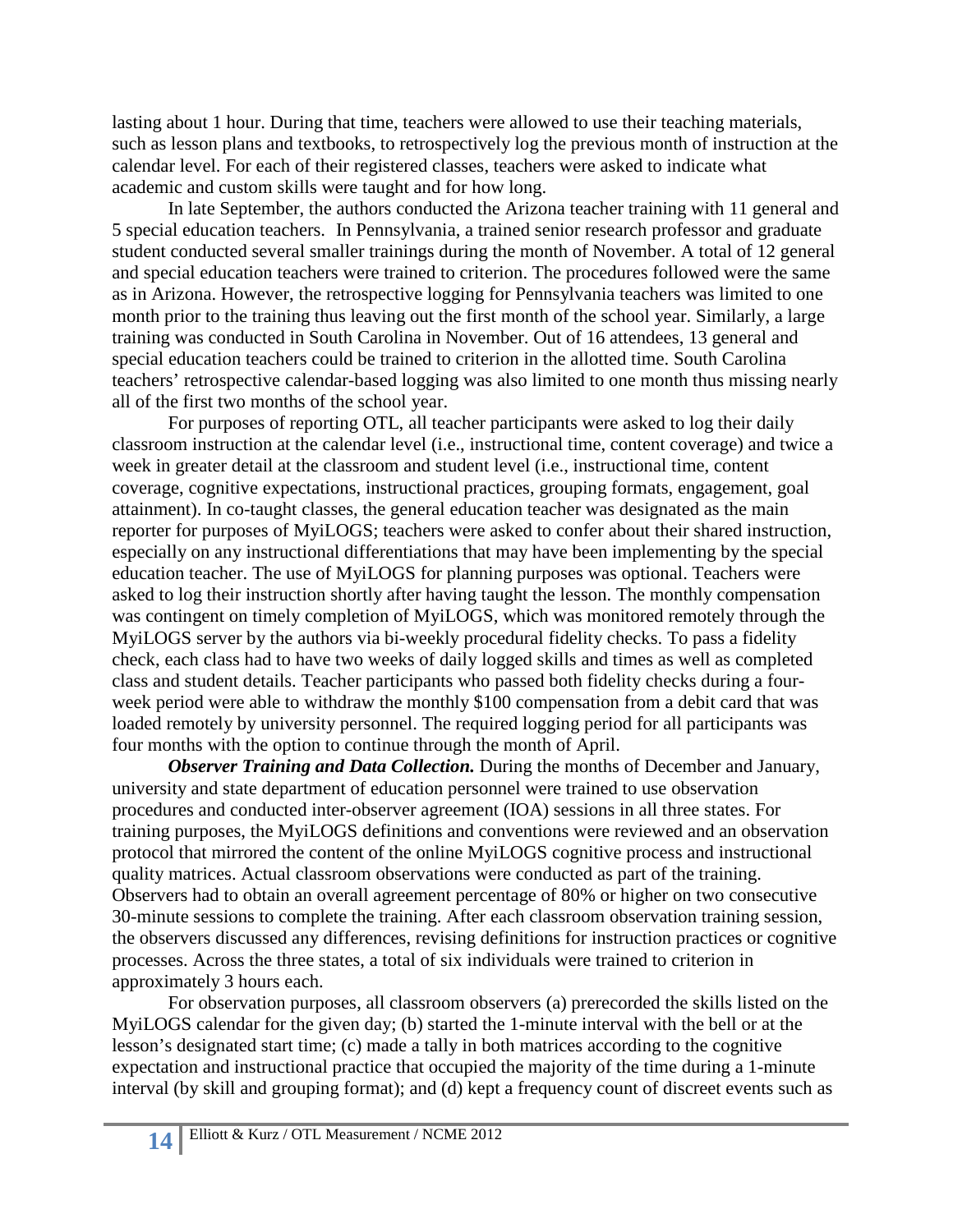lasting about 1 hour. During that time, teachers were allowed to use their teaching materials, such as lesson plans and textbooks, to retrospectively log the previous month of instruction at the calendar level. For each of their registered classes, teachers were asked to indicate what academic and custom skills were taught and for how long.

In late September, the authors conducted the Arizona teacher training with 11 general and 5 special education teachers. In Pennsylvania, a trained senior research professor and graduate student conducted several smaller trainings during the month of November. A total of 12 general and special education teachers were trained to criterion. The procedures followed were the same as in Arizona. However, the retrospective logging for Pennsylvania teachers was limited to one month prior to the training thus leaving out the first month of the school year. Similarly, a large training was conducted in South Carolina in November. Out of 16 attendees, 13 general and special education teachers could be trained to criterion in the allotted time. South Carolina teachers' retrospective calendar-based logging was also limited to one month thus missing nearly all of the first two months of the school year.

For purposes of reporting OTL, all teacher participants were asked to log their daily classroom instruction at the calendar level (i.e., instructional time, content coverage) and twice a week in greater detail at the classroom and student level (i.e., instructional time, content coverage, cognitive expectations, instructional practices, grouping formats, engagement, goal attainment). In co-taught classes, the general education teacher was designated as the main reporter for purposes of MyiLOGS; teachers were asked to confer about their shared instruction, especially on any instructional differentiations that may have been implementing by the special education teacher. The use of MyiLOGS for planning purposes was optional. Teachers were asked to log their instruction shortly after having taught the lesson. The monthly compensation was contingent on timely completion of MyiLOGS, which was monitored remotely through the MyiLOGS server by the authors via bi-weekly procedural fidelity checks. To pass a fidelity check, each class had to have two weeks of daily logged skills and times as well as completed class and student details. Teacher participants who passed both fidelity checks during a fourweek period were able to withdraw the monthly \$100 compensation from a debit card that was loaded remotely by university personnel. The required logging period for all participants was four months with the option to continue through the month of April.

*Observer Training and Data Collection.* During the months of December and January, university and state department of education personnel were trained to use observation procedures and conducted inter-observer agreement (IOA) sessions in all three states. For training purposes, the MyiLOGS definitions and conventions were reviewed and an observation protocol that mirrored the content of the online MyiLOGS cognitive process and instructional quality matrices. Actual classroom observations were conducted as part of the training. Observers had to obtain an overall agreement percentage of 80% or higher on two consecutive 30-minute sessions to complete the training. After each classroom observation training session, the observers discussed any differences, revising definitions for instruction practices or cognitive processes. Across the three states, a total of six individuals were trained to criterion in approximately 3 hours each.

For observation purposes, all classroom observers (a) prerecorded the skills listed on the MyiLOGS calendar for the given day; (b) started the 1-minute interval with the bell or at the lesson's designated start time; (c) made a tally in both matrices according to the cognitive expectation and instructional practice that occupied the majority of the time during a 1-minute interval (by skill and grouping format); and (d) kept a frequency count of discreet events such as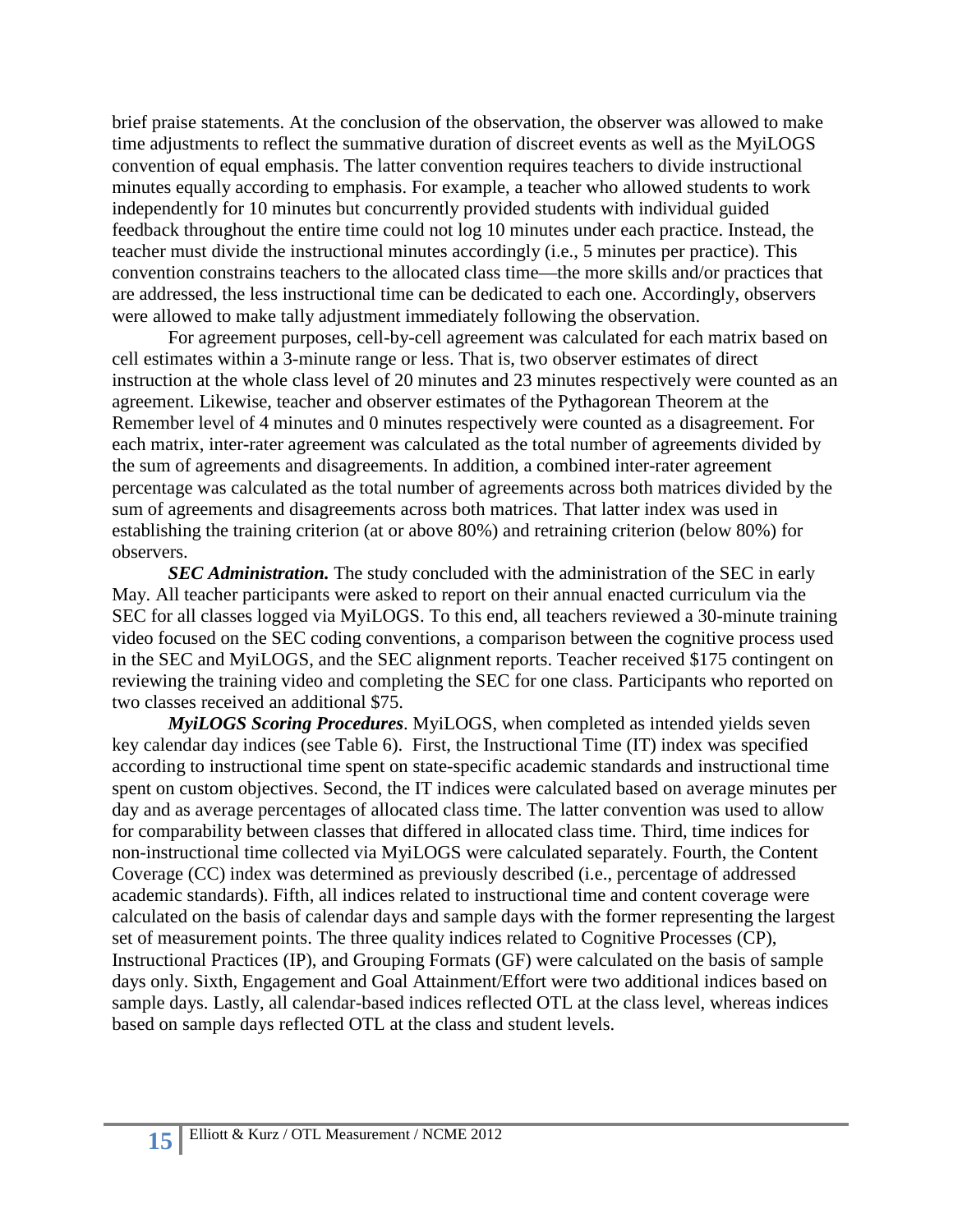brief praise statements. At the conclusion of the observation, the observer was allowed to make time adjustments to reflect the summative duration of discreet events as well as the MyiLOGS convention of equal emphasis. The latter convention requires teachers to divide instructional minutes equally according to emphasis. For example, a teacher who allowed students to work independently for 10 minutes but concurrently provided students with individual guided feedback throughout the entire time could not log 10 minutes under each practice. Instead, the teacher must divide the instructional minutes accordingly (i.e., 5 minutes per practice). This convention constrains teachers to the allocated class time—the more skills and/or practices that are addressed, the less instructional time can be dedicated to each one. Accordingly, observers were allowed to make tally adjustment immediately following the observation.

For agreement purposes, cell-by-cell agreement was calculated for each matrix based on cell estimates within a 3-minute range or less. That is, two observer estimates of direct instruction at the whole class level of 20 minutes and 23 minutes respectively were counted as an agreement. Likewise, teacher and observer estimates of the Pythagorean Theorem at the Remember level of 4 minutes and 0 minutes respectively were counted as a disagreement. For each matrix, inter-rater agreement was calculated as the total number of agreements divided by the sum of agreements and disagreements. In addition, a combined inter-rater agreement percentage was calculated as the total number of agreements across both matrices divided by the sum of agreements and disagreements across both matrices. That latter index was used in establishing the training criterion (at or above 80%) and retraining criterion (below 80%) for observers.

*SEC Administration.* The study concluded with the administration of the SEC in early May. All teacher participants were asked to report on their annual enacted curriculum via the SEC for all classes logged via MyiLOGS. To this end, all teachers reviewed a 30-minute training video focused on the SEC coding conventions, a comparison between the cognitive process used in the SEC and MyiLOGS, and the SEC alignment reports. Teacher received \$175 contingent on reviewing the training video and completing the SEC for one class. Participants who reported on two classes received an additional \$75.

*MyiLOGS Scoring Procedures*. MyiLOGS, when completed as intended yields seven key calendar day indices (see Table 6). First, the Instructional Time (IT) index was specified according to instructional time spent on state-specific academic standards and instructional time spent on custom objectives. Second, the IT indices were calculated based on average minutes per day and as average percentages of allocated class time. The latter convention was used to allow for comparability between classes that differed in allocated class time. Third, time indices for non-instructional time collected via MyiLOGS were calculated separately. Fourth, the Content Coverage (CC) index was determined as previously described (i.e., percentage of addressed academic standards). Fifth, all indices related to instructional time and content coverage were calculated on the basis of calendar days and sample days with the former representing the largest set of measurement points. The three quality indices related to Cognitive Processes (CP), Instructional Practices (IP), and Grouping Formats (GF) were calculated on the basis of sample days only. Sixth, Engagement and Goal Attainment/Effort were two additional indices based on sample days. Lastly, all calendar-based indices reflected OTL at the class level, whereas indices based on sample days reflected OTL at the class and student levels.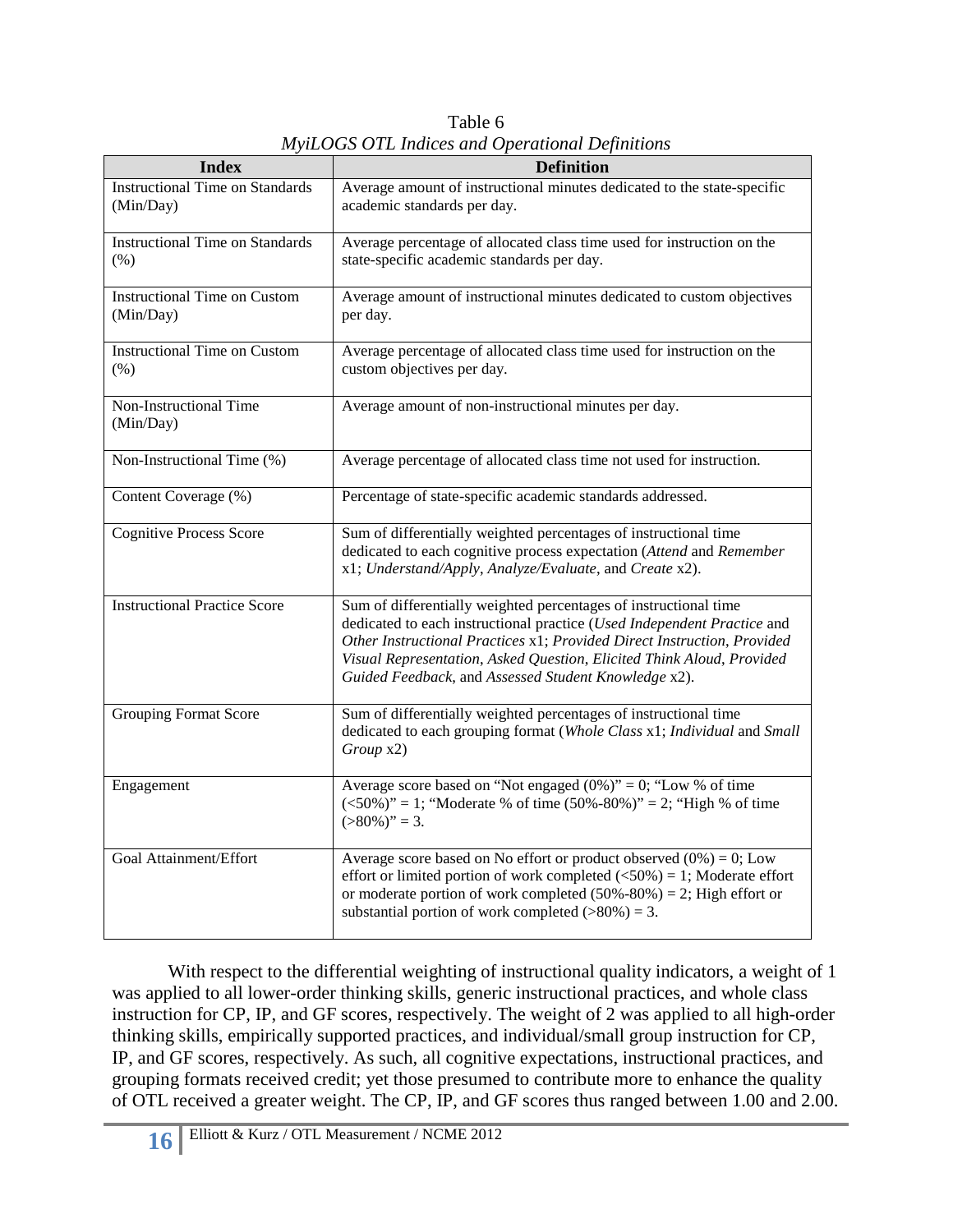Table 6 *MyiLOGS OTL Indices and Operational Definitions*

| <b>Index</b>                                        | <b>Definition</b>                                                                                                                                                                                                                                                                                                                                       |
|-----------------------------------------------------|---------------------------------------------------------------------------------------------------------------------------------------------------------------------------------------------------------------------------------------------------------------------------------------------------------------------------------------------------------|
| <b>Instructional Time on Standards</b><br>(Min/Day) | Average amount of instructional minutes dedicated to the state-specific<br>academic standards per day.                                                                                                                                                                                                                                                  |
| <b>Instructional Time on Standards</b><br>(% )      | Average percentage of allocated class time used for instruction on the<br>state-specific academic standards per day.                                                                                                                                                                                                                                    |
| <b>Instructional Time on Custom</b><br>(Min/Day)    | Average amount of instructional minutes dedicated to custom objectives<br>per day.                                                                                                                                                                                                                                                                      |
| <b>Instructional Time on Custom</b><br>$(\% )$      | Average percentage of allocated class time used for instruction on the<br>custom objectives per day.                                                                                                                                                                                                                                                    |
| Non-Instructional Time<br>(Min/Day)                 | Average amount of non-instructional minutes per day.                                                                                                                                                                                                                                                                                                    |
| Non-Instructional Time (%)                          | Average percentage of allocated class time not used for instruction.                                                                                                                                                                                                                                                                                    |
| Content Coverage (%)                                | Percentage of state-specific academic standards addressed.                                                                                                                                                                                                                                                                                              |
| <b>Cognitive Process Score</b>                      | Sum of differentially weighted percentages of instructional time<br>dedicated to each cognitive process expectation (Attend and Remember<br>x1; Understand/Apply, Analyze/Evaluate, and Create x2).                                                                                                                                                     |
| <b>Instructional Practice Score</b>                 | Sum of differentially weighted percentages of instructional time<br>dedicated to each instructional practice (Used Independent Practice and<br>Other Instructional Practices x1; Provided Direct Instruction, Provided<br>Visual Representation, Asked Question, Elicited Think Aloud, Provided<br>Guided Feedback, and Assessed Student Knowledge x2). |
| <b>Grouping Format Score</b>                        | Sum of differentially weighted percentages of instructional time<br>dedicated to each grouping format (Whole Class x1; Individual and Small<br>Group x2)                                                                                                                                                                                                |
| Engagement                                          | Average score based on "Not engaged $(0\%)$ " = 0; "Low % of time<br>$\langle$ <50%)" = 1; "Moderate % of time (50%-80%)" = 2; "High % of time<br>$(>80\%)$ " = 3.                                                                                                                                                                                      |
| Goal Attainment/Effort                              | Average score based on No effort or product observed $(0\%) = 0$ ; Low<br>effort or limited portion of work completed $(\leq 50\%) = 1$ ; Moderate effort<br>or moderate portion of work completed $(50\% - 80\%) = 2$ ; High effort or<br>substantial portion of work completed $(>80\%) = 3$ .                                                        |

With respect to the differential weighting of instructional quality indicators, a weight of 1 was applied to all lower-order thinking skills, generic instructional practices, and whole class instruction for CP, IP, and GF scores, respectively. The weight of 2 was applied to all high-order thinking skills, empirically supported practices, and individual/small group instruction for CP, IP, and GF scores, respectively. As such, all cognitive expectations, instructional practices, and grouping formats received credit; yet those presumed to contribute more to enhance the quality of OTL received a greater weight. The CP, IP, and GF scores thus ranged between 1.00 and 2.00.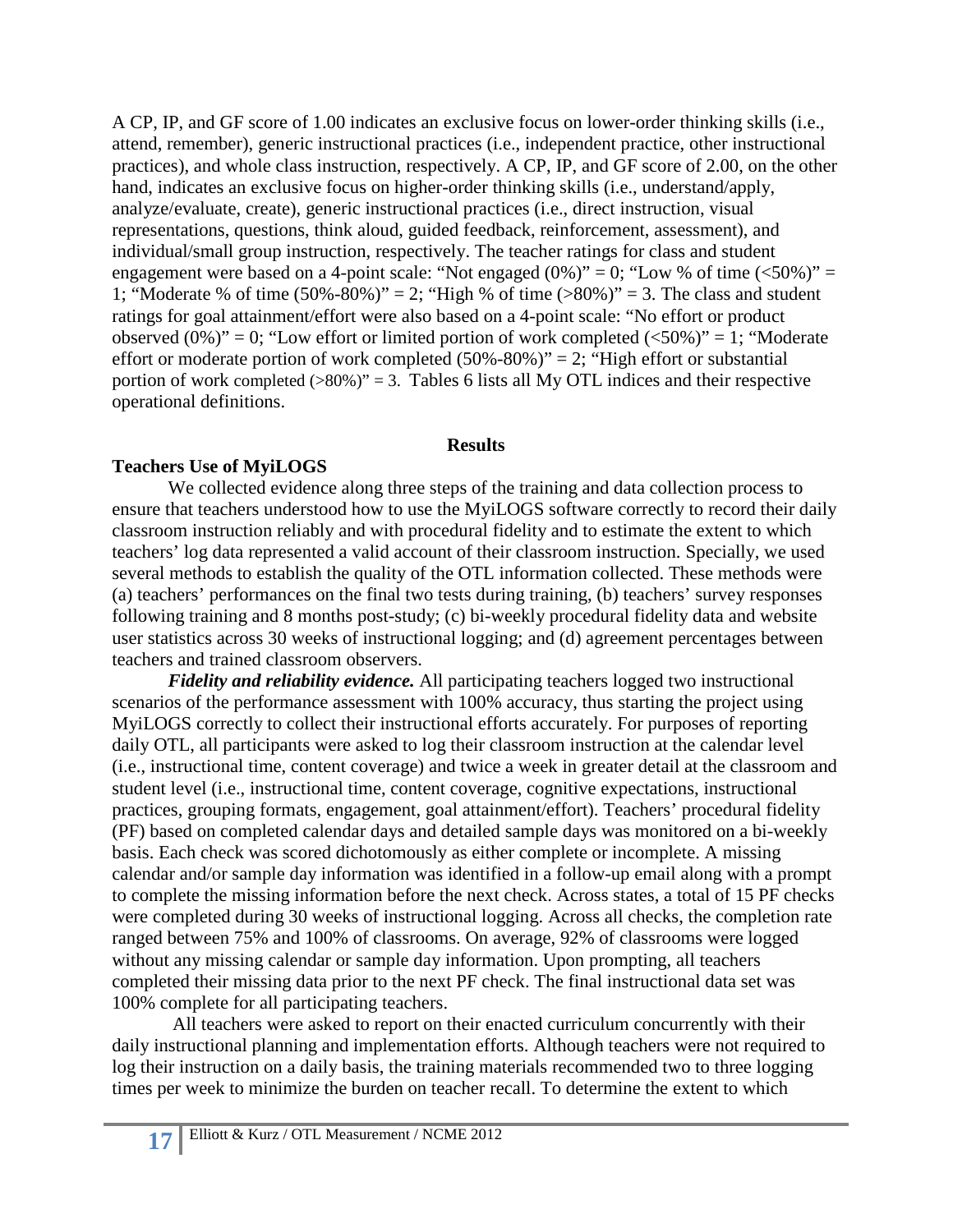A CP, IP, and GF score of 1.00 indicates an exclusive focus on lower-order thinking skills (i.e., attend, remember), generic instructional practices (i.e., independent practice, other instructional practices), and whole class instruction, respectively. A CP, IP, and GF score of 2.00, on the other hand, indicates an exclusive focus on higher-order thinking skills (i.e., understand/apply, analyze/evaluate, create), generic instructional practices (i.e., direct instruction, visual representations, questions, think aloud, guided feedback, reinforcement, assessment), and individual/small group instruction, respectively. The teacher ratings for class and student engagement were based on a 4-point scale: "Not engaged  $(0\%)$ " = 0; "Low % of time  $(<50\%)$ " = 1; "Moderate % of time  $(50\% - 80\%)$ " = 2; "High % of time  $(>80\%)$ " = 3. The class and student ratings for goal attainment/effort were also based on a 4-point scale: "No effort or product observed  $(0\%)$ " = 0; "Low effort or limited portion of work completed  $(\leq 50\%)$ " = 1; "Moderate effort or moderate portion of work completed  $(50\% - 80\%)$ " = 2; "High effort or substantial portion of work completed  $(>80\%)$ " = 3. Tables 6 lists all My OTL indices and their respective operational definitions.

## **Results**

# **Teachers Use of MyiLOGS**

We collected evidence along three steps of the training and data collection process to ensure that teachers understood how to use the MyiLOGS software correctly to record their daily classroom instruction reliably and with procedural fidelity and to estimate the extent to which teachers' log data represented a valid account of their classroom instruction. Specially, we used several methods to establish the quality of the OTL information collected. These methods were (a) teachers' performances on the final two tests during training, (b) teachers' survey responses following training and 8 months post-study; (c) bi-weekly procedural fidelity data and website user statistics across 30 weeks of instructional logging; and (d) agreement percentages between teachers and trained classroom observers.

*Fidelity and reliability evidence.* All participating teachers logged two instructional scenarios of the performance assessment with 100% accuracy, thus starting the project using MyiLOGS correctly to collect their instructional efforts accurately. For purposes of reporting daily OTL, all participants were asked to log their classroom instruction at the calendar level (i.e., instructional time, content coverage) and twice a week in greater detail at the classroom and student level (i.e., instructional time, content coverage, cognitive expectations, instructional practices, grouping formats, engagement, goal attainment/effort). Teachers' procedural fidelity (PF) based on completed calendar days and detailed sample days was monitored on a bi-weekly basis. Each check was scored dichotomously as either complete or incomplete. A missing calendar and/or sample day information was identified in a follow-up email along with a prompt to complete the missing information before the next check. Across states, a total of 15 PF checks were completed during 30 weeks of instructional logging. Across all checks, the completion rate ranged between 75% and 100% of classrooms. On average, 92% of classrooms were logged without any missing calendar or sample day information. Upon prompting, all teachers completed their missing data prior to the next PF check. The final instructional data set was 100% complete for all participating teachers.

All teachers were asked to report on their enacted curriculum concurrently with their daily instructional planning and implementation efforts. Although teachers were not required to log their instruction on a daily basis, the training materials recommended two to three logging times per week to minimize the burden on teacher recall. To determine the extent to which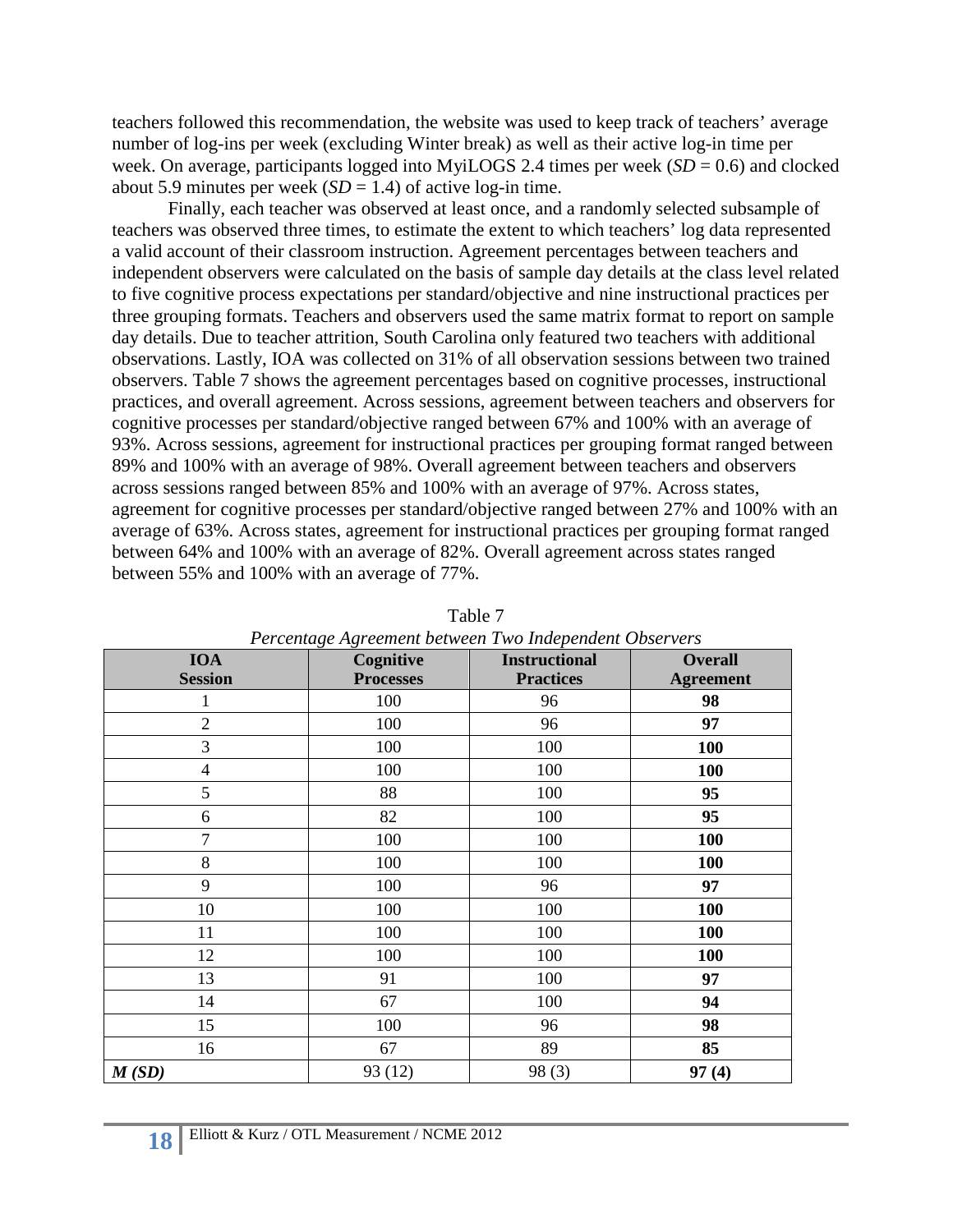teachers followed this recommendation, the website was used to keep track of teachers' average number of log-ins per week (excluding Winter break) as well as their active log-in time per week. On average, participants logged into MyiLOGS 2.4 times per week (*SD* = 0.6) and clocked about 5.9 minutes per week  $(SD = 1.4)$  of active log-in time.

Finally, each teacher was observed at least once, and a randomly selected subsample of teachers was observed three times, to estimate the extent to which teachers' log data represented a valid account of their classroom instruction. Agreement percentages between teachers and independent observers were calculated on the basis of sample day details at the class level related to five cognitive process expectations per standard/objective and nine instructional practices per three grouping formats. Teachers and observers used the same matrix format to report on sample day details. Due to teacher attrition, South Carolina only featured two teachers with additional observations. Lastly, IOA was collected on 31% of all observation sessions between two trained observers. Table 7 shows the agreement percentages based on cognitive processes, instructional practices, and overall agreement. Across sessions, agreement between teachers and observers for cognitive processes per standard/objective ranged between 67% and 100% with an average of 93%. Across sessions, agreement for instructional practices per grouping format ranged between 89% and 100% with an average of 98%. Overall agreement between teachers and observers across sessions ranged between 85% and 100% with an average of 97%. Across states, agreement for cognitive processes per standard/objective ranged between 27% and 100% with an average of 63%. Across states, agreement for instructional practices per grouping format ranged between 64% and 100% with an average of 82%. Overall agreement across states ranged between 55% and 100% with an average of 77%.

| Percentage Agreement between Two Independent Observers |                  |                      |                  |  |  |  |  |
|--------------------------------------------------------|------------------|----------------------|------------------|--|--|--|--|
| <b>IOA</b>                                             | Cognitive        | <b>Instructional</b> | <b>Overall</b>   |  |  |  |  |
| <b>Session</b>                                         | <b>Processes</b> | <b>Practices</b>     | <b>Agreement</b> |  |  |  |  |
| 1                                                      | 100              | 96                   | 98               |  |  |  |  |
| $\overline{2}$                                         | 100              | 96                   | 97               |  |  |  |  |
| 3                                                      | 100              | 100                  | 100              |  |  |  |  |
| $\overline{4}$                                         | 100              | 100                  | 100              |  |  |  |  |
| 5                                                      | 88               | 100                  | 95               |  |  |  |  |
| 6                                                      | 82               | 100                  | 95               |  |  |  |  |
| 7                                                      | 100              | 100                  | <b>100</b>       |  |  |  |  |
| 8                                                      | 100              | 100                  | 100              |  |  |  |  |
| 9                                                      | 100              | 96                   | 97               |  |  |  |  |
| 10                                                     | 100              | 100                  | <b>100</b>       |  |  |  |  |
| 11                                                     | 100              | 100                  | 100              |  |  |  |  |
| 12                                                     | 100              | 100                  | 100              |  |  |  |  |
| 13                                                     | 91               | 100                  | 97               |  |  |  |  |
| 14                                                     | 67               | 100                  | 94               |  |  |  |  |
| 15                                                     | 100              | 96                   | 98               |  |  |  |  |
| 16                                                     | 67               | 89                   | 85               |  |  |  |  |
| M(SD)                                                  | 93 (12)          | 98(3)                | 97(4)            |  |  |  |  |

Table 7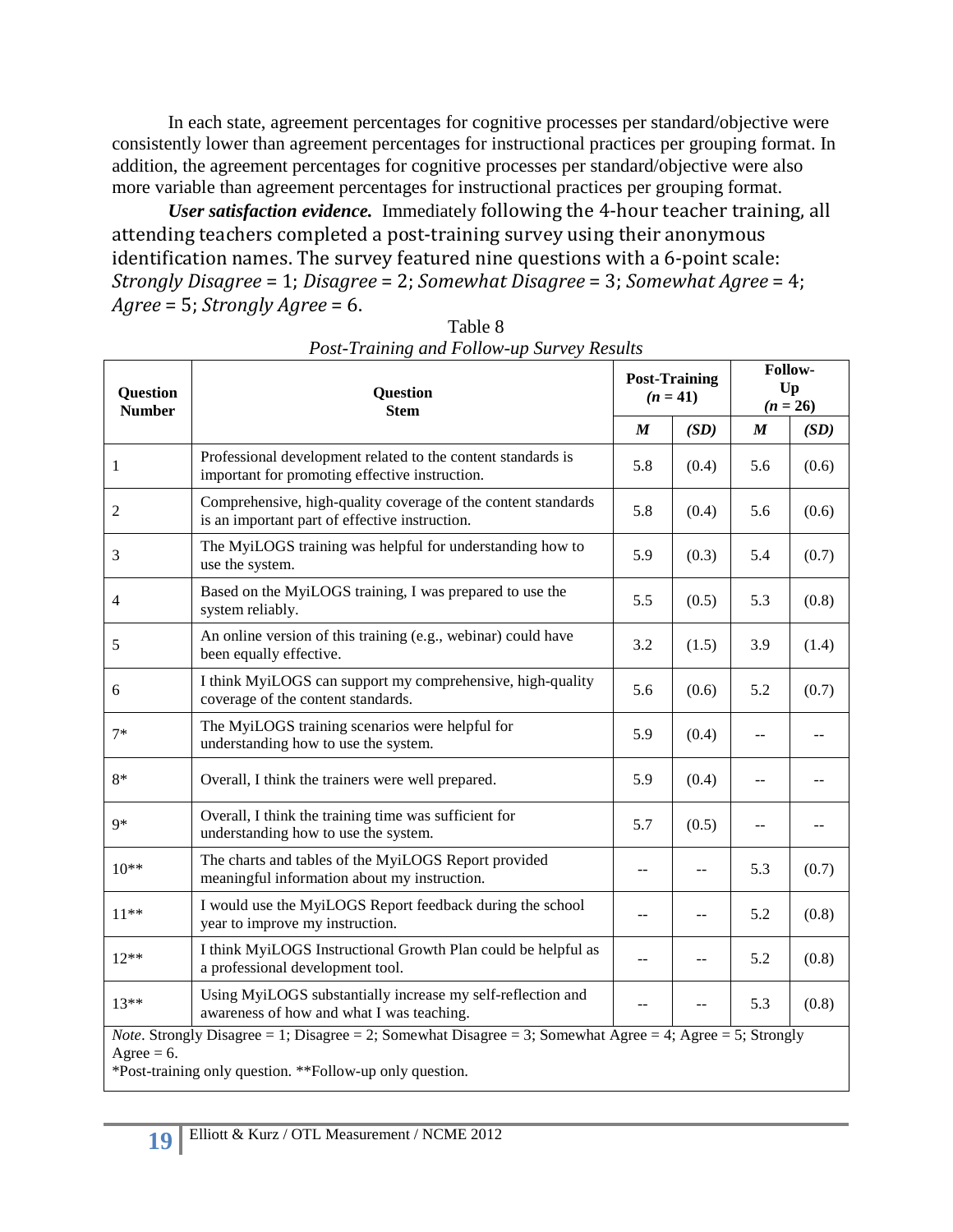In each state, agreement percentages for cognitive processes per standard/objective were consistently lower than agreement percentages for instructional practices per grouping format. In addition, the agreement percentages for cognitive processes per standard/objective were also more variable than agreement percentages for instructional practices per grouping format.

*User satisfaction evidence.* Immediately following the 4-hour teacher training, all attending teachers completed a post-training survey using their anonymous identification names. The survey featured nine questions with a 6-point scale: *Strongly Disagree* = 1; *Disagree* = 2; *Somewhat Disagree* = 3; *Somewhat Agree* = 4; *Agree* = 5; *Strongly Agree* = 6.

| Question<br><b>Number</b> | <b>Question</b><br><b>Stem</b>                                                                                                                                                |                  | <b>Post-Training</b><br>$(n = 41)$ | Follow-<br>Up<br>$(n = 26)$ |       |
|---------------------------|-------------------------------------------------------------------------------------------------------------------------------------------------------------------------------|------------------|------------------------------------|-----------------------------|-------|
|                           |                                                                                                                                                                               | $\boldsymbol{M}$ | (SD)                               | $\boldsymbol{M}$            | (SD)  |
| 1                         | Professional development related to the content standards is<br>important for promoting effective instruction.                                                                | 5.8              | (0.4)                              | 5.6                         | (0.6) |
| $\mathfrak{2}$            | Comprehensive, high-quality coverage of the content standards<br>is an important part of effective instruction.                                                               | 5.8              | (0.4)                              | 5.6                         | (0.6) |
| 3                         | The MyiLOGS training was helpful for understanding how to<br>use the system.                                                                                                  | 5.9              | (0.3)                              | 5.4                         | (0.7) |
| $\overline{4}$            | Based on the MyiLOGS training, I was prepared to use the<br>system reliably.                                                                                                  | 5.5              | (0.5)                              | 5.3                         | (0.8) |
| 5                         | An online version of this training (e.g., webinar) could have<br>been equally effective.                                                                                      | 3.2              | (1.5)                              | 3.9                         | (1.4) |
| 6                         | I think MyiLOGS can support my comprehensive, high-quality<br>coverage of the content standards.                                                                              | 5.6              | (0.6)                              | 5.2                         | (0.7) |
| $7*$                      | The MyiLOGS training scenarios were helpful for<br>understanding how to use the system.                                                                                       | 5.9              | (0.4)                              | $-$                         |       |
| $8*$                      | Overall, I think the trainers were well prepared.                                                                                                                             | 5.9              | (0.4)                              |                             |       |
| $Q*$                      | Overall, I think the training time was sufficient for<br>understanding how to use the system.                                                                                 | 5.7              | (0.5)                              | $-$                         | --    |
| $10**$                    | The charts and tables of the MyiLOGS Report provided<br>meaningful information about my instruction.                                                                          | $-$              |                                    | 5.3                         | (0.7) |
| $11**$                    | I would use the MyiLOGS Report feedback during the school<br>year to improve my instruction.                                                                                  | --               | $-$                                | 5.2                         | (0.8) |
| $12**$                    | I think MyiLOGS Instructional Growth Plan could be helpful as<br>a professional development tool.                                                                             |                  | $\sim$                             | 5.2                         | (0.8) |
| $13**$                    | Using MyiLOGS substantially increase my self-reflection and<br>awareness of how and what I was teaching.                                                                      |                  |                                    | 5.3                         | (0.8) |
| Agree = $6$ .             | <i>Note</i> . Strongly Disagree = 1; Disagree = 2; Somewhat Disagree = 3; Somewhat Agree = 4; Agree = 5; Strongly<br>*Post-training only question. **Follow-up only question. |                  |                                    |                             |       |

Table 8 *Post-Training and Follow-up Survey Results*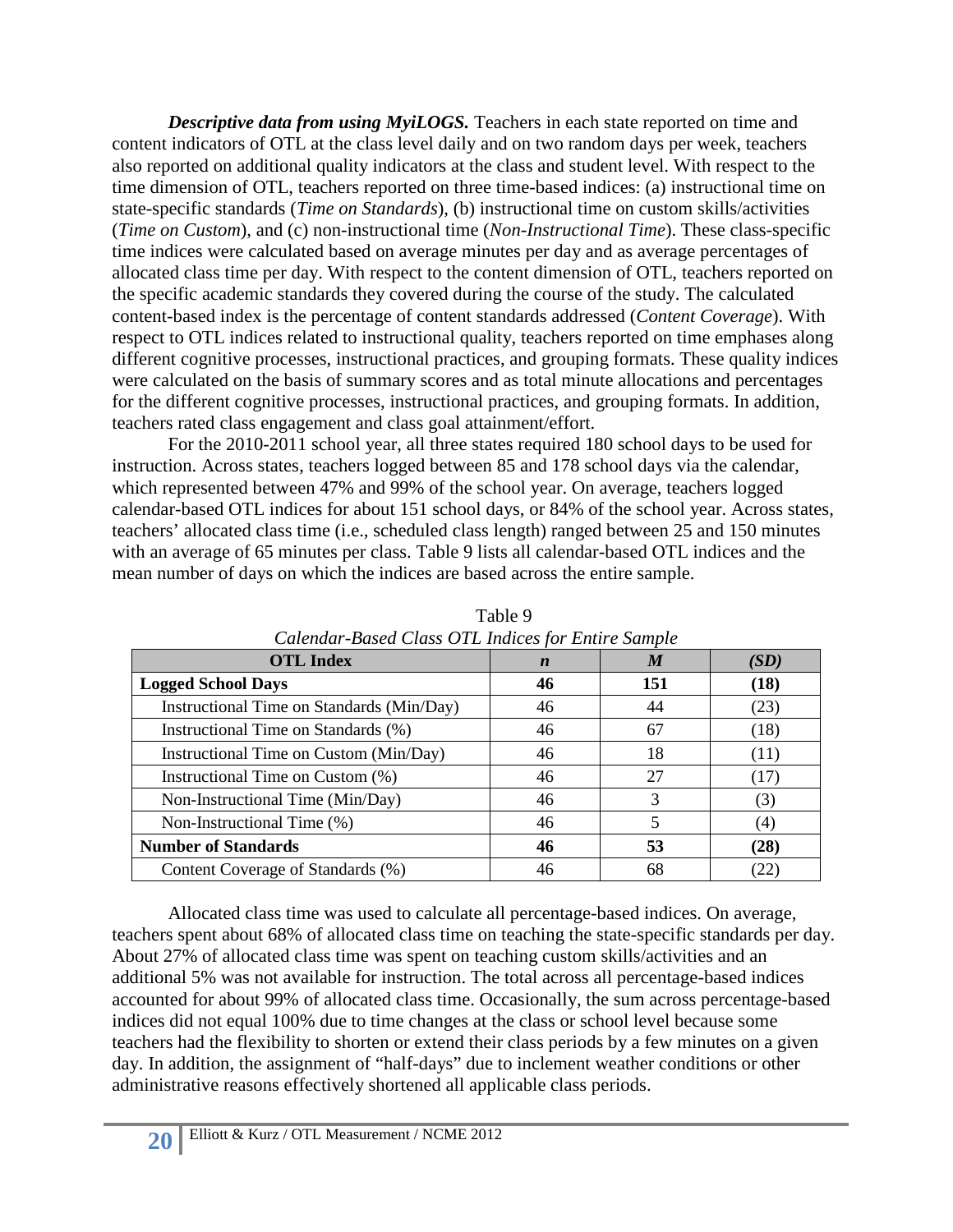*Descriptive data from using MyiLOGS.* Teachers in each state reported on time and content indicators of OTL at the class level daily and on two random days per week, teachers also reported on additional quality indicators at the class and student level. With respect to the time dimension of OTL, teachers reported on three time-based indices: (a) instructional time on state-specific standards (*Time on Standards*), (b) instructional time on custom skills/activities (*Time on Custom*), and (c) non-instructional time (*Non-Instructional Time*). These class-specific time indices were calculated based on average minutes per day and as average percentages of allocated class time per day. With respect to the content dimension of OTL, teachers reported on the specific academic standards they covered during the course of the study. The calculated content-based index is the percentage of content standards addressed (*Content Coverage*). With respect to OTL indices related to instructional quality, teachers reported on time emphases along different cognitive processes, instructional practices, and grouping formats. These quality indices were calculated on the basis of summary scores and as total minute allocations and percentages for the different cognitive processes, instructional practices, and grouping formats. In addition, teachers rated class engagement and class goal attainment/effort.

For the 2010-2011 school year, all three states required 180 school days to be used for instruction. Across states, teachers logged between 85 and 178 school days via the calendar, which represented between 47% and 99% of the school year. On average, teachers logged calendar-based OTL indices for about 151 school days, or 84% of the school year. Across states, teachers' allocated class time (i.e., scheduled class length) ranged between 25 and 150 minutes with an average of 65 minutes per class. Table 9 lists all calendar-based OTL indices and the mean number of days on which the indices are based across the entire sample.

| <b>OTL Index</b>                          | $\boldsymbol{n}$ | $\boldsymbol{M}$ | (SD) |  |
|-------------------------------------------|------------------|------------------|------|--|
| <b>Logged School Days</b>                 | 46               | 151              | (18) |  |
| Instructional Time on Standards (Min/Day) | 46               | 44               | (23) |  |
| Instructional Time on Standards (%)       | 46               | 67               | (18) |  |
| Instructional Time on Custom (Min/Day)    | 46               | 18               | (11) |  |
| Instructional Time on Custom (%)          | 46               | 27               | (17) |  |
| Non-Instructional Time (Min/Day)          | 46               | 3                | (3)  |  |
| Non-Instructional Time (%)                | 46               |                  | (4)  |  |
| <b>Number of Standards</b>                | 46               | 53               | (28) |  |
| Content Coverage of Standards (%)         | 46               | 68               | (22) |  |

Table 9 *Calendar-Based Class OTL Indices for Entire Sample*

Allocated class time was used to calculate all percentage-based indices. On average, teachers spent about 68% of allocated class time on teaching the state-specific standards per day. About 27% of allocated class time was spent on teaching custom skills/activities and an additional 5% was not available for instruction. The total across all percentage-based indices accounted for about 99% of allocated class time. Occasionally, the sum across percentage-based indices did not equal 100% due to time changes at the class or school level because some teachers had the flexibility to shorten or extend their class periods by a few minutes on a given day. In addition, the assignment of "half-days" due to inclement weather conditions or other administrative reasons effectively shortened all applicable class periods.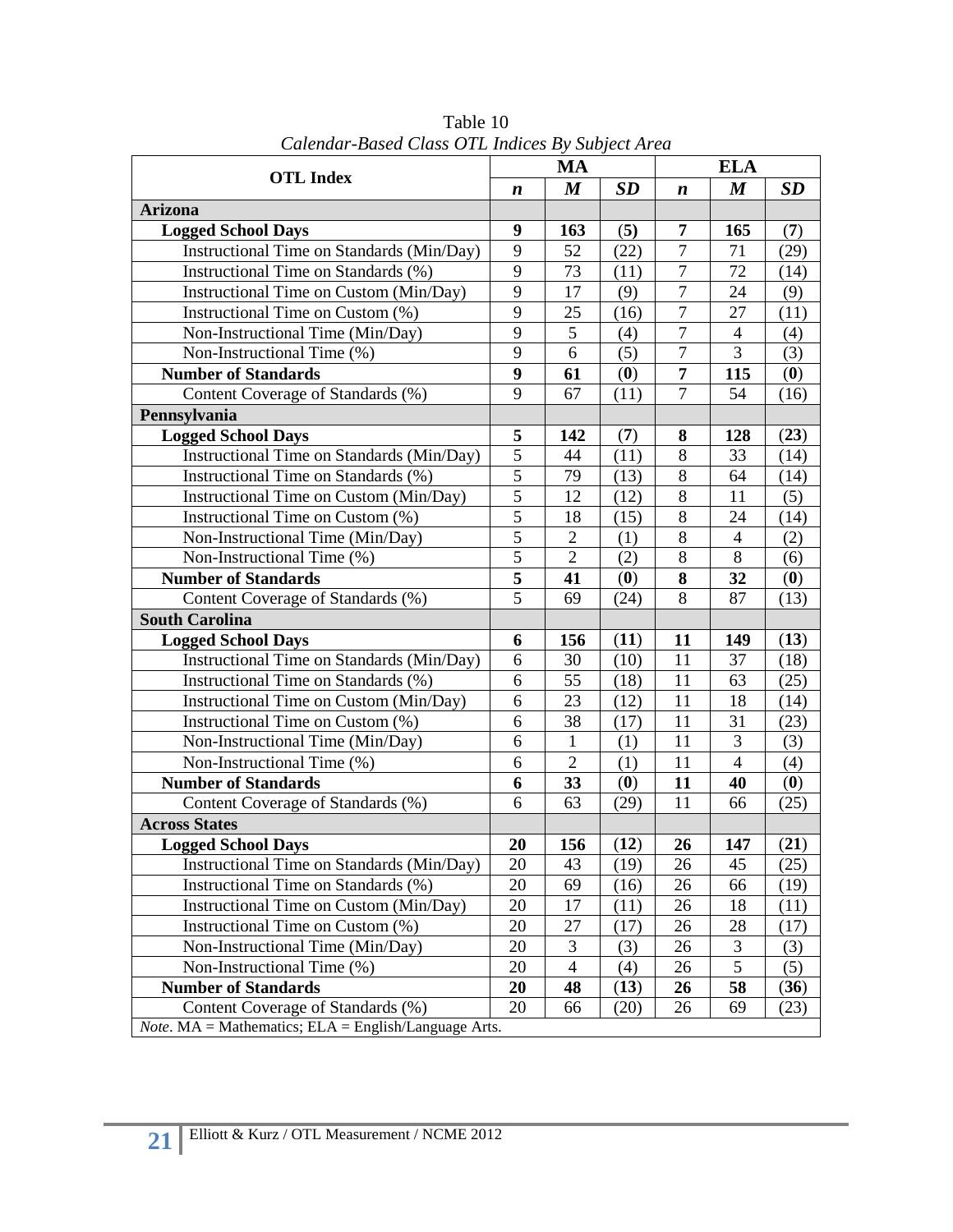| <b>OTL Index</b>                                                   |                | $P$ asea Chass O I $\Delta$ Indices $D_f$ Subject in Eq.<br><b>MA</b> |                            |                | <b>ELA</b>       |                                 |  |
|--------------------------------------------------------------------|----------------|-----------------------------------------------------------------------|----------------------------|----------------|------------------|---------------------------------|--|
|                                                                    |                | $\boldsymbol{M}$                                                      | SD                         | n              | $\boldsymbol{M}$ | <b>SD</b>                       |  |
| <b>Arizona</b>                                                     |                |                                                                       |                            |                |                  |                                 |  |
| <b>Logged School Days</b>                                          | 9              | 163                                                                   | (5)                        | 7              | 165              | (7)                             |  |
| Instructional Time on Standards (Min/Day)                          | 9              | 52                                                                    | (22)                       | $\overline{7}$ | 71               | (29)                            |  |
| Instructional Time on Standards (%)                                | 9              | 73                                                                    | (11)                       | $\overline{7}$ | $\overline{72}$  | (14)                            |  |
| Instructional Time on Custom (Min/Day)                             | 9              | 17                                                                    | (9)                        | 7              | 24               | (9)                             |  |
| Instructional Time on Custom (%)                                   | 9              | 25                                                                    | (16)                       | $\overline{7}$ | 27               | (11)                            |  |
| Non-Instructional Time (Min/Day)                                   | 9              | 5                                                                     | (4)                        | $\tau$         | $\overline{4}$   | (4)                             |  |
| Non-Instructional Time (%)                                         | 9              | 6                                                                     | (5)                        | $\overline{7}$ | 3                | (3)                             |  |
| <b>Number of Standards</b>                                         | 9              | 61                                                                    | $\left( \mathbf{0}\right)$ | 7              | 115              | $\boldsymbol{\left( 0\right) }$ |  |
| Content Coverage of Standards (%)                                  | 9              | 67                                                                    | (11)                       | $\overline{7}$ | 54               | (16)                            |  |
| Pennsylvania                                                       |                |                                                                       |                            |                |                  |                                 |  |
| <b>Logged School Days</b>                                          | 5              | 142                                                                   | (7)                        | 8              | 128              | (23)                            |  |
| Instructional Time on Standards (Min/Day)                          | 5              | 44                                                                    | (11)                       | 8              | 33               | (14)                            |  |
| Instructional Time on Standards (%)                                | $\overline{5}$ | 79                                                                    | (13)                       | 8              | 64               | (14)                            |  |
| Instructional Time on Custom (Min/Day)                             | 5              | 12                                                                    | (12)                       | 8              | 11               | (5)                             |  |
| Instructional Time on Custom (%)                                   |                | 18                                                                    | (15)                       | 8              | 24               | (14)                            |  |
| Non-Instructional Time (Min/Day)                                   | 5              | $\overline{2}$                                                        | (1)                        | 8              | $\overline{4}$   | (2)                             |  |
| Non-Instructional Time (%)                                         | 5              | $\overline{2}$                                                        | (2)                        | 8              | 8                | (6)                             |  |
| <b>Number of Standards</b>                                         | 5              | 41                                                                    | (0)                        | 8              | 32               | (0)                             |  |
| Content Coverage of Standards (%)                                  | 5              | 69                                                                    | (24)                       | 8              | 87               | (13)                            |  |
| <b>South Carolina</b>                                              |                |                                                                       |                            |                |                  |                                 |  |
| <b>Logged School Days</b>                                          | 6              | 156                                                                   | (11)                       | 11             | 149              | (13)                            |  |
| Instructional Time on Standards (Min/Day)                          | 6              | 30                                                                    | (10)                       | 11             | 37               | (18)                            |  |
| Instructional Time on Standards (%)                                | 6              | 55                                                                    | (18)                       | 11             | 63               | (25)                            |  |
| Instructional Time on Custom (Min/Day)                             | 6              | 23                                                                    | (12)                       | 11             | 18               | (14)                            |  |
| Instructional Time on Custom (%)                                   | 6              | 38                                                                    | (17)                       | 11             | 31               | (23)                            |  |
| Non-Instructional Time (Min/Day)                                   | 6              | $\mathbf{1}$                                                          | (1)                        | 11             | 3                | (3)                             |  |
| Non-Instructional Time (%)                                         | 6              | $\overline{2}$                                                        | (1)                        | 11             | $\overline{4}$   | (4)                             |  |
| <b>Number of Standards</b>                                         | 6              | 33                                                                    | (0)                        | 11             | 40               | (0)                             |  |
| Content Coverage of Standards (%)                                  | 6              | 63                                                                    | (29)                       | 11             | 66               | (25)                            |  |
| <b>Across States</b>                                               |                |                                                                       |                            |                |                  |                                 |  |
| <b>Logged School Days</b>                                          | 20             | 156                                                                   | (12)                       | 26             | 147              | (21)                            |  |
| Instructional Time on Standards (Min/Day)                          | 20             | 43                                                                    | (19)                       | 26             | 45               | (25)                            |  |
| Instructional Time on Standards (%)                                | 20             | 69                                                                    | (16)                       | 26             | 66               | (19)                            |  |
| Instructional Time on Custom (Min/Day)                             | 20             | 17                                                                    | (11)                       | 26             | 18               | (11)                            |  |
| Instructional Time on Custom (%)                                   | 20             | 27                                                                    | (17)                       | 26             | 28               | (17)                            |  |
| Non-Instructional Time (Min/Day)                                   | 20             | 3                                                                     | (3)                        | 26             | 3                | (3)                             |  |
| Non-Instructional Time (%)                                         | 20             | $\overline{4}$                                                        | (4)                        | 26             | 5                | (5)                             |  |
| <b>Number of Standards</b>                                         | 20             | 48                                                                    | (13)                       | 26             | 58               | (36)                            |  |
| Content Coverage of Standards (%)                                  | 20             | 66                                                                    | (20)                       | 26             | 69               | (23)                            |  |
| <i>Note</i> . $MA = Mathematics$ ; $ELA = English/Language Arts$ . |                |                                                                       |                            |                |                  |                                 |  |

Table 10 *Calendar-Based Class OTL Indices By Subject Area*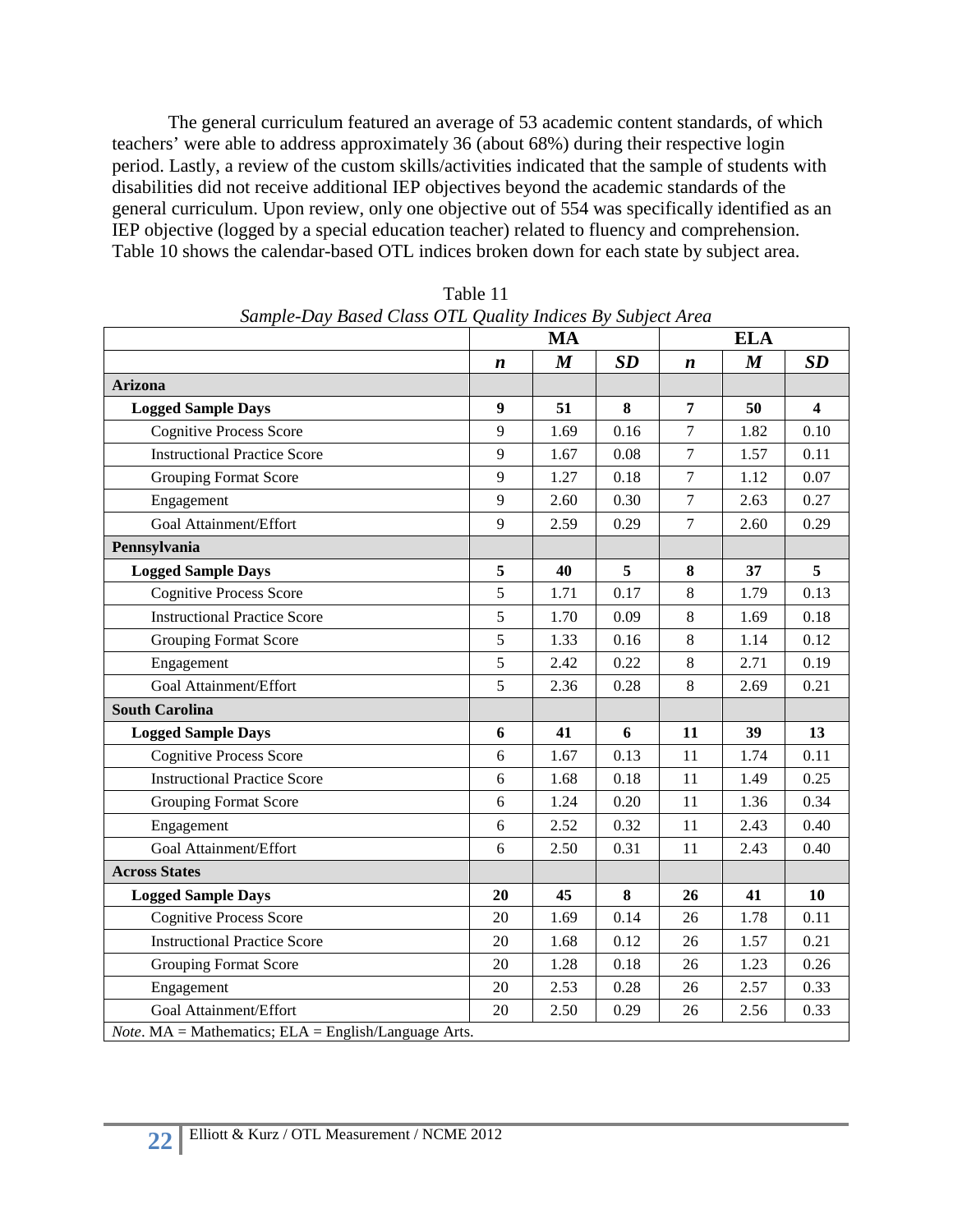The general curriculum featured an average of 53 academic content standards, of which teachers' were able to address approximately 36 (about 68%) during their respective login period. Lastly, a review of the custom skills/activities indicated that the sample of students with disabilities did not receive additional IEP objectives beyond the academic standards of the general curriculum. Upon review, only one objective out of 554 was specifically identified as an IEP objective (logged by a special education teacher) related to fluency and comprehension. Table 10 shows the calendar-based OTL indices broken down for each state by subject area.

|                                                                    |                  | Sample-Day Basea Class OTL Quality malces by Subject Area<br><b>MA</b> |          |                  | <b>ELA</b>       |                         |  |  |
|--------------------------------------------------------------------|------------------|------------------------------------------------------------------------|----------|------------------|------------------|-------------------------|--|--|
|                                                                    | $\boldsymbol{n}$ | $\boldsymbol{M}$                                                       | SD       | $\boldsymbol{n}$ | $\boldsymbol{M}$ | SD                      |  |  |
| <b>Arizona</b>                                                     |                  |                                                                        |          |                  |                  |                         |  |  |
| <b>Logged Sample Days</b>                                          | $\boldsymbol{9}$ | 51                                                                     | 8        | $\overline{7}$   | 50               | $\overline{\mathbf{4}}$ |  |  |
| <b>Cognitive Process Score</b>                                     | $\mathbf{Q}$     | 1.69                                                                   | 0.16     | $\overline{7}$   | 1.82             | 0.10                    |  |  |
| <b>Instructional Practice Score</b>                                | 9                | 1.67                                                                   | 0.08     | $\tau$           | 1.57             | 0.11                    |  |  |
| <b>Grouping Format Score</b>                                       | 9                | 1.27                                                                   | 0.18     | $\overline{7}$   | 1.12             | 0.07                    |  |  |
| Engagement                                                         | 9                | 2.60                                                                   | 0.30     | $\tau$           | 2.63             | 0.27                    |  |  |
| Goal Attainment/Effort                                             | 9                | 2.59                                                                   | 0.29     | $\overline{7}$   | 2.60             | 0.29                    |  |  |
| Pennsylvania                                                       |                  |                                                                        |          |                  |                  |                         |  |  |
| <b>Logged Sample Days</b>                                          | 5                | 40                                                                     | 5        | 8                | 37               | 5                       |  |  |
| <b>Cognitive Process Score</b>                                     | 5                | 1.71                                                                   | 0.17     | 8                | 1.79             | 0.13                    |  |  |
| <b>Instructional Practice Score</b>                                | 5                | 1.70                                                                   | 0.09     | 8                | 1.69             | 0.18                    |  |  |
| <b>Grouping Format Score</b>                                       | 5                | 1.33                                                                   | 0.16     | 8                | 1.14             | 0.12                    |  |  |
| Engagement                                                         | 5                | 2.42                                                                   | 0.22     | 8                | 2.71             | 0.19                    |  |  |
| Goal Attainment/Effort                                             | 5                | 2.36                                                                   | 0.28     | 8                | 2.69             | 0.21                    |  |  |
| <b>South Carolina</b>                                              |                  |                                                                        |          |                  |                  |                         |  |  |
| <b>Logged Sample Days</b>                                          | 6                | 41                                                                     | 6        | 11               | 39               | 13                      |  |  |
| <b>Cognitive Process Score</b>                                     | 6                | 1.67                                                                   | 0.13     | 11               | 1.74             | 0.11                    |  |  |
| <b>Instructional Practice Score</b>                                | 6                | 1.68                                                                   | $0.18\,$ | 11               | 1.49             | 0.25                    |  |  |
| <b>Grouping Format Score</b>                                       | 6                | 1.24                                                                   | 0.20     | 11               | 1.36             | 0.34                    |  |  |
| Engagement                                                         | 6                | 2.52                                                                   | 0.32     | 11               | 2.43             | 0.40                    |  |  |
| Goal Attainment/Effort                                             | 6                | 2.50                                                                   | 0.31     | 11               | 2.43             | 0.40                    |  |  |
| <b>Across States</b>                                               |                  |                                                                        |          |                  |                  |                         |  |  |
| <b>Logged Sample Days</b>                                          | 20               | 45                                                                     | 8        | 26               | 41               | 10                      |  |  |
| <b>Cognitive Process Score</b>                                     | 20               | 1.69                                                                   | 0.14     | 26               | 1.78             | 0.11                    |  |  |
| <b>Instructional Practice Score</b>                                | 20               | 1.68                                                                   | 0.12     | 26               | 1.57             | 0.21                    |  |  |
| <b>Grouping Format Score</b>                                       | 20               | 1.28                                                                   | 0.18     | 26               | 1.23             | 0.26                    |  |  |
| Engagement                                                         | 20               | 2.53                                                                   | 0.28     | 26               | 2.57             | 0.33                    |  |  |
| Goal Attainment/Effort                                             | 20               | 2.50                                                                   | 0.29     | 26               | 2.56             | 0.33                    |  |  |
| <i>Note</i> . $MA = Mathematics$ ; $ELA = English/Language Arts$ . |                  |                                                                        |          |                  |                  |                         |  |  |

Table 11 *Sample-Day Based Class OTL Quality Indices By Subject Area*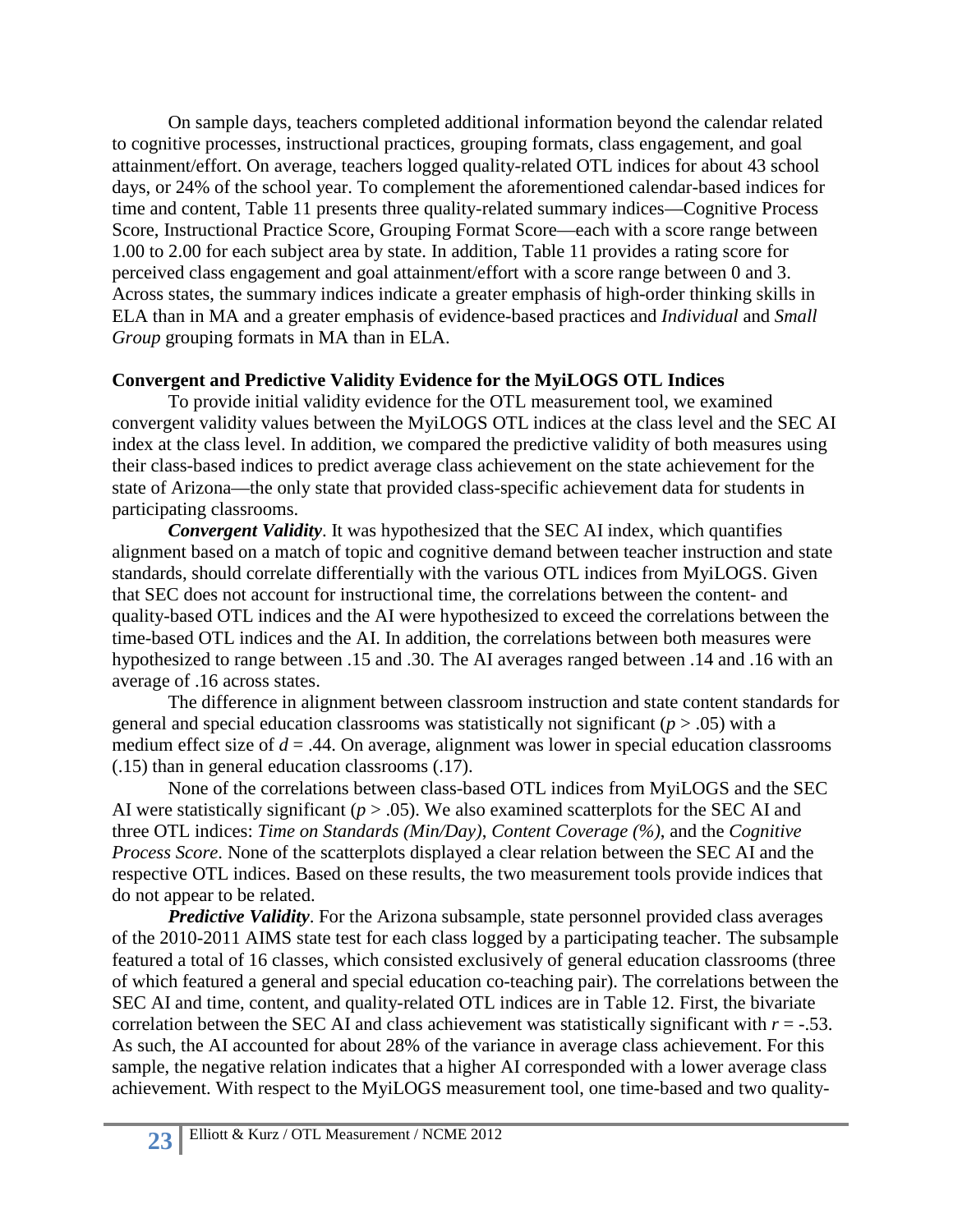On sample days, teachers completed additional information beyond the calendar related to cognitive processes, instructional practices, grouping formats, class engagement, and goal attainment/effort. On average, teachers logged quality-related OTL indices for about 43 school days, or 24% of the school year. To complement the aforementioned calendar-based indices for time and content, Table 11 presents three quality-related summary indices—Cognitive Process Score, Instructional Practice Score, Grouping Format Score—each with a score range between 1.00 to 2.00 for each subject area by state. In addition, Table 11 provides a rating score for perceived class engagement and goal attainment/effort with a score range between 0 and 3. Across states, the summary indices indicate a greater emphasis of high-order thinking skills in ELA than in MA and a greater emphasis of evidence-based practices and *Individual* and *Small Group* grouping formats in MA than in ELA.

# **Convergent and Predictive Validity Evidence for the MyiLOGS OTL Indices**

To provide initial validity evidence for the OTL measurement tool, we examined convergent validity values between the MyiLOGS OTL indices at the class level and the SEC AI index at the class level. In addition, we compared the predictive validity of both measures using their class-based indices to predict average class achievement on the state achievement for the state of Arizona—the only state that provided class-specific achievement data for students in participating classrooms.

*Convergent Validity*. It was hypothesized that the SEC AI index, which quantifies alignment based on a match of topic and cognitive demand between teacher instruction and state standards, should correlate differentially with the various OTL indices from MyiLOGS. Given that SEC does not account for instructional time, the correlations between the content- and quality-based OTL indices and the AI were hypothesized to exceed the correlations between the time-based OTL indices and the AI. In addition, the correlations between both measures were hypothesized to range between .15 and .30. The AI averages ranged between .14 and .16 with an average of .16 across states.

The difference in alignment between classroom instruction and state content standards for general and special education classrooms was statistically not significant  $(p > .05)$  with a medium effect size of  $d = .44$ . On average, alignment was lower in special education classrooms (.15) than in general education classrooms (.17).

None of the correlations between class-based OTL indices from MyiLOGS and the SEC AI were statistically significant ( $p > .05$ ). We also examined scatterplots for the SEC AI and three OTL indices: *Time on Standards (Min/Day)*, *Content Coverage (%)*, and the *Cognitive Process Score*. None of the scatterplots displayed a clear relation between the SEC AI and the respective OTL indices. Based on these results, the two measurement tools provide indices that do not appear to be related.

*Predictive Validity*. For the Arizona subsample, state personnel provided class averages of the 2010-2011 AIMS state test for each class logged by a participating teacher. The subsample featured a total of 16 classes, which consisted exclusively of general education classrooms (three of which featured a general and special education co-teaching pair). The correlations between the SEC AI and time, content, and quality-related OTL indices are in Table 12. First, the bivariate correlation between the SEC AI and class achievement was statistically significant with  $r = -0.53$ . As such, the AI accounted for about 28% of the variance in average class achievement. For this sample, the negative relation indicates that a higher AI corresponded with a lower average class achievement. With respect to the MyiLOGS measurement tool, one time-based and two quality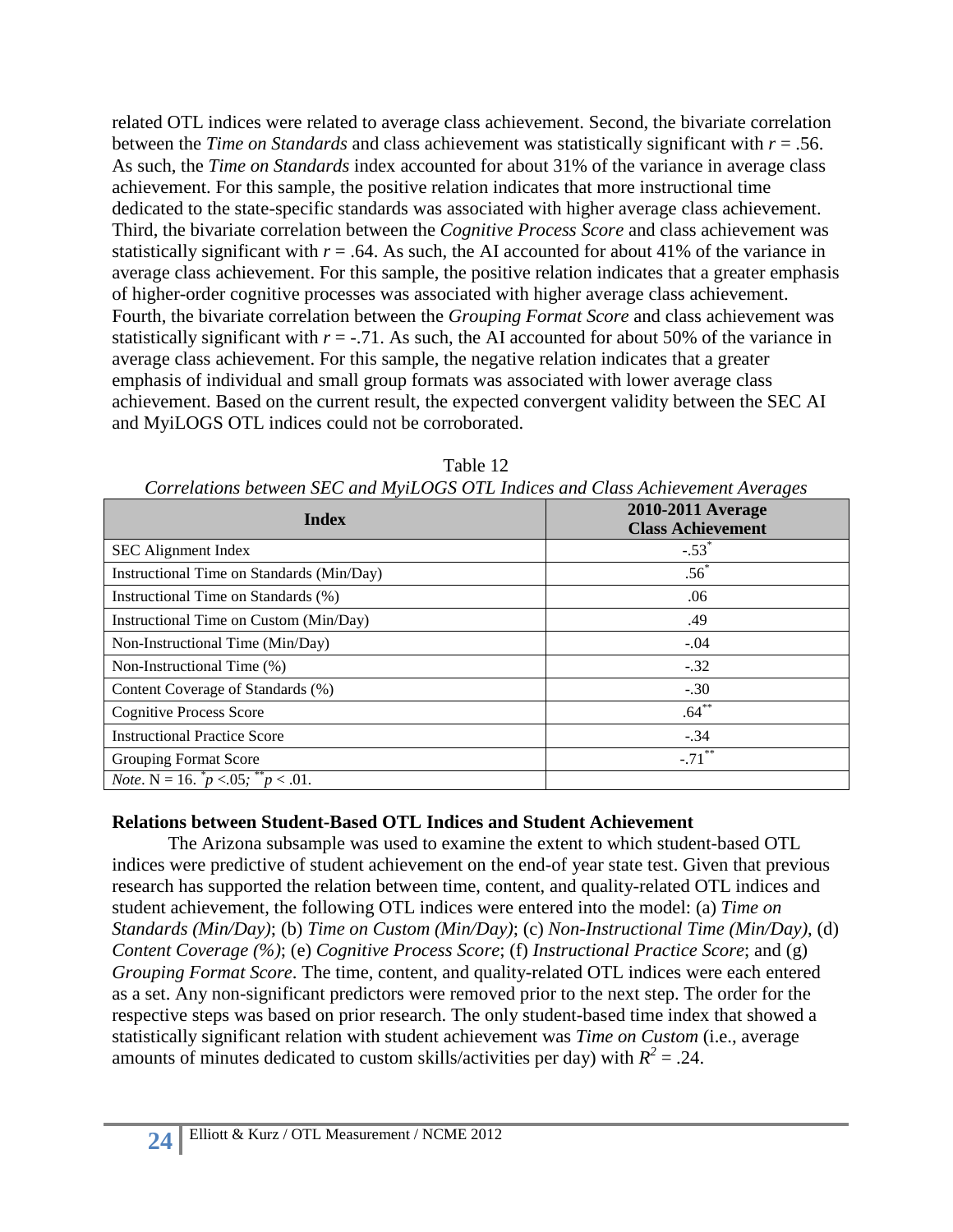related OTL indices were related to average class achievement. Second, the bivariate correlation between the *Time on Standards* and class achievement was statistically significant with *r* = .56. As such, the *Time on Standards* index accounted for about 31% of the variance in average class achievement. For this sample, the positive relation indicates that more instructional time dedicated to the state-specific standards was associated with higher average class achievement. Third, the bivariate correlation between the *Cognitive Process Score* and class achievement was statistically significant with  $r = .64$ . As such, the AI accounted for about 41% of the variance in average class achievement. For this sample, the positive relation indicates that a greater emphasis of higher-order cognitive processes was associated with higher average class achievement. Fourth, the bivariate correlation between the *Grouping Format Score* and class achievement was statistically significant with  $r = -0.71$ . As such, the AI accounted for about 50% of the variance in average class achievement. For this sample, the negative relation indicates that a greater emphasis of individual and small group formats was associated with lower average class achievement. Based on the current result, the expected convergent validity between the SEC AI and MyiLOGS OTL indices could not be corroborated.

| Corretations between SEC and in fillogs OTL mattes and Class Atmerement Averages |                                               |  |  |  |  |
|----------------------------------------------------------------------------------|-----------------------------------------------|--|--|--|--|
| <b>Index</b>                                                                     | 2010-2011 Average<br><b>Class Achievement</b> |  |  |  |  |
| <b>SEC</b> Alignment Index                                                       | $-.53$ <sup>*</sup>                           |  |  |  |  |
| Instructional Time on Standards (Min/Day)                                        | $.56*$                                        |  |  |  |  |
| Instructional Time on Standards (%)                                              | .06                                           |  |  |  |  |
| Instructional Time on Custom (Min/Day)                                           | .49                                           |  |  |  |  |
| Non-Instructional Time (Min/Day)                                                 | $-.04$                                        |  |  |  |  |
| Non-Instructional Time (%)                                                       | $-.32$                                        |  |  |  |  |
| Content Coverage of Standards (%)                                                | $-.30$                                        |  |  |  |  |
| <b>Cognitive Process Score</b>                                                   | $.64***$                                      |  |  |  |  |
| <b>Instructional Practice Score</b>                                              | $-.34$                                        |  |  |  |  |
| Grouping Format Score                                                            | $-.71***$                                     |  |  |  |  |
| <i>Note.</i> N = 16. $p \le 0.05$ ; $p \le 0.01$ .                               |                                               |  |  |  |  |

Table 12 *Correlations between SEC and MyiLOGS OTL Indices and Class Achievement Averages*

## **Relations between Student-Based OTL Indices and Student Achievement**

The Arizona subsample was used to examine the extent to which student-based OTL indices were predictive of student achievement on the end-of year state test. Given that previous research has supported the relation between time, content, and quality-related OTL indices and student achievement, the following OTL indices were entered into the model: (a) *Time on Standards (Min/Day)*; (b) *Time on Custom (Min/Day)*; (c) *Non-Instructional Time (Min/Day)*, (d) *Content Coverage (%)*; (e) *Cognitive Process Score*; (f) *Instructional Practice Score*; and (g) *Grouping Format Score*. The time, content, and quality-related OTL indices were each entered as a set. Any non-significant predictors were removed prior to the next step. The order for the respective steps was based on prior research. The only student-based time index that showed a statistically significant relation with student achievement was *Time on Custom* (i.e., average amounts of minutes dedicated to custom skills/activities per day) with  $R^2 = .24$ .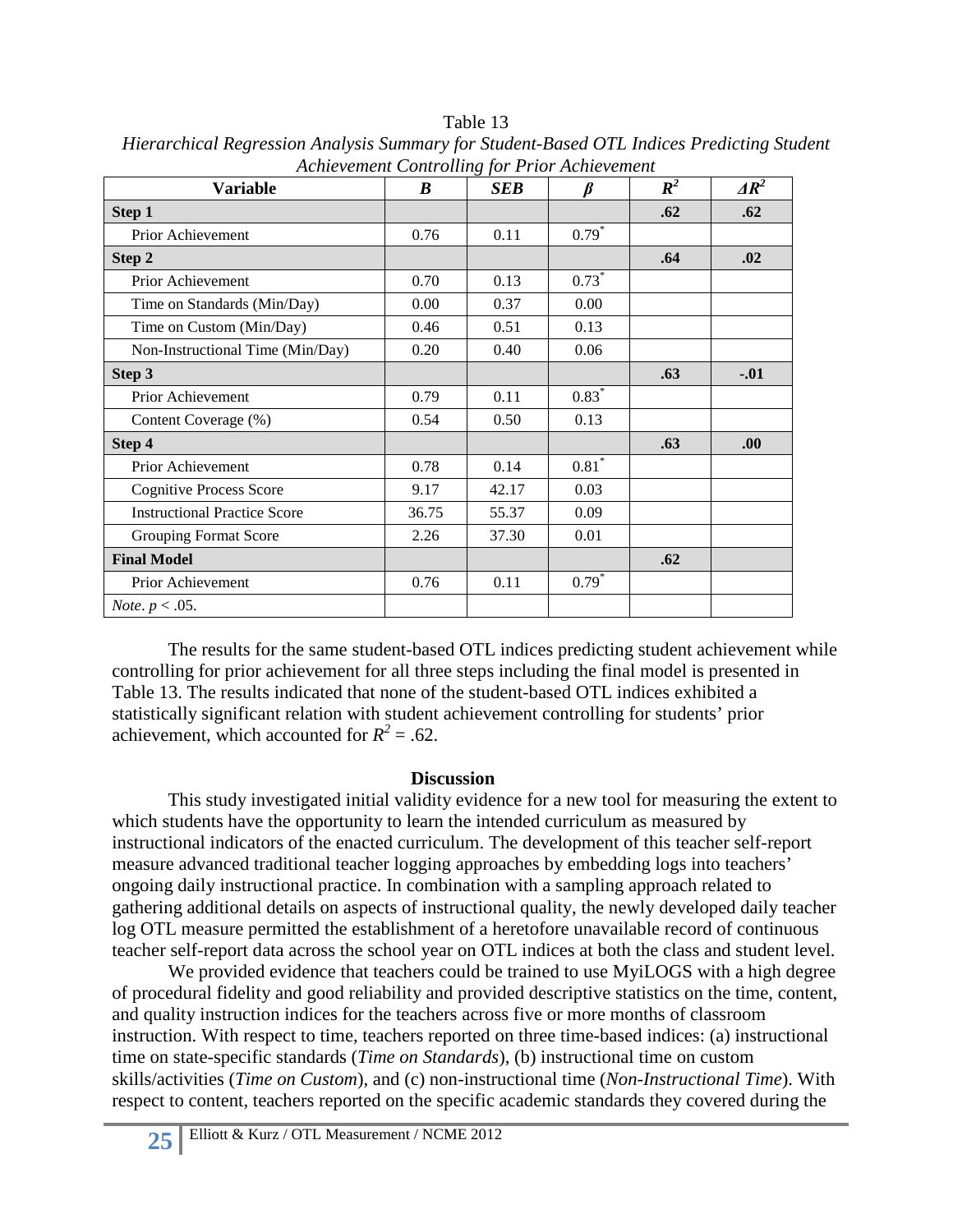| <b>Variable</b>                     | $\boldsymbol{B}$ | $\circ$ J<br><b>SEB</b> | $\beta$ | $R^2$ | $\Delta R^2$ |
|-------------------------------------|------------------|-------------------------|---------|-------|--------------|
| Step 1                              |                  |                         |         | .62   | .62          |
| Prior Achievement                   | 0.76             | 0.11                    | $0.79*$ |       |              |
| Step 2                              |                  |                         |         | .64   | .02          |
| Prior Achievement                   | 0.70             | 0.13                    | $0.73*$ |       |              |
| Time on Standards (Min/Day)         | 0.00             | 0.37                    | 0.00    |       |              |
| Time on Custom (Min/Day)            | 0.46             | 0.51                    | 0.13    |       |              |
| Non-Instructional Time (Min/Day)    | 0.20             | 0.40                    | 0.06    |       |              |
| Step 3                              |                  |                         |         | .63   | $-.01$       |
| Prior Achievement                   | 0.79             | 0.11                    | $0.83*$ |       |              |
| Content Coverage (%)                | 0.54             | 0.50                    | 0.13    |       |              |
| Step 4                              |                  |                         |         | .63   | .00          |
| Prior Achievement                   | 0.78             | 0.14                    | $0.81*$ |       |              |
| <b>Cognitive Process Score</b>      | 9.17             | 42.17                   | 0.03    |       |              |
| <b>Instructional Practice Score</b> | 36.75            | 55.37                   | 0.09    |       |              |
| <b>Grouping Format Score</b>        | 2.26             | 37.30                   | 0.01    |       |              |
| <b>Final Model</b>                  |                  |                         |         | .62   |              |
| Prior Achievement                   | 0.76             | 0.11                    | $0.79*$ |       |              |
| <i>Note.</i> $p < .05$ .            |                  |                         |         |       |              |

Table 13 *Hierarchical Regression Analysis Summary for Student-Based OTL Indices Predicting Student Achievement Controlling for Prior Achievement*

The results for the same student-based OTL indices predicting student achievement while controlling for prior achievement for all three steps including the final model is presented in Table 13. The results indicated that none of the student-based OTL indices exhibited a statistically significant relation with student achievement controlling for students' prior achievement, which accounted for  $R^2 = .62$ .

### **Discussion**

This study investigated initial validity evidence for a new tool for measuring the extent to which students have the opportunity to learn the intended curriculum as measured by instructional indicators of the enacted curriculum. The development of this teacher self-report measure advanced traditional teacher logging approaches by embedding logs into teachers' ongoing daily instructional practice. In combination with a sampling approach related to gathering additional details on aspects of instructional quality, the newly developed daily teacher log OTL measure permitted the establishment of a heretofore unavailable record of continuous teacher self-report data across the school year on OTL indices at both the class and student level.

We provided evidence that teachers could be trained to use MyiLOGS with a high degree of procedural fidelity and good reliability and provided descriptive statistics on the time, content, and quality instruction indices for the teachers across five or more months of classroom instruction. With respect to time, teachers reported on three time-based indices: (a) instructional time on state-specific standards (*Time on Standards*), (b) instructional time on custom skills/activities (*Time on Custom*), and (c) non-instructional time (*Non-Instructional Time*). With respect to content, teachers reported on the specific academic standards they covered during the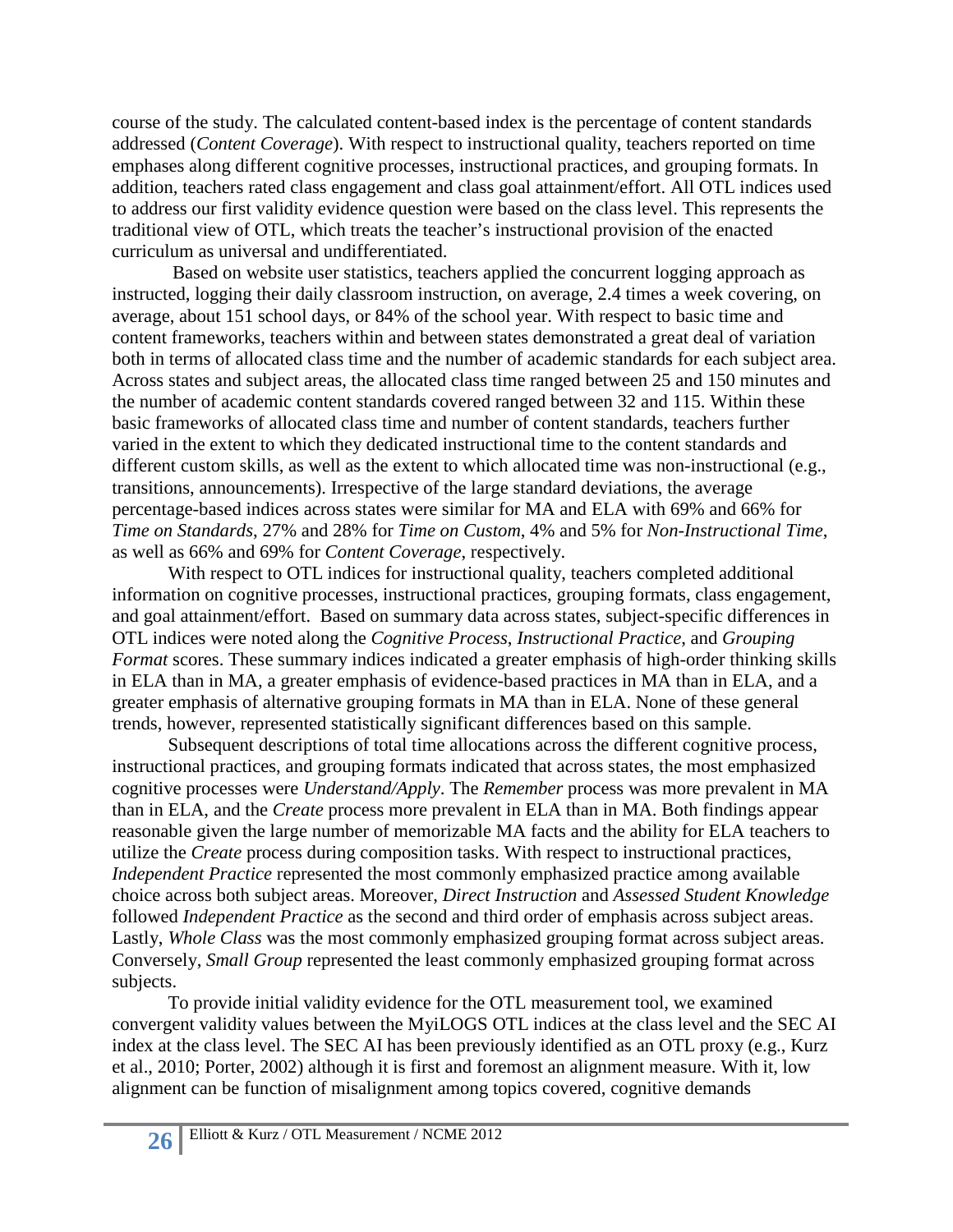course of the study. The calculated content-based index is the percentage of content standards addressed (*Content Coverage*). With respect to instructional quality, teachers reported on time emphases along different cognitive processes, instructional practices, and grouping formats. In addition, teachers rated class engagement and class goal attainment/effort. All OTL indices used to address our first validity evidence question were based on the class level. This represents the traditional view of OTL, which treats the teacher's instructional provision of the enacted curriculum as universal and undifferentiated.

Based on website user statistics, teachers applied the concurrent logging approach as instructed, logging their daily classroom instruction, on average, 2.4 times a week covering, on average, about 151 school days, or 84% of the school year. With respect to basic time and content frameworks, teachers within and between states demonstrated a great deal of variation both in terms of allocated class time and the number of academic standards for each subject area. Across states and subject areas, the allocated class time ranged between 25 and 150 minutes and the number of academic content standards covered ranged between 32 and 115. Within these basic frameworks of allocated class time and number of content standards, teachers further varied in the extent to which they dedicated instructional time to the content standards and different custom skills, as well as the extent to which allocated time was non-instructional (e.g., transitions, announcements). Irrespective of the large standard deviations, the average percentage-based indices across states were similar for MA and ELA with 69% and 66% for *Time on Standards*, 27% and 28% for *Time on Custom*, 4% and 5% for *Non-Instructional Time*, as well as 66% and 69% for *Content Coverage*, respectively.

With respect to OTL indices for instructional quality, teachers completed additional information on cognitive processes, instructional practices, grouping formats, class engagement, and goal attainment/effort. Based on summary data across states, subject-specific differences in OTL indices were noted along the *Cognitive Process*, *Instructional Practice*, and *Grouping Format* scores. These summary indices indicated a greater emphasis of high-order thinking skills in ELA than in MA, a greater emphasis of evidence-based practices in MA than in ELA, and a greater emphasis of alternative grouping formats in MA than in ELA. None of these general trends, however, represented statistically significant differences based on this sample.

Subsequent descriptions of total time allocations across the different cognitive process, instructional practices, and grouping formats indicated that across states, the most emphasized cognitive processes were *Understand/Apply*. The *Remember* process was more prevalent in MA than in ELA, and the *Create* process more prevalent in ELA than in MA. Both findings appear reasonable given the large number of memorizable MA facts and the ability for ELA teachers to utilize the *Create* process during composition tasks. With respect to instructional practices, *Independent Practice* represented the most commonly emphasized practice among available choice across both subject areas. Moreover, *Direct Instruction* and *Assessed Student Knowledge* followed *Independent Practice* as the second and third order of emphasis across subject areas. Lastly, *Whole Class* was the most commonly emphasized grouping format across subject areas. Conversely, *Small Group* represented the least commonly emphasized grouping format across subjects.

To provide initial validity evidence for the OTL measurement tool, we examined convergent validity values between the MyiLOGS OTL indices at the class level and the SEC AI index at the class level. The SEC AI has been previously identified as an OTL proxy (e.g., Kurz et al., 2010; Porter, 2002) although it is first and foremost an alignment measure. With it, low alignment can be function of misalignment among topics covered, cognitive demands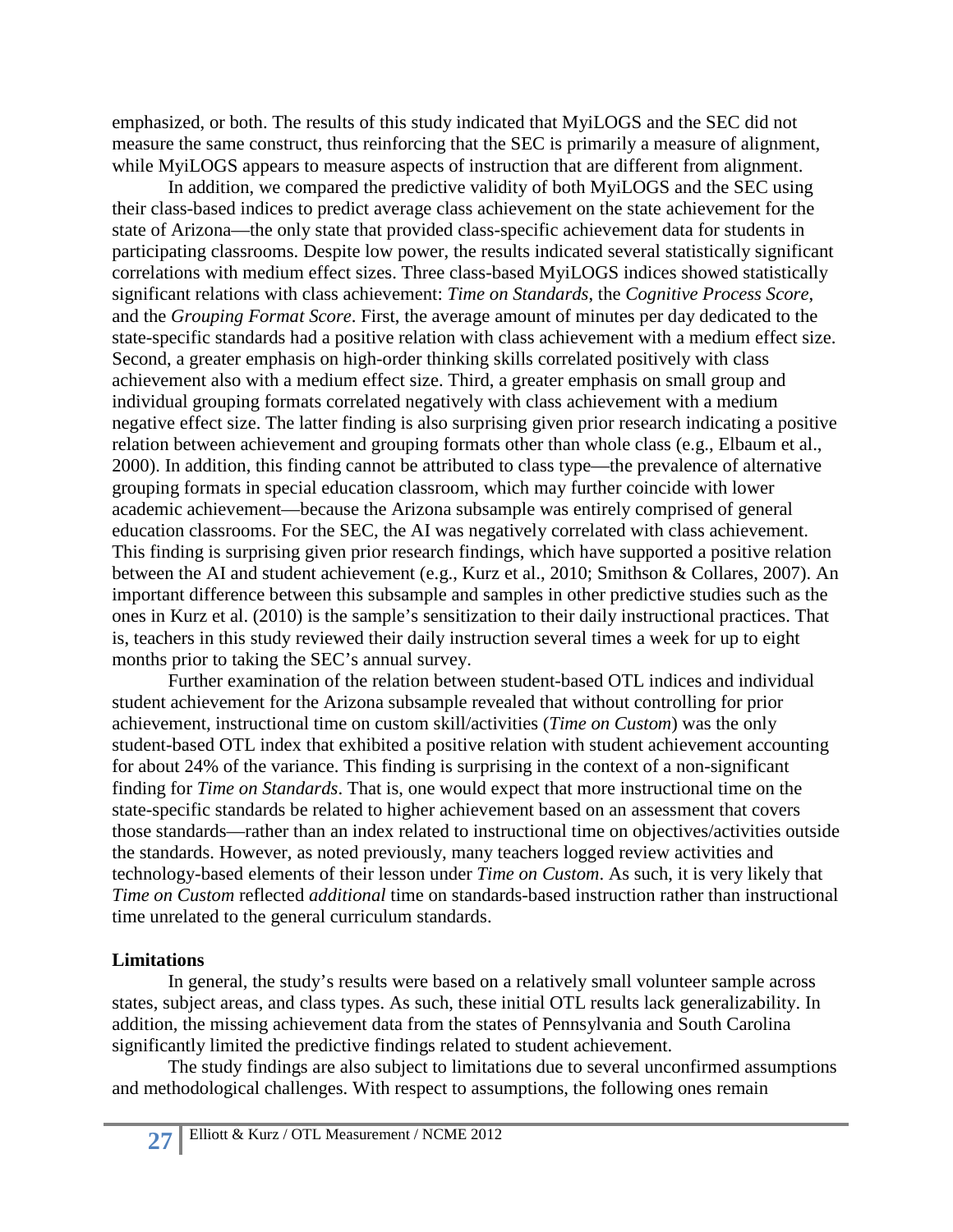emphasized, or both. The results of this study indicated that MyiLOGS and the SEC did not measure the same construct, thus reinforcing that the SEC is primarily a measure of alignment, while MyiLOGS appears to measure aspects of instruction that are different from alignment.

In addition, we compared the predictive validity of both MyiLOGS and the SEC using their class-based indices to predict average class achievement on the state achievement for the state of Arizona—the only state that provided class-specific achievement data for students in participating classrooms. Despite low power, the results indicated several statistically significant correlations with medium effect sizes. Three class-based MyiLOGS indices showed statistically significant relations with class achievement: *Time on Standards*, the *Cognitive Process Score*, and the *Grouping Format Score*. First, the average amount of minutes per day dedicated to the state-specific standards had a positive relation with class achievement with a medium effect size. Second, a greater emphasis on high-order thinking skills correlated positively with class achievement also with a medium effect size. Third, a greater emphasis on small group and individual grouping formats correlated negatively with class achievement with a medium negative effect size. The latter finding is also surprising given prior research indicating a positive relation between achievement and grouping formats other than whole class (e.g., Elbaum et al., 2000). In addition, this finding cannot be attributed to class type—the prevalence of alternative grouping formats in special education classroom, which may further coincide with lower academic achievement—because the Arizona subsample was entirely comprised of general education classrooms. For the SEC, the AI was negatively correlated with class achievement. This finding is surprising given prior research findings, which have supported a positive relation between the AI and student achievement (e.g., Kurz et al., 2010; Smithson & Collares, 2007). An important difference between this subsample and samples in other predictive studies such as the ones in Kurz et al. (2010) is the sample's sensitization to their daily instructional practices. That is, teachers in this study reviewed their daily instruction several times a week for up to eight months prior to taking the SEC's annual survey.

Further examination of the relation between student-based OTL indices and individual student achievement for the Arizona subsample revealed that without controlling for prior achievement, instructional time on custom skill/activities (*Time on Custom*) was the only student-based OTL index that exhibited a positive relation with student achievement accounting for about 24% of the variance. This finding is surprising in the context of a non-significant finding for *Time on Standards*. That is, one would expect that more instructional time on the state-specific standards be related to higher achievement based on an assessment that covers those standards—rather than an index related to instructional time on objectives/activities outside the standards. However, as noted previously, many teachers logged review activities and technology-based elements of their lesson under *Time on Custom*. As such, it is very likely that *Time on Custom* reflected *additional* time on standards-based instruction rather than instructional time unrelated to the general curriculum standards.

## **Limitations**

In general, the study's results were based on a relatively small volunteer sample across states, subject areas, and class types. As such, these initial OTL results lack generalizability. In addition, the missing achievement data from the states of Pennsylvania and South Carolina significantly limited the predictive findings related to student achievement.

The study findings are also subject to limitations due to several unconfirmed assumptions and methodological challenges. With respect to assumptions, the following ones remain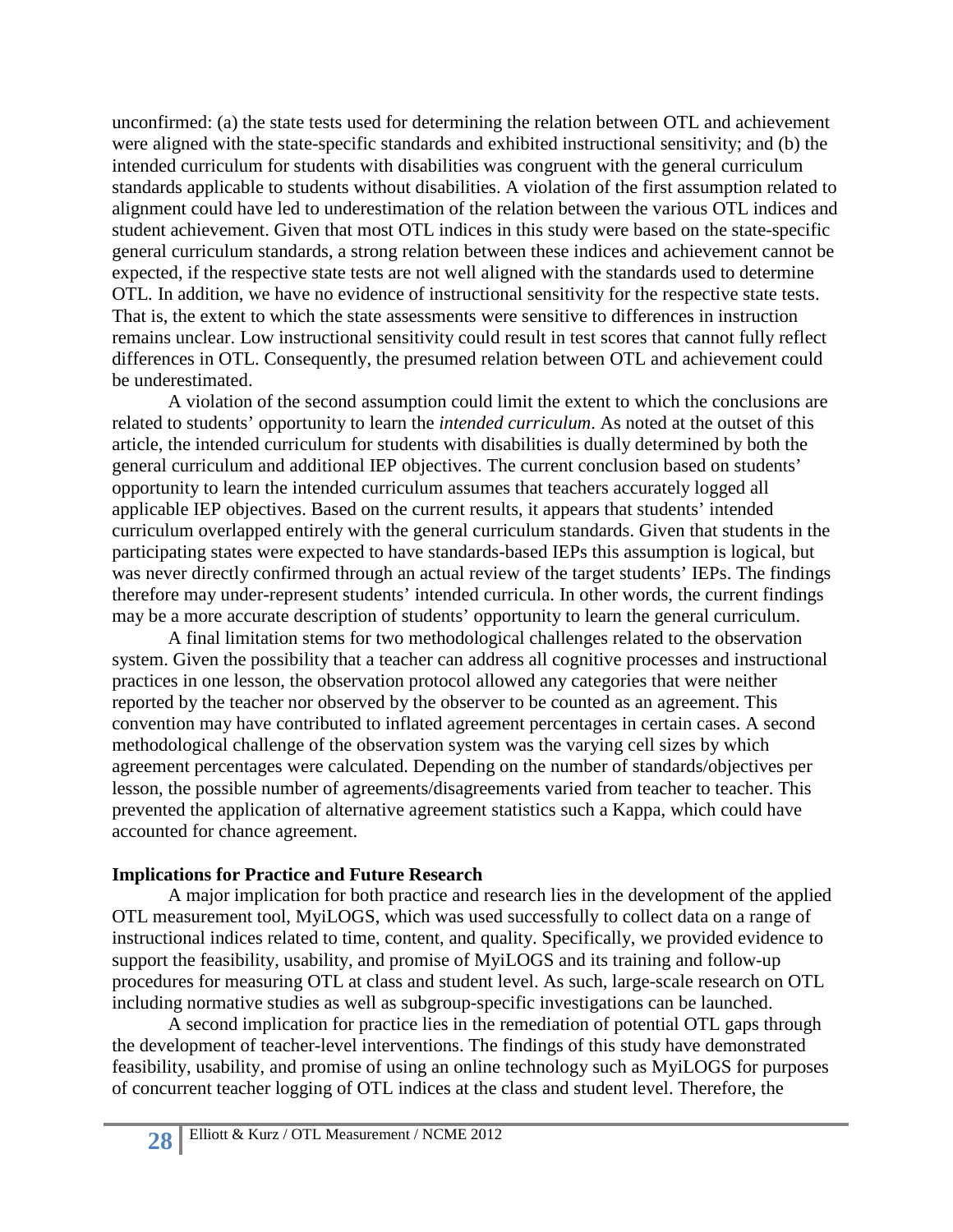unconfirmed: (a) the state tests used for determining the relation between OTL and achievement were aligned with the state-specific standards and exhibited instructional sensitivity; and (b) the intended curriculum for students with disabilities was congruent with the general curriculum standards applicable to students without disabilities. A violation of the first assumption related to alignment could have led to underestimation of the relation between the various OTL indices and student achievement. Given that most OTL indices in this study were based on the state-specific general curriculum standards, a strong relation between these indices and achievement cannot be expected, if the respective state tests are not well aligned with the standards used to determine OTL. In addition, we have no evidence of instructional sensitivity for the respective state tests. That is, the extent to which the state assessments were sensitive to differences in instruction remains unclear. Low instructional sensitivity could result in test scores that cannot fully reflect differences in OTL. Consequently, the presumed relation between OTL and achievement could be underestimated.

A violation of the second assumption could limit the extent to which the conclusions are related to students' opportunity to learn the *intended curriculum*. As noted at the outset of this article, the intended curriculum for students with disabilities is dually determined by both the general curriculum and additional IEP objectives. The current conclusion based on students' opportunity to learn the intended curriculum assumes that teachers accurately logged all applicable IEP objectives. Based on the current results, it appears that students' intended curriculum overlapped entirely with the general curriculum standards. Given that students in the participating states were expected to have standards-based IEPs this assumption is logical, but was never directly confirmed through an actual review of the target students' IEPs. The findings therefore may under-represent students' intended curricula. In other words, the current findings may be a more accurate description of students' opportunity to learn the general curriculum.

A final limitation stems for two methodological challenges related to the observation system. Given the possibility that a teacher can address all cognitive processes and instructional practices in one lesson, the observation protocol allowed any categories that were neither reported by the teacher nor observed by the observer to be counted as an agreement. This convention may have contributed to inflated agreement percentages in certain cases. A second methodological challenge of the observation system was the varying cell sizes by which agreement percentages were calculated. Depending on the number of standards/objectives per lesson, the possible number of agreements/disagreements varied from teacher to teacher. This prevented the application of alternative agreement statistics such a Kappa, which could have accounted for chance agreement.

### **Implications for Practice and Future Research**

A major implication for both practice and research lies in the development of the applied OTL measurement tool, MyiLOGS, which was used successfully to collect data on a range of instructional indices related to time, content, and quality. Specifically, we provided evidence to support the feasibility, usability, and promise of MyiLOGS and its training and follow-up procedures for measuring OTL at class and student level. As such, large-scale research on OTL including normative studies as well as subgroup-specific investigations can be launched.

A second implication for practice lies in the remediation of potential OTL gaps through the development of teacher-level interventions. The findings of this study have demonstrated feasibility, usability, and promise of using an online technology such as MyiLOGS for purposes of concurrent teacher logging of OTL indices at the class and student level. Therefore, the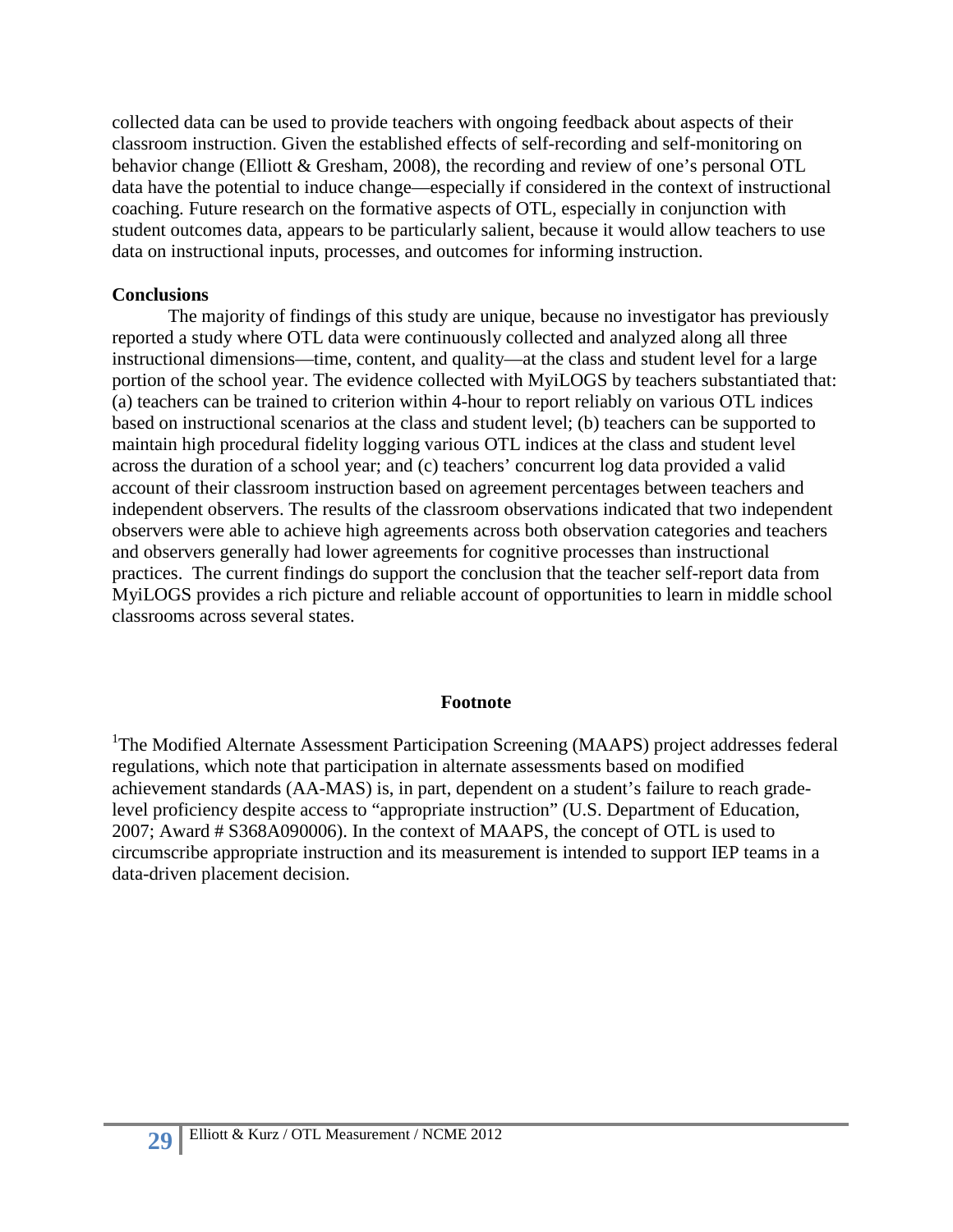collected data can be used to provide teachers with ongoing feedback about aspects of their classroom instruction. Given the established effects of self-recording and self-monitoring on behavior change (Elliott & Gresham, 2008), the recording and review of one's personal OTL data have the potential to induce change—especially if considered in the context of instructional coaching. Future research on the formative aspects of OTL, especially in conjunction with student outcomes data, appears to be particularly salient, because it would allow teachers to use data on instructional inputs, processes, and outcomes for informing instruction.

## **Conclusions**

The majority of findings of this study are unique, because no investigator has previously reported a study where OTL data were continuously collected and analyzed along all three instructional dimensions—time, content, and quality—at the class and student level for a large portion of the school year. The evidence collected with MyiLOGS by teachers substantiated that: (a) teachers can be trained to criterion within 4-hour to report reliably on various OTL indices based on instructional scenarios at the class and student level; (b) teachers can be supported to maintain high procedural fidelity logging various OTL indices at the class and student level across the duration of a school year; and (c) teachers' concurrent log data provided a valid account of their classroom instruction based on agreement percentages between teachers and independent observers. The results of the classroom observations indicated that two independent observers were able to achieve high agreements across both observation categories and teachers and observers generally had lower agreements for cognitive processes than instructional practices. The current findings do support the conclusion that the teacher self-report data from MyiLOGS provides a rich picture and reliable account of opportunities to learn in middle school classrooms across several states.

## **Footnote**

<sup>1</sup>The Modified Alternate Assessment Participation Screening (MAAPS) project addresses federal regulations, which note that participation in alternate assessments based on modified achievement standards (AA-MAS) is, in part, dependent on a student's failure to reach gradelevel proficiency despite access to "appropriate instruction" (U.S. Department of Education, 2007; Award # S368A090006). In the context of MAAPS, the concept of OTL is used to circumscribe appropriate instruction and its measurement is intended to support IEP teams in a data-driven placement decision.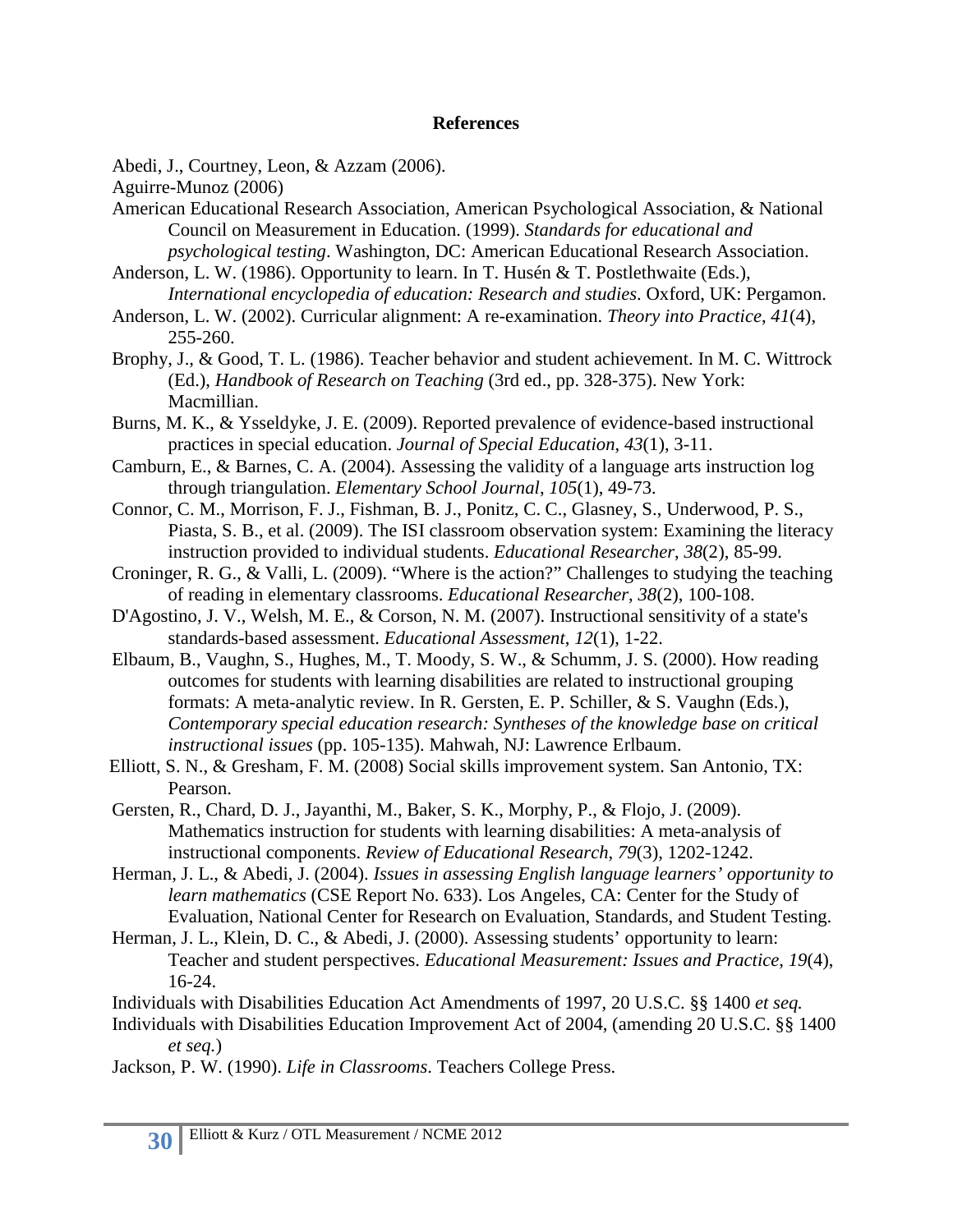### **References**

Abedi, J., Courtney, Leon, & Azzam (2006).

Aguirre-Munoz (2006)

- American Educational Research Association, American Psychological Association, & National Council on Measurement in Education. (1999). *Standards for educational and psychological testing*. Washington, DC: American Educational Research Association.
- Anderson, L. W. (1986). Opportunity to learn. In T. Husén & T. Postlethwaite (Eds.), *International encyclopedia of education: Research and studies*. Oxford, UK: Pergamon.
- Anderson, L. W. (2002). Curricular alignment: A re-examination. *Theory into Practice*, *41*(4), 255-260.
- Brophy, J., & Good, T. L. (1986). Teacher behavior and student achievement. In M. C. Wittrock (Ed.), *Handbook of Research on Teaching* (3rd ed., pp. 328-375). New York: Macmillian.
- Burns, M. K., & Ysseldyke, J. E. (2009). Reported prevalence of evidence-based instructional practices in special education. *Journal of Special Education*, *43*(1), 3-11.
- Camburn, E., & Barnes, C. A. (2004). Assessing the validity of a language arts instruction log through triangulation. *Elementary School Journal*, *105*(1), 49-73.
- Connor, C. M., Morrison, F. J., Fishman, B. J., Ponitz, C. C., Glasney, S., Underwood, P. S., Piasta, S. B., et al. (2009). The ISI classroom observation system: Examining the literacy instruction provided to individual students. *Educational Researcher*, *38*(2), 85-99.
- Croninger, R. G., & Valli, L. (2009). "Where is the action?" Challenges to studying the teaching of reading in elementary classrooms. *Educational Researcher*, *38*(2), 100-108.
- D'Agostino, J. V., Welsh, M. E., & Corson, N. M. (2007). Instructional sensitivity of a state's standards-based assessment. *Educational Assessment*, *12*(1), 1-22.
- Elbaum, B., Vaughn, S., Hughes, M., T. Moody, S. W., & Schumm, J. S. (2000). How reading outcomes for students with learning disabilities are related to instructional grouping formats: A meta-analytic review. In R. Gersten, E. P. Schiller, & S. Vaughn (Eds.), *Contemporary special education research: Syntheses of the knowledge base on critical instructional issues* (pp. 105-135). Mahwah, NJ: Lawrence Erlbaum.
- Elliott, S. N., & Gresham, F. M. (2008) Social skills improvement system. San Antonio, TX: Pearson.
- Gersten, R., Chard, D. J., Jayanthi, M., Baker, S. K., Morphy, P., & Flojo, J. (2009). Mathematics instruction for students with learning disabilities: A meta-analysis of instructional components. *Review of Educational Research*, *79*(3), 1202-1242.
- Herman, J. L., & Abedi, J. (2004). *Issues in assessing English language learners' opportunity to learn mathematics* (CSE Report No. 633). Los Angeles, CA: Center for the Study of Evaluation, National Center for Research on Evaluation, Standards, and Student Testing.
- Herman, J. L., Klein, D. C., & Abedi, J. (2000). Assessing students' opportunity to learn: Teacher and student perspectives. *Educational Measurement: Issues and Practice*, *19*(4), 16-24.
- Individuals with Disabilities Education Act Amendments of 1997, 20 U.S.C. §§ 1400 *et seq.*
- Individuals with Disabilities Education Improvement Act of 2004, (amending 20 U.S.C. §§ 1400 *et seq.*)
- Jackson, P. W. (1990). *Life in Classrooms*. Teachers College Press.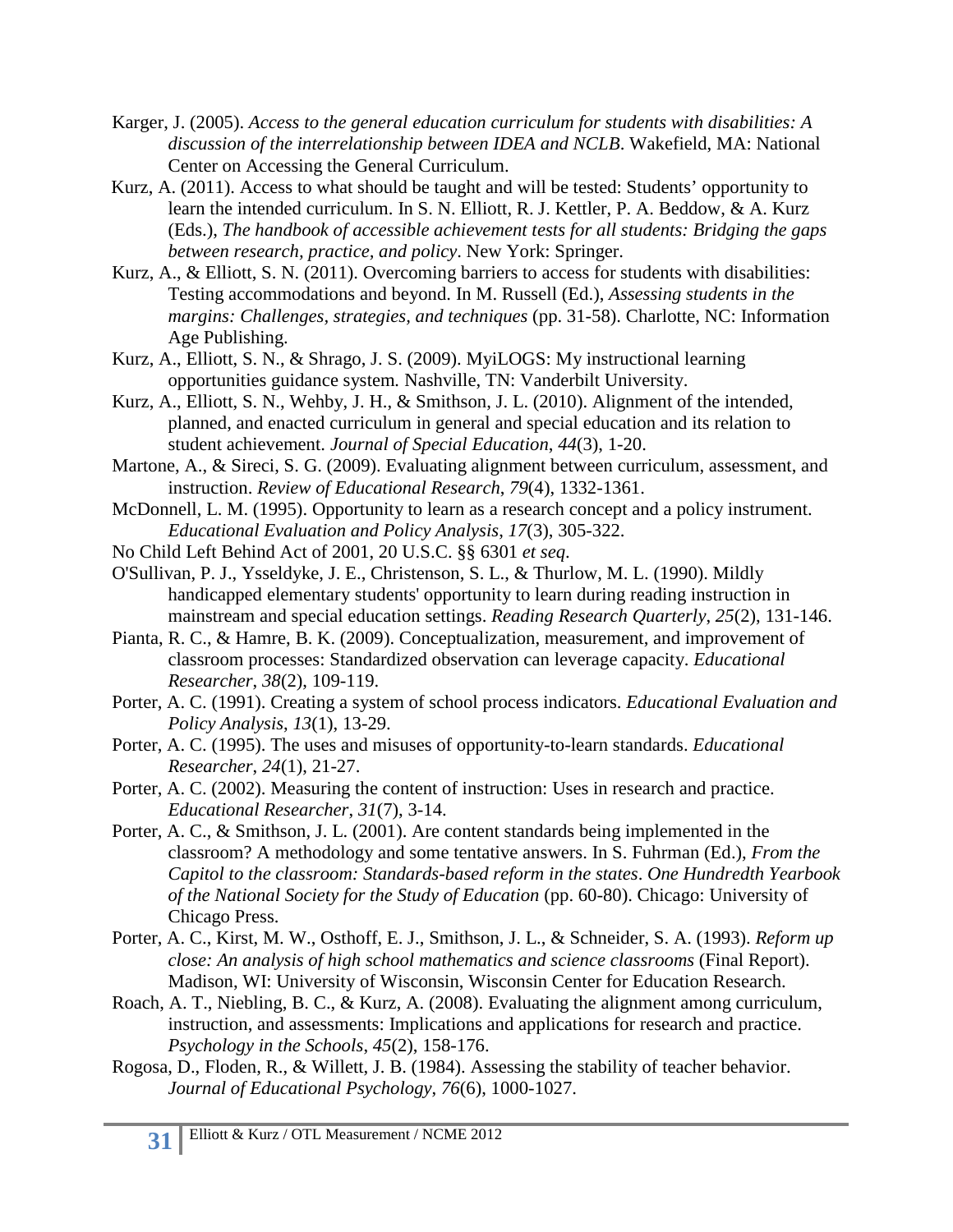- Karger, J. (2005). *Access to the general education curriculum for students with disabilities: A discussion of the interrelationship between IDEA and NCLB*. Wakefield, MA: National Center on Accessing the General Curriculum.
- Kurz, A. (2011). Access to what should be taught and will be tested: Students' opportunity to learn the intended curriculum. In S. N. Elliott, R. J. Kettler, P. A. Beddow, & A. Kurz (Eds.), *The handbook of accessible achievement tests for all students: Bridging the gaps between research, practice, and policy*. New York: Springer.
- Kurz, A., & Elliott, S. N. (2011). Overcoming barriers to access for students with disabilities: Testing accommodations and beyond. In M. Russell (Ed.), *Assessing students in the margins: Challenges, strategies, and techniques* (pp. 31-58). Charlotte, NC: Information Age Publishing.
- Kurz, A., Elliott, S. N., & Shrago, J. S. (2009). MyiLOGS: My instructional learning opportunities guidance system*.* Nashville, TN: Vanderbilt University.
- Kurz, A., Elliott, S. N., Wehby, J. H., & Smithson, J. L. (2010). Alignment of the intended, planned, and enacted curriculum in general and special education and its relation to student achievement. *Journal of Special Education*, *44*(3), 1-20.
- Martone, A., & Sireci, S. G. (2009). Evaluating alignment between curriculum, assessment, and instruction. *Review of Educational Research*, *79*(4), 1332-1361.
- McDonnell, L. M. (1995). Opportunity to learn as a research concept and a policy instrument. *Educational Evaluation and Policy Analysis*, *17*(3), 305-322.
- No Child Left Behind Act of 2001, 20 U.S.C. §§ 6301 *et seq*.
- O'Sullivan, P. J., Ysseldyke, J. E., Christenson, S. L., & Thurlow, M. L. (1990). Mildly handicapped elementary students' opportunity to learn during reading instruction in mainstream and special education settings. *Reading Research Quarterly*, *25*(2), 131-146.
- Pianta, R. C., & Hamre, B. K. (2009). Conceptualization, measurement, and improvement of classroom processes: Standardized observation can leverage capacity. *Educational Researcher*, *38*(2), 109-119.
- Porter, A. C. (1991). Creating a system of school process indicators. *Educational Evaluation and Policy Analysis*, *13*(1), 13-29.
- Porter, A. C. (1995). The uses and misuses of opportunity-to-learn standards. *Educational Researcher*, *24*(1), 21-27.
- Porter, A. C. (2002). Measuring the content of instruction: Uses in research and practice. *Educational Researcher*, *31*(7), 3-14.
- Porter, A. C., & Smithson, J. L. (2001). Are content standards being implemented in the classroom? A methodology and some tentative answers. In S. Fuhrman (Ed.), *From the Capitol to the classroom: Standards-based reform in the states*. *One Hundredth Yearbook of the National Society for the Study of Education* (pp. 60-80). Chicago: University of Chicago Press.
- Porter, A. C., Kirst, M. W., Osthoff, E. J., Smithson, J. L., & Schneider, S. A. (1993). *Reform up close: An analysis of high school mathematics and science classrooms* (Final Report). Madison, WI: University of Wisconsin, Wisconsin Center for Education Research.
- Roach, A. T., Niebling, B. C., & Kurz, A. (2008). Evaluating the alignment among curriculum, instruction, and assessments: Implications and applications for research and practice. *Psychology in the Schools*, *45*(2), 158-176.
- Rogosa, D., Floden, R., & Willett, J. B. (1984). Assessing the stability of teacher behavior. *Journal of Educational Psychology*, *76*(6), 1000-1027.